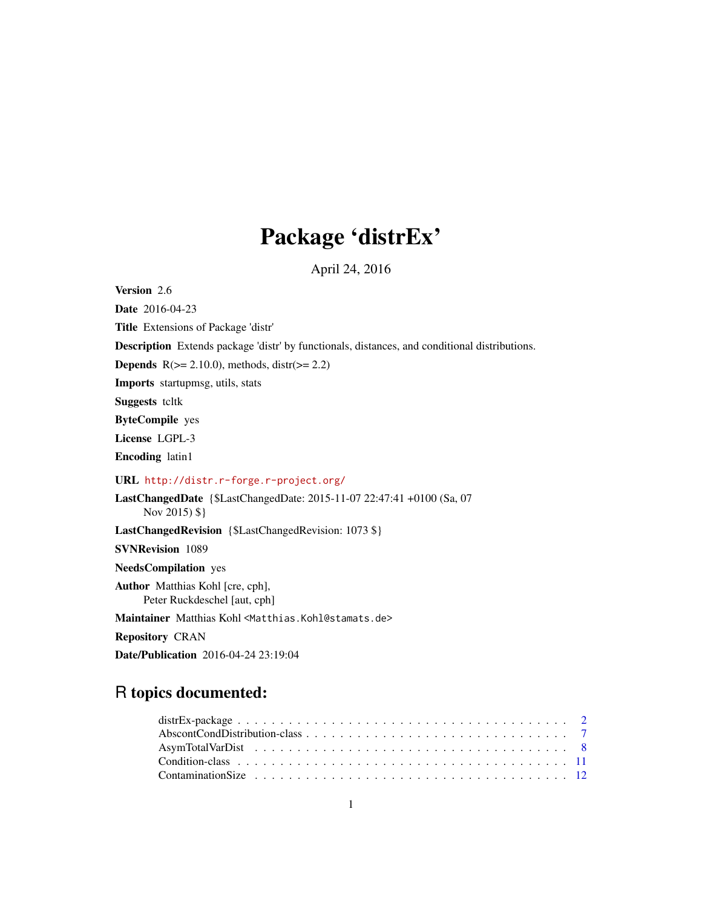# Package 'distrEx'

April 24, 2016

<span id="page-0-0"></span>Version 2.6

Date 2016-04-23 Title Extensions of Package 'distr' Description Extends package 'distr' by functionals, distances, and conditional distributions. **Depends**  $R$ ( $>= 2.10.0$ ), methods, distr( $>= 2.2$ ) Imports startupmsg, utils, stats Suggests tcltk ByteCompile yes License LGPL-3 Encoding latin1 URL <http://distr.r-forge.r-project.org/> LastChangedDate {\$LastChangedDate: 2015-11-07 22:47:41 +0100 (Sa, 07 Nov 2015) \$} LastChangedRevision {\$LastChangedRevision: 1073 \$} SVNRevision 1089 NeedsCompilation yes Author Matthias Kohl [cre, cph], Peter Ruckdeschel [aut, cph] Maintainer Matthias Kohl <Matthias.Kohl@stamats.de> Repository CRAN

Date/Publication 2016-04-24 23:19:04

# R topics documented: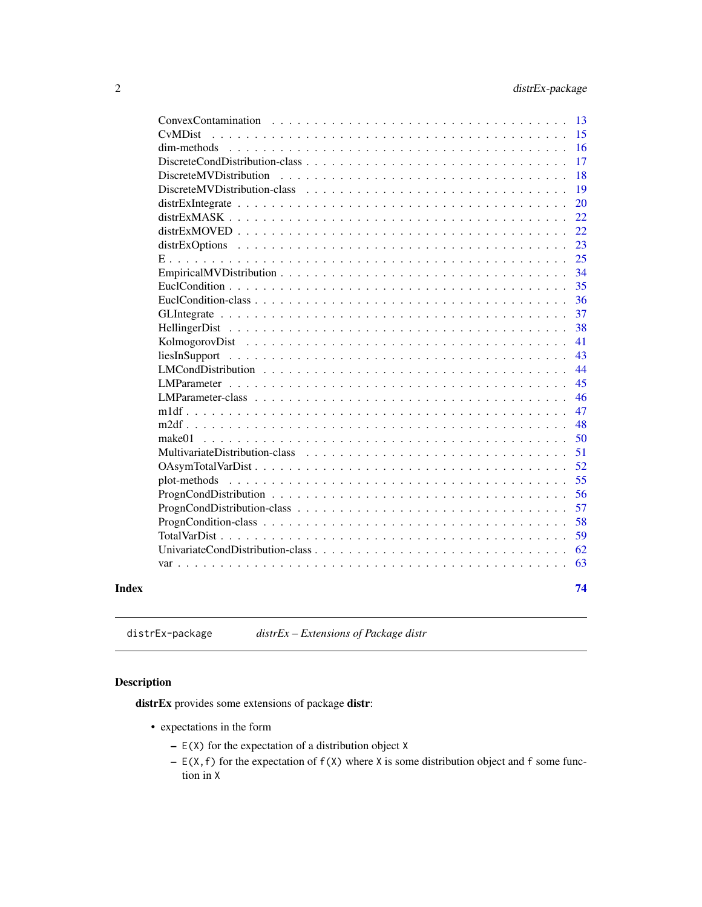<span id="page-1-0"></span>

| 13<br>ConvexContamination                                                                                    |
|--------------------------------------------------------------------------------------------------------------|
| 15<br><b>C</b> vMDist                                                                                        |
| 16<br>dim-methods                                                                                            |
| 17                                                                                                           |
| 18                                                                                                           |
| 19                                                                                                           |
| 20                                                                                                           |
| 22                                                                                                           |
| 22                                                                                                           |
| 23                                                                                                           |
| 25                                                                                                           |
| 34                                                                                                           |
| 35                                                                                                           |
| 36                                                                                                           |
| 37                                                                                                           |
| 38                                                                                                           |
| 41                                                                                                           |
| 43                                                                                                           |
| 44                                                                                                           |
| 45                                                                                                           |
| 46                                                                                                           |
| 47                                                                                                           |
| 48                                                                                                           |
| 50                                                                                                           |
| 51                                                                                                           |
| 52                                                                                                           |
| 55                                                                                                           |
| 56<br>$ProgramCondition \ldots \ldots \ldots \ldots \ldots \ldots \ldots \ldots \ldots \ldots \ldots \ldots$ |
| 57                                                                                                           |
| 58                                                                                                           |
| 59                                                                                                           |
| 62                                                                                                           |
| 63                                                                                                           |
|                                                                                                              |
| 74                                                                                                           |
|                                                                                                              |

distrEx-package *distrEx – Extensions of Package distr*

# Description

distrEx provides some extensions of package distr:

- expectations in the form
	- $E(X)$  for the expectation of a distribution object X
	- $E(X, f)$  for the expectation of  $f(X)$  where X is some distribution object and f some function in X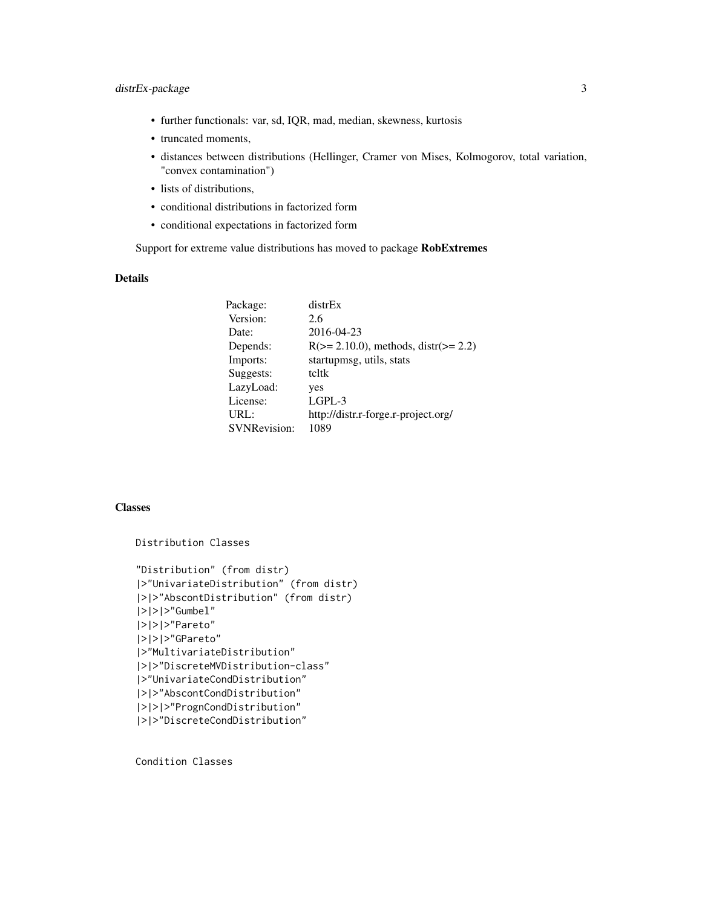- further functionals: var, sd, IQR, mad, median, skewness, kurtosis
- truncated moments,
- distances between distributions (Hellinger, Cramer von Mises, Kolmogorov, total variation, "convex contamination")
- lists of distributions,
- conditional distributions in factorized form
- conditional expectations in factorized form

Support for extreme value distributions has moved to package RobExtremes

#### Details

| distrEx                                     |
|---------------------------------------------|
| 2.6                                         |
| 2016-04-23                                  |
| $R(>= 2.10.0)$ , methods, distr( $>= 2.2$ ) |
| startupmsg, utils, stats                    |
| tcltk                                       |
| yes                                         |
| $L$ GPL-3                                   |
| http://distr.r-forge.r-project.org/         |
| 1089                                        |
|                                             |

#### Classes

```
Distribution Classes
"Distribution" (from distr)
|>"UnivariateDistribution" (from distr)
|>|>"AbscontDistribution" (from distr)
|>|>|>"Gumbel"
|>|>|>"Pareto"
|>|>|>"GPareto"
|>"MultivariateDistribution"
|>|>"DiscreteMVDistribution-class"
|>"UnivariateCondDistribution"
|>|>"AbscontCondDistribution"
|>|>|>"PrognCondDistribution"
|>|>"DiscreteCondDistribution"
```
Condition Classes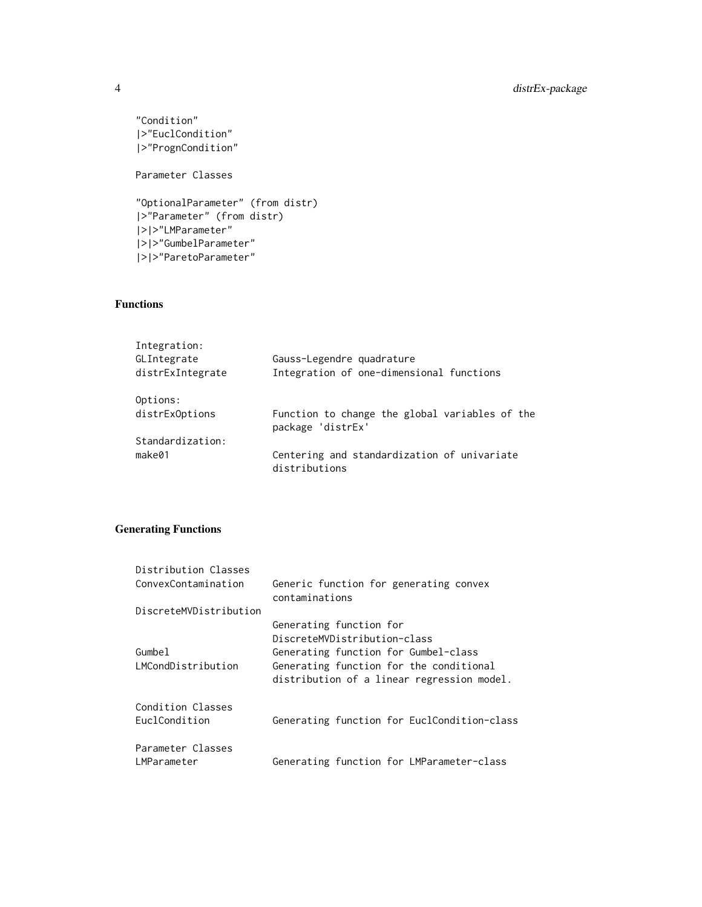```
"Condition"
|>"EuclCondition"
|>"PrognCondition"
Parameter Classes
"OptionalParameter" (from distr)
|>"Parameter" (from distr)
|>|>"LMParameter"
|>|>"GumbelParameter"
|>|>"ParetoParameter"
```
# Functions

| Integration:     |                                                                     |
|------------------|---------------------------------------------------------------------|
| GLIntegrate      | Gauss-Legendre quadrature                                           |
| distrExIntegrate | Integration of one-dimensional functions                            |
| Options:         |                                                                     |
| distrExOptions   | Function to change the global variables of the<br>package 'distrEx' |
| Standardization: |                                                                     |
| make@1           | Centering and standardization of univariate<br>distributions        |

# Generating Functions

| Distribution Classes<br>ConvexContamination | Generic function for generating convex<br>contaminations                              |
|---------------------------------------------|---------------------------------------------------------------------------------------|
| DiscreteMVDistribution                      |                                                                                       |
|                                             | Generating function for                                                               |
|                                             | DiscreteMVDistribution-class                                                          |
| Gumbel                                      | Generating function for Gumbel-class                                                  |
| LMCondDistribution                          | Generating function for the conditional<br>distribution of a linear regression model. |
| Condition Classes<br>EuclCondition          | Generating function for EuclCondition-class                                           |
| Parameter Classes                           |                                                                                       |
| LMParameter                                 | Generating function for LMParameter-class                                             |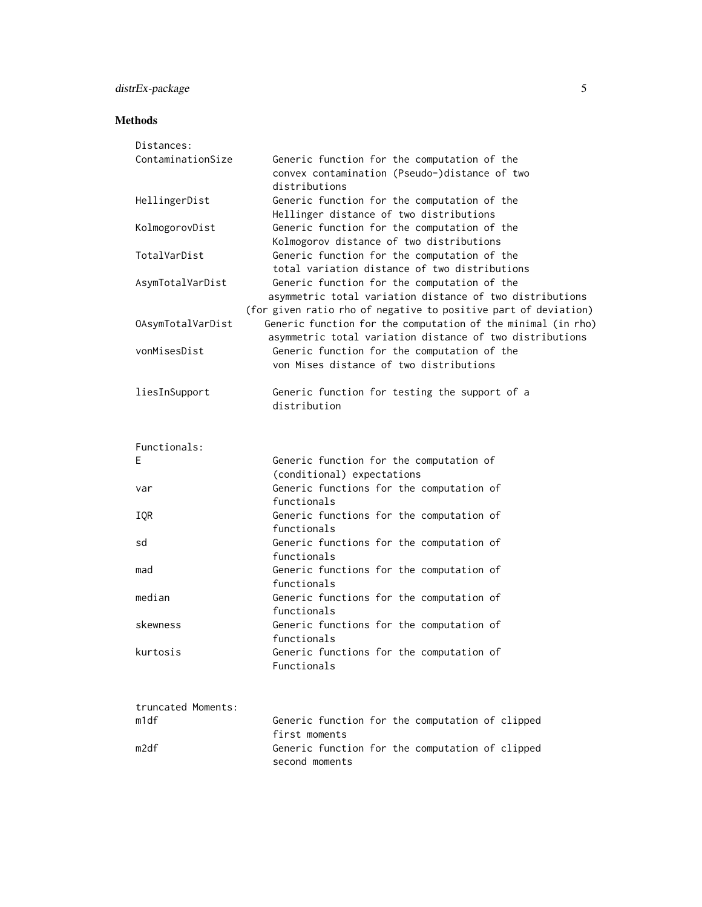# distrEx-package 5

# Methods

| Distances:         |                                                                                                                                                                                             |
|--------------------|---------------------------------------------------------------------------------------------------------------------------------------------------------------------------------------------|
| ContaminationSize  | Generic function for the computation of the<br>convex contamination (Pseudo-)distance of two<br>distributions                                                                               |
| HellingerDist      | Generic function for the computation of the<br>Hellinger distance of two distributions                                                                                                      |
| KolmogorovDist     | Generic function for the computation of the<br>Kolmogorov distance of two distributions                                                                                                     |
| TotalVarDist       | Generic function for the computation of the<br>total variation distance of two distributions                                                                                                |
| AsymTotalVarDist   | Generic function for the computation of the<br>asymmetric total variation distance of two distributions                                                                                     |
| OAsymTotalVarDist  | (for given ratio rho of negative to positive part of deviation)<br>Generic function for the computation of the minimal (in rho)<br>asymmetric total variation distance of two distributions |
| vonMisesDist       | Generic function for the computation of the<br>von Mises distance of two distributions                                                                                                      |
| liesInSupport      | Generic function for testing the support of a<br>distribution                                                                                                                               |
| Functionals:       |                                                                                                                                                                                             |
| Ε                  | Generic function for the computation of<br>(conditional) expectations                                                                                                                       |
| var                | Generic functions for the computation of<br>functionals                                                                                                                                     |
| IQR                | Generic functions for the computation of<br>functionals                                                                                                                                     |
| sd                 | Generic functions for the computation of<br>functionals                                                                                                                                     |
| mad                | Generic functions for the computation of<br>functionals                                                                                                                                     |
| median             | Generic functions for the computation of<br>functionals                                                                                                                                     |
| skewness           | Generic functions for the computation of<br>functionals                                                                                                                                     |
| kurtosis           | Generic functions for the computation of<br>Functionals                                                                                                                                     |
| truncated Moments: |                                                                                                                                                                                             |
| m1df               | Generic function for the computation of clipped<br>first moments                                                                                                                            |
| m2df               | Generic function for the computation of clipped<br>second moments                                                                                                                           |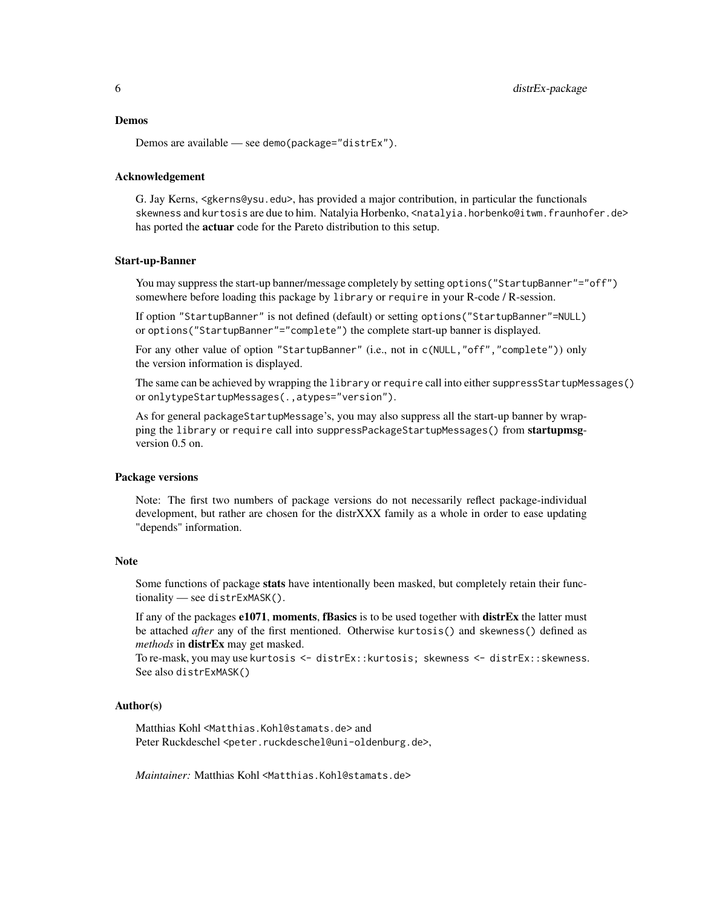#### Demos

Demos are available — see demo(package="distrEx").

#### Acknowledgement

G. Jay Kerns, <gkerns@ysu.edu>, has provided a major contribution, in particular the functionals skewness and kurtosis are due to him. Natalyia Horbenko, <natalyia.horbenko@itwm.fraunhofer.de> has ported the **actuar** code for the Pareto distribution to this setup.

#### Start-up-Banner

You may suppress the start-up banner/message completely by setting options("StartupBanner"="off") somewhere before loading this package by library or require in your R-code / R-session.

If option "StartupBanner" is not defined (default) or setting options("StartupBanner"=NULL) or options("StartupBanner"="complete") the complete start-up banner is displayed.

For any other value of option "StartupBanner" (i.e., not in c(NULL,"off","complete")) only the version information is displayed.

The same can be achieved by wrapping the library or require call into either suppressStartupMessages() or onlytypeStartupMessages(.,atypes="version").

As for general packageStartupMessage's, you may also suppress all the start-up banner by wrapping the library or require call into suppressPackageStartupMessages() from startupmsgversion 0.5 on.

#### Package versions

Note: The first two numbers of package versions do not necessarily reflect package-individual development, but rather are chosen for the distrXXX family as a whole in order to ease updating "depends" information.

#### Note

Some functions of package stats have intentionally been masked, but completely retain their functionality — see distrExMASK().

If any of the packages e1071, moments, fBasics is to be used together with distrEx the latter must be attached *after* any of the first mentioned. Otherwise kurtosis() and skewness() defined as *methods* in distrEx may get masked.

To re-mask, you may use kurtosis <- distrEx::kurtosis; skewness <- distrEx::skewness. See also distrExMASK()

#### Author(s)

Matthias Kohl <Matthias.Kohl@stamats.de> and Peter Ruckdeschel <peter.ruckdeschel@uni-oldenburg.de>,

*Maintainer: Matthias Kohl* <Matthias.Kohl@stamats.de>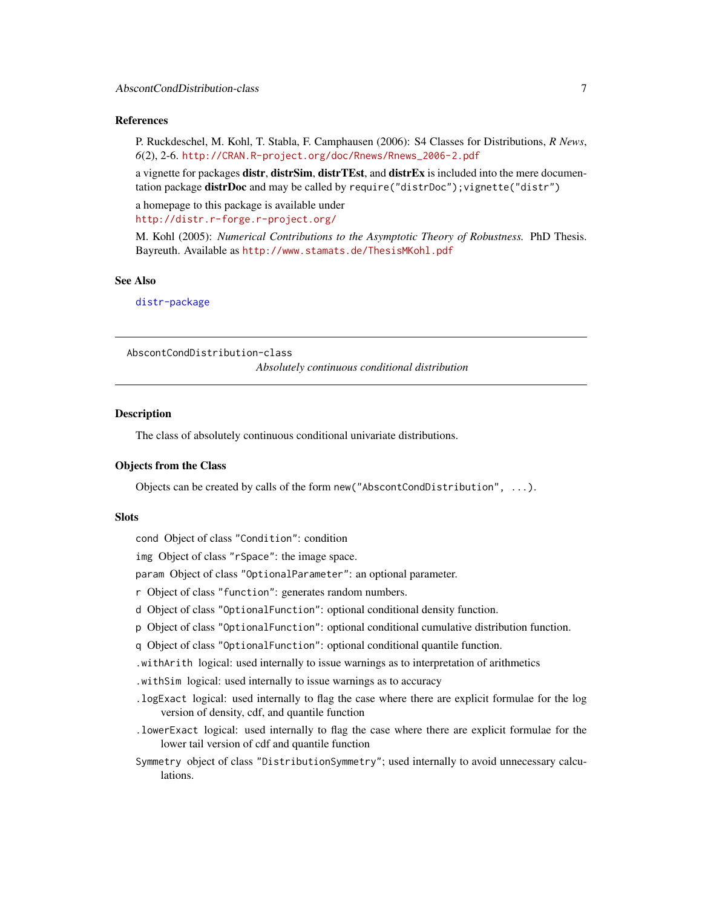#### <span id="page-6-0"></span>References

P. Ruckdeschel, M. Kohl, T. Stabla, F. Camphausen (2006): S4 Classes for Distributions, *R News*, *6*(2), 2-6. [http://CRAN.R-project.org/doc/Rnews/Rnews\\_2006-2.pdf](http://CRAN.R-project.org/doc/Rnews/Rnews_2006-2.pdf)

a vignette for packages distr, distrSim, distrTEst, and distrEx is included into the mere documentation package **distrDoc** and may be called by require("distrDoc"); vignette("distr")

a homepage to this package is available under <http://distr.r-forge.r-project.org/>

M. Kohl (2005): *Numerical Contributions to the Asymptotic Theory of Robustness.* PhD Thesis. Bayreuth. Available as <http://www.stamats.de/ThesisMKohl.pdf>

#### See Also

[distr-package](#page-0-0)

AbscontCondDistribution-class

*Absolutely continuous conditional distribution*

#### Description

The class of absolutely continuous conditional univariate distributions.

#### Objects from the Class

Objects can be created by calls of the form new("AbscontCondDistribution", ...).

#### **Slots**

cond Object of class "Condition": condition

img Object of class "rSpace": the image space.

param Object of class "OptionalParameter": an optional parameter.

- r Object of class "function": generates random numbers.
- d Object of class "OptionalFunction": optional conditional density function.
- p Object of class "OptionalFunction": optional conditional cumulative distribution function.
- q Object of class "OptionalFunction": optional conditional quantile function.
- .withArith logical: used internally to issue warnings as to interpretation of arithmetics
- .withSim logical: used internally to issue warnings as to accuracy
- .logExact logical: used internally to flag the case where there are explicit formulae for the log version of density, cdf, and quantile function
- .lowerExact logical: used internally to flag the case where there are explicit formulae for the lower tail version of cdf and quantile function
- Symmetry object of class "DistributionSymmetry"; used internally to avoid unnecessary calculations.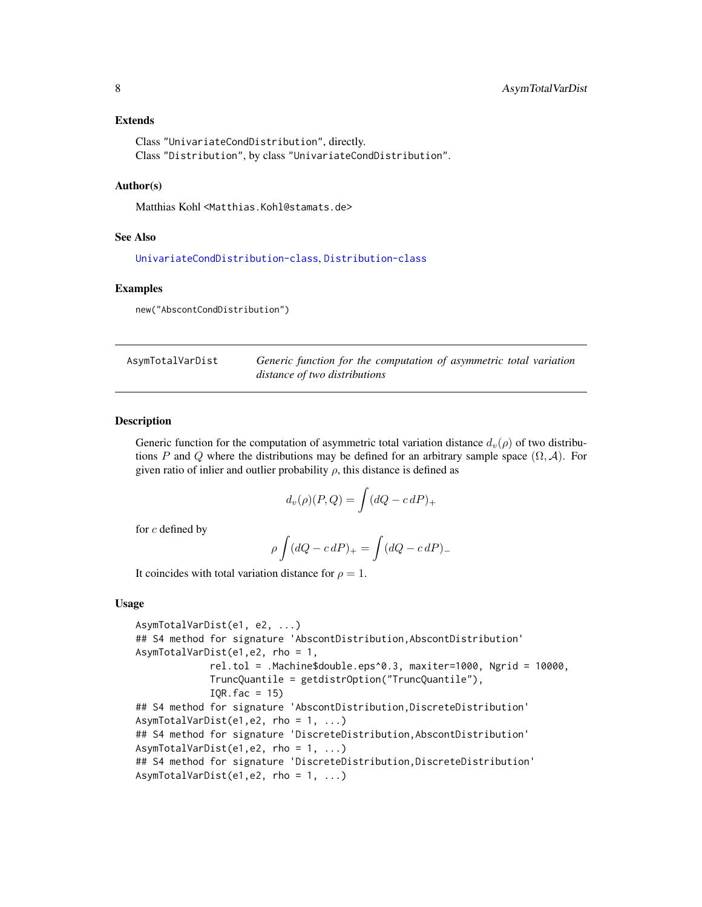#### <span id="page-7-0"></span>Extends

Class "UnivariateCondDistribution", directly. Class "Distribution", by class "UnivariateCondDistribution".

#### Author(s)

Matthias Kohl <Matthias.Kohl@stamats.de>

#### See Also

[UnivariateCondDistribution-class](#page-61-1), [Distribution-class](#page-0-0)

#### Examples

new("AbscontCondDistribution")

| AsymTotalVarDist | Generic function for the computation of asymmetric total variation |
|------------------|--------------------------------------------------------------------|
|                  | distance of two distributions                                      |

# Description

Generic function for the computation of asymmetric total variation distance  $d_v(\rho)$  of two distributions P and Q where the distributions may be defined for an arbitrary sample space  $(\Omega, \mathcal{A})$ . For given ratio of inlier and outlier probability  $\rho$ , this distance is defined as

$$
d_v(\rho)(P,Q) = \int (dQ - c \, dP)_+
$$

for c defined by

$$
\rho \int (dQ - c \, dP)_+ = \int (dQ - c \, dP)_-
$$

It coincides with total variation distance for  $\rho = 1$ .

#### Usage

```
AsymTotalVarDist(e1, e2, ...)
## S4 method for signature 'AbscontDistribution,AbscontDistribution'
AsymTotalVarDist(e1,e2, rho = 1,
             rel.tol = .Machine$double.eps^0.3, maxiter=1000, Ngrid = 10000,
             TruncQuantile = getdistrOption("TruncQuantile"),
            IQR.fac = 15## S4 method for signature 'AbscontDistribution, DiscreteDistribution'
AsymTotalVarDist(e1,e2, rho = 1, ...)
## S4 method for signature 'DiscreteDistribution, AbscontDistribution'
AsymTotalVarDist(e1,e2, rho = 1, ...)
## S4 method for signature 'DiscreteDistribution, DiscreteDistribution'
AsymTotalVarDist(e1,e2, rho = 1, ...)
```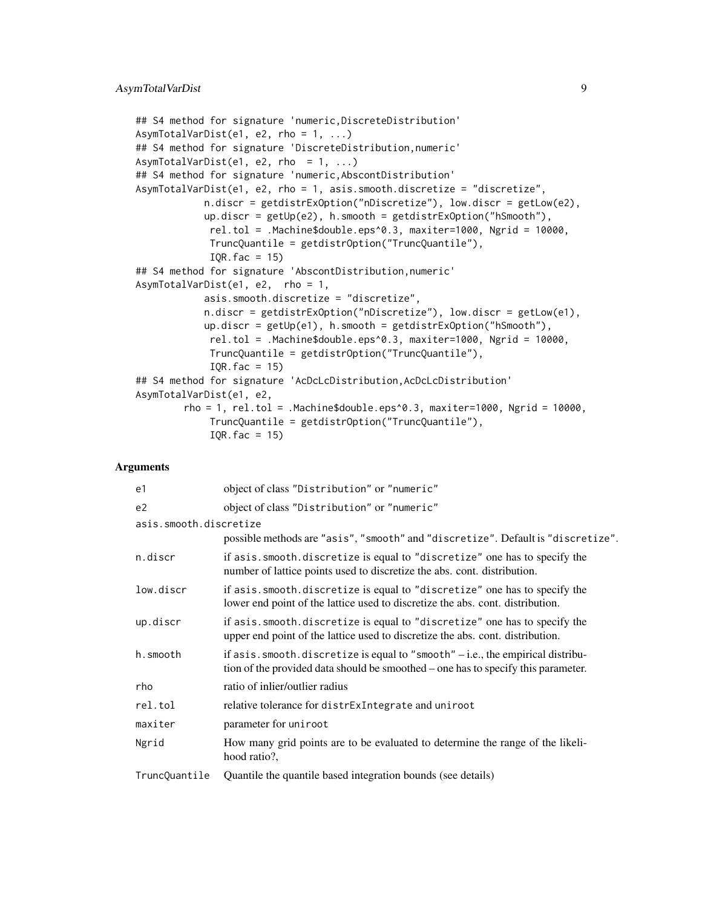```
## S4 method for signature 'numeric,DiscreteDistribution'
AsymTotalVarDist(e1, e2, rho = 1, ...)
## S4 method for signature 'DiscreteDistribution,numeric'
AsymTotalVarDist(e1, e2, rho = 1, ...)
## S4 method for signature 'numeric,AbscontDistribution'
AsymTotalVarDist(e1, e2, rho = 1, asis.smooth.discretize = "discretize",
           n.discr = getdistrExOption("nDiscretize"), low.discr = getLow(e2),
           up.discr = getUp(e2), h.smooth = getdistrExOption("hSmooth"),
             rel.tol = .Machine$double.eps^0.3, maxiter=1000, Ngrid = 10000,
             TruncQuantile = getdistrOption("TruncQuantile"),
            IQR.fac = 15## S4 method for signature 'AbscontDistribution,numeric'
AsymTotalVarDist(e1, e2, rho = 1,
           asis.smooth.discretize = "discretize",
           n.discr = getdistrExOption("nDiscretize"), low.discr = getLow(e1),
           up.discr = getUp(e1), h.smooth = getdistrExOption("hSmooth"),
             rel.tol = .Machine$double.eps^0.3, maxiter=1000, Ngrid = 10000,
            TruncQuantile = getdistrOption("TruncQuantile"),
             IQR.fac = 15## S4 method for signature 'AcDcLcDistribution, AcDcLcDistribution'
AsymTotalVarDist(e1, e2,
        rho = 1, rel.tol = .Machine$double.eps^0.3, maxiter=1000, Ngrid = 10000,
             TruncQuantile = getdistrOption("TruncQuantile"),
             IQR.fac = 15
```
#### Arguments

| e1                     | object of class "Distribution" or "numeric"                                                                                                                              |
|------------------------|--------------------------------------------------------------------------------------------------------------------------------------------------------------------------|
| e <sub>2</sub>         | object of class "Distribution" or "numeric"                                                                                                                              |
| asis.smooth.discretize |                                                                                                                                                                          |
|                        | possible methods are "asis", "smooth" and "discretize". Default is "discretize".                                                                                         |
| n.discr                | if asis. smooth. discretize is equal to "discretize" one has to specify the<br>number of lattice points used to discretize the abs. cont. distribution.                  |
| low.discr              | if asis. smooth. discretize is equal to "discretize" one has to specify the<br>lower end point of the lattice used to discretize the abs. cont. distribution.            |
| up.discr               | if asis. smooth. discretize is equal to "discretize" one has to specify the<br>upper end point of the lattice used to discretize the abs. cont. distribution.            |
| h.smooth               | if as is . smooth. discretize is equal to "smooth" $-i.e.,$ the empirical distribu-<br>tion of the provided data should be smoothed – one has to specify this parameter. |
| rho                    | ratio of inlier/outlier radius                                                                                                                                           |
| rel.tol                | relative tolerance for distrExIntegrate and uniroot                                                                                                                      |
| maxiter                | parameter for uniroot                                                                                                                                                    |
| Ngrid                  | How many grid points are to be evaluated to determine the range of the likeli-<br>hood ratio?,                                                                           |
| TruncQuantile          | Quantile the quantile based integration bounds (see details)                                                                                                             |
|                        |                                                                                                                                                                          |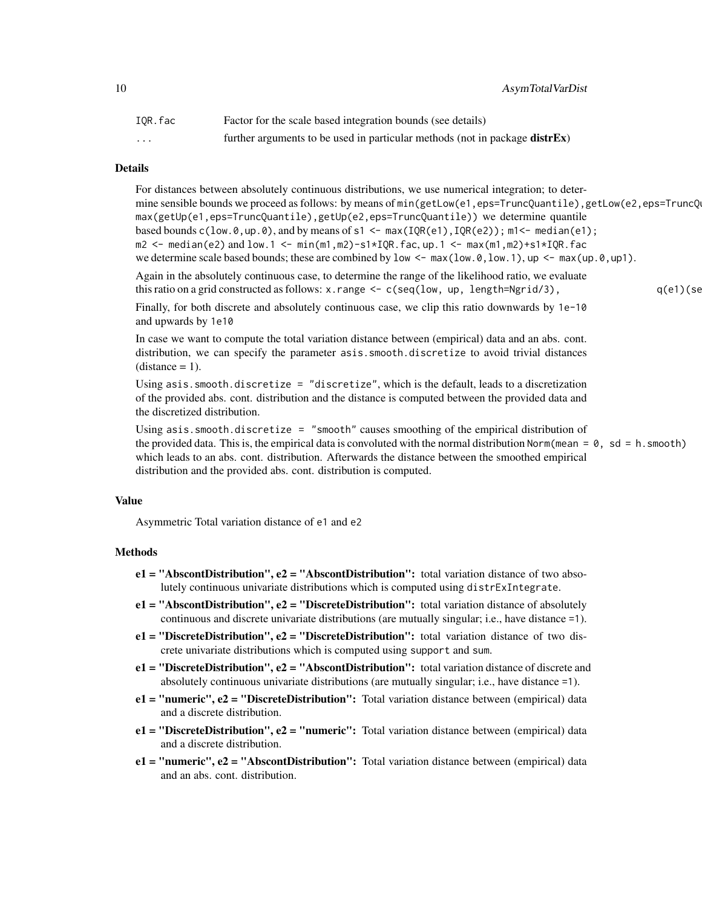10 AsymTotalVarDist

| IOR.fac                 | Factor for the scale based integration bounds (see details)                         |
|-------------------------|-------------------------------------------------------------------------------------|
| $\cdot$ $\cdot$ $\cdot$ | further arguments to be used in particular methods (not in package <b>distrEx</b> ) |

#### Details

For distances between absolutely continuous distributions, we use numerical integration; to determine sensible bounds we proceed as follows: by means of min(getLow(e1,eps=TruncQuantile),getLow(e2,eps=TruncQ max(getUp(e1,eps=TruncQuantile),getUp(e2,eps=TruncQuantile)) we determine quantile based bounds  $c(\text{low.0}, \text{up.0})$ , and by means of s1 <- max(IQR(e1), IQR(e2)); m1<- median(e1); m2 <- median(e2) and low.1 <- min(m1,m2)-s1\*IQR.fac, up.1 <- max(m1,m2)+s1\*IQR.fac we determine scale based bounds; these are combined by low  $\leq -\max(\text{low.0}, \text{low.1}), \text{up} \leq -\max(\text{up.0}, \text{up.0})$ . Again in the absolutely continuous case, to determine the range of the likelihood ratio, we evaluate

this ratio on a grid constructed as follows:  $x$ . range  $\leq -c$  (seq(1 ow, up, 1ength=Ngrid/3), q(e1)(seq

Finally, for both discrete and absolutely continuous case, we clip this ratio downwards by 1e-10 and upwards by 1e10

In case we want to compute the total variation distance between (empirical) data and an abs. cont. distribution, we can specify the parameter asis. smooth.discretize to avoid trivial distances  $distance = 1$ .

Using asis.smooth.discretize = "discretize", which is the default, leads to a discretization of the provided abs. cont. distribution and the distance is computed between the provided data and the discretized distribution.

Using asis.smooth.discretize = "smooth" causes smoothing of the empirical distribution of the provided data. This is, the empirical data is convoluted with the normal distribution Norm(mean =  $\theta$ , sd = h. smooth) which leads to an abs. cont. distribution. Afterwards the distance between the smoothed empirical distribution and the provided abs. cont. distribution is computed.

#### Value

Asymmetric Total variation distance of e1 and e2

#### Methods

- $e1 = "AbscontDistribution", e2 = "AbscontDistribution"; total variation distance of two absolute$ lutely continuous univariate distributions which is computed using distrExIntegrate.
- $e1 = "AbscontDistribution", e2 = "Discrete Distribution": total variation distance of absolutely$ continuous and discrete univariate distributions (are mutually singular; i.e., have distance =1).
- $e1 =$  "DiscreteDistribution",  $e2 =$  "DiscreteDistribution": total variation distance of two discrete univariate distributions which is computed using support and sum.
- $e1 =$  "DiscreteDistribution",  $e2 =$  "AbscontDistribution": total variation distance of discrete and absolutely continuous univariate distributions (are mutually singular; i.e., have distance =1).
- e1 = "numeric", e2 = "DiscreteDistribution": Total variation distance between (empirical) data and a discrete distribution.
- $e1 =$  "DiscreteDistribution",  $e2 =$  "numeric": Total variation distance between (empirical) data and a discrete distribution.
- $e1 = "numeric", e2 = "Abscont Distribution": Total variation distance between (empirical) data$ and an abs. cont. distribution.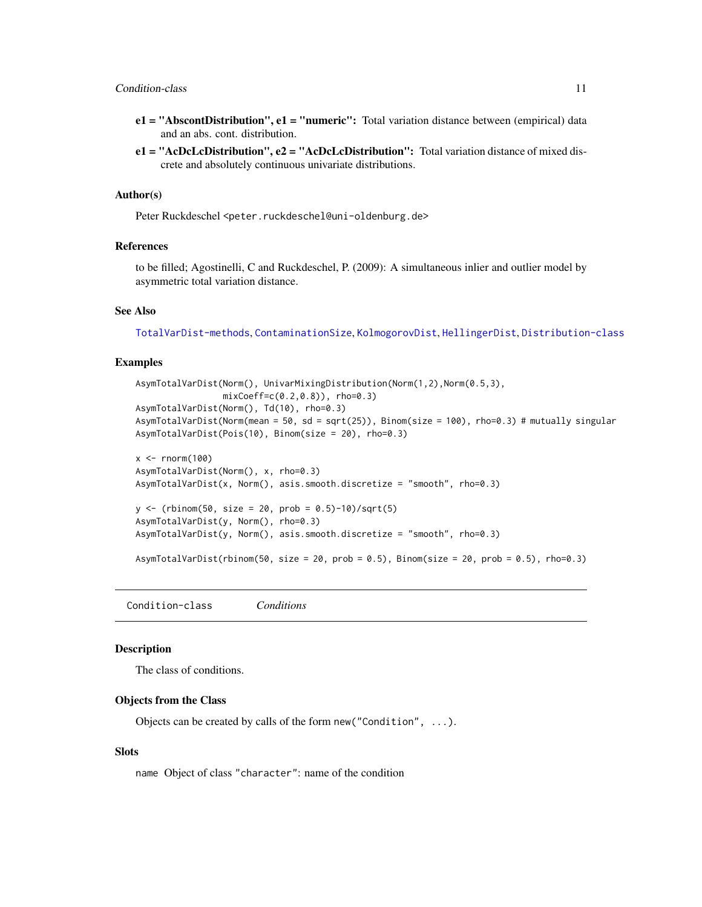- <span id="page-10-0"></span>e1 = "AbscontDistribution", e1 = "numeric": Total variation distance between (empirical) data and an abs. cont. distribution.
- $e1 = "AcDcLcDistribution", e2 = "AcDcLcDistribution": Total variation distance of mixed dis$ crete and absolutely continuous univariate distributions.

#### Author(s)

Peter Ruckdeschel <peter.ruckdeschel@uni-oldenburg.de>

# References

to be filled; Agostinelli, C and Ruckdeschel, P. (2009): A simultaneous inlier and outlier model by asymmetric total variation distance.

#### See Also

[TotalVarDist-methods](#page-58-1), [ContaminationSize](#page-11-1), [KolmogorovDist](#page-40-1), [HellingerDist](#page-37-1), [Distribution-class](#page-0-0)

#### Examples

```
AsymTotalVarDist(Norm(), UnivarMixingDistribution(Norm(1,2),Norm(0.5,3),
                 mixCoeff=c(0.2,0.8)), rho=0.3)
AsymTotalVarDist(Norm(), Td(10), rho=0.3)
AsymTotalVarDist(Norm(mean = 50, sd = sqrt(25)), Binom(size = 100), rho=0.3) # mutually singular
AsymTotalVarDist(Pois(10), Binom(size = 20), rho=0.3)
x <- rnorm(100)
AsymTotalVarDist(Norm(), x, rho=0.3)
AsymTotalVarDist(x, Norm(), asis.smooth.discretize = "smooth", rho=0.3)
y <- (rbinom(50, size = 20, prob = 0.5)-10)/sqrt(5)
AsymTotalVarDist(y, Norm(), rho=0.3)
AsymTotalVarDist(y, Norm(), asis.smooth.discretize = "smooth", rho=0.3)
AsymTotalVarDist(rbinom(50, size = 20, prob = 0.5), Binom(size = 20, prob = 0.5), rho=0.3)
```
<span id="page-10-1"></span>Condition-class *Conditions*

#### Description

The class of conditions.

#### Objects from the Class

Objects can be created by calls of the form new("Condition", ...).

#### **Slots**

name Object of class "character": name of the condition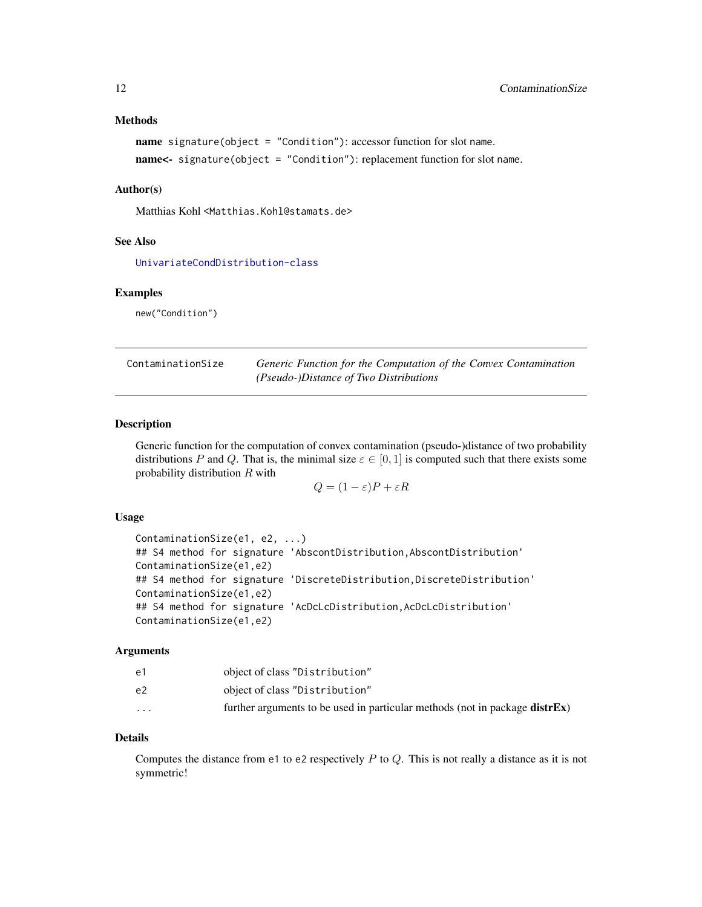#### <span id="page-11-0"></span>Methods

```
name signature(object = "Condition"): accessor function for slot name.
name<- signature(object = "Condition"): replacement function for slot name.
```
#### Author(s)

Matthias Kohl <Matthias.Kohl@stamats.de>

#### See Also

[UnivariateCondDistribution-class](#page-61-1)

#### Examples

new("Condition")

<span id="page-11-1"></span>

| ContaminationSize | Generic Function for the Computation of the Convex Contamination |
|-------------------|------------------------------------------------------------------|
|                   | <i>(Pseudo-)Distance of Two Distributions</i>                    |

#### Description

Generic function for the computation of convex contamination (pseudo-)distance of two probability distributions P and Q. That is, the minimal size  $\varepsilon \in [0,1]$  is computed such that there exists some probability distribution R with

 $Q = (1 - \varepsilon)P + \varepsilon R$ 

### Usage

```
ContaminationSize(e1, e2, ...)
## S4 method for signature 'AbscontDistribution, AbscontDistribution'
ContaminationSize(e1,e2)
## S4 method for signature 'DiscreteDistribution, DiscreteDistribution'
ContaminationSize(e1,e2)
## S4 method for signature 'AcDcLcDistribution, AcDcLcDistribution'
ContaminationSize(e1,e2)
```
#### Arguments

| e1       | object of class "Distribution"                                                      |
|----------|-------------------------------------------------------------------------------------|
| e2       | object of class "Distribution"                                                      |
| $\cdots$ | further arguments to be used in particular methods (not in package <b>distrEx</b> ) |

# Details

Computes the distance from e1 to e2 respectively  $P$  to  $Q$ . This is not really a distance as it is not symmetric!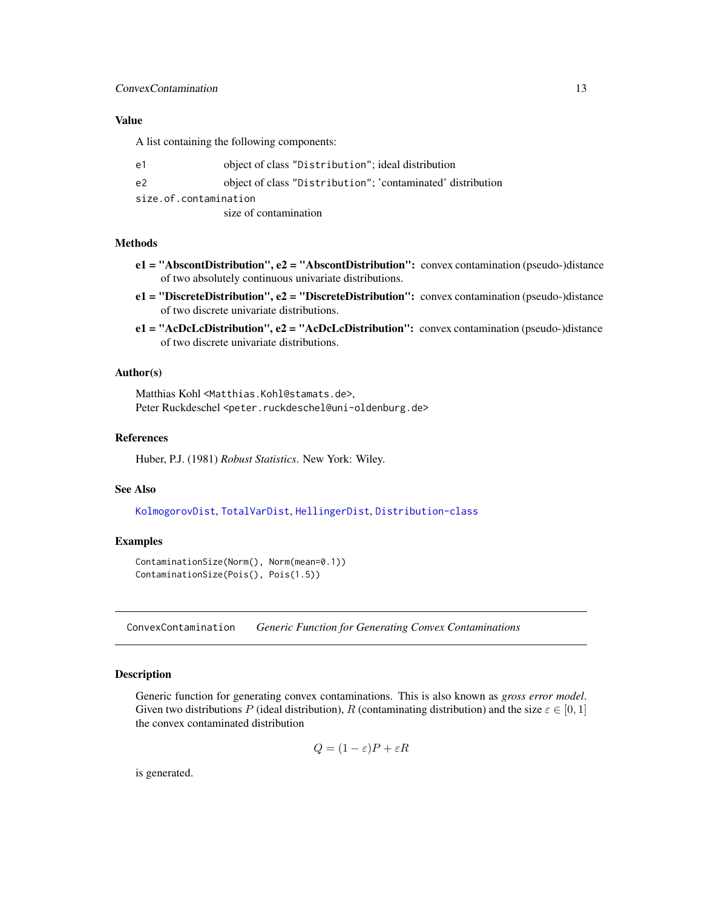#### <span id="page-12-0"></span>ConvexContamination 13

#### Value

A list containing the following components:

| e1 | object of class "Distribution"; ideal distribution          |
|----|-------------------------------------------------------------|
| e2 | object of class "Distribution"; 'contaminated' distribution |
|    | size.of.contamination                                       |
|    | size of contamination                                       |

#### Methods

- e1 = "AbscontDistribution", e2 = "AbscontDistribution": convex contamination (pseudo-)distance of two absolutely continuous univariate distributions.
- e1 = "DiscreteDistribution", e2 = "DiscreteDistribution": convex contamination (pseudo-)distance of two discrete univariate distributions.
- $e1 = "AcDcLcDistriolution", e2 = "AcDcLcDistribution"; convex contamination (pseudo-)distance$ of two discrete univariate distributions.

# Author(s)

Matthias Kohl <Matthias.Kohl@stamats.de>, Peter Ruckdeschel <peter.ruckdeschel@uni-oldenburg.de>

#### References

Huber, P.J. (1981) *Robust Statistics*. New York: Wiley.

#### See Also

[KolmogorovDist](#page-40-1), [TotalVarDist](#page-58-2), [HellingerDist](#page-37-1), [Distribution-class](#page-0-0)

# Examples

```
ContaminationSize(Norm(), Norm(mean=0.1))
ContaminationSize(Pois(), Pois(1.5))
```
ConvexContamination *Generic Function for Generating Convex Contaminations*

# Description

Generic function for generating convex contaminations. This is also known as *gross error model*. Given two distributions P (ideal distribution), R (contaminating distribution) and the size  $\varepsilon \in [0,1]$ the convex contaminated distribution

$$
Q = (1 - \varepsilon)P + \varepsilon R
$$

is generated.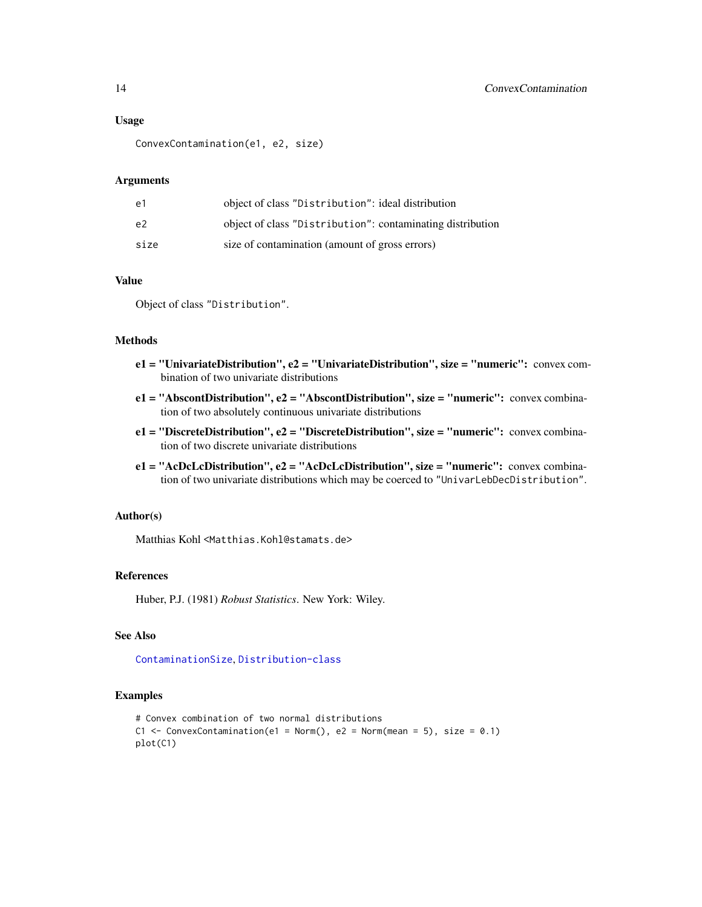#### Usage

ConvexContamination(e1, e2, size)

#### Arguments

| e1   | object of class "Distribution": ideal distribution         |
|------|------------------------------------------------------------|
| e2   | object of class "Distribution": contaminating distribution |
| size | size of contamination (amount of gross errors)             |

#### Value

Object of class "Distribution".

#### Methods

- e1 = "UnivariateDistribution", e2 = "UnivariateDistribution", size = "numeric": convex combination of two univariate distributions
- e1 = "AbscontDistribution", e2 = "AbscontDistribution", size = "numeric": convex combination of two absolutely continuous univariate distributions
- e1 = "DiscreteDistribution", e2 = "DiscreteDistribution", size = "numeric": convex combination of two discrete univariate distributions
- e1 = "AcDcLcDistribution", e2 = "AcDcLcDistribution", size = "numeric": convex combination of two univariate distributions which may be coerced to "UnivarLebDecDistribution".

#### Author(s)

Matthias Kohl <Matthias.Kohl@stamats.de>

# References

Huber, P.J. (1981) *Robust Statistics*. New York: Wiley.

# See Also

[ContaminationSize](#page-11-1), [Distribution-class](#page-0-0)

#### Examples

```
# Convex combination of two normal distributions
C1 <- ConvexContamination(e1 = Norm(), e2 = Norm(mean = 5), size = 0.1)
plot(C1)
```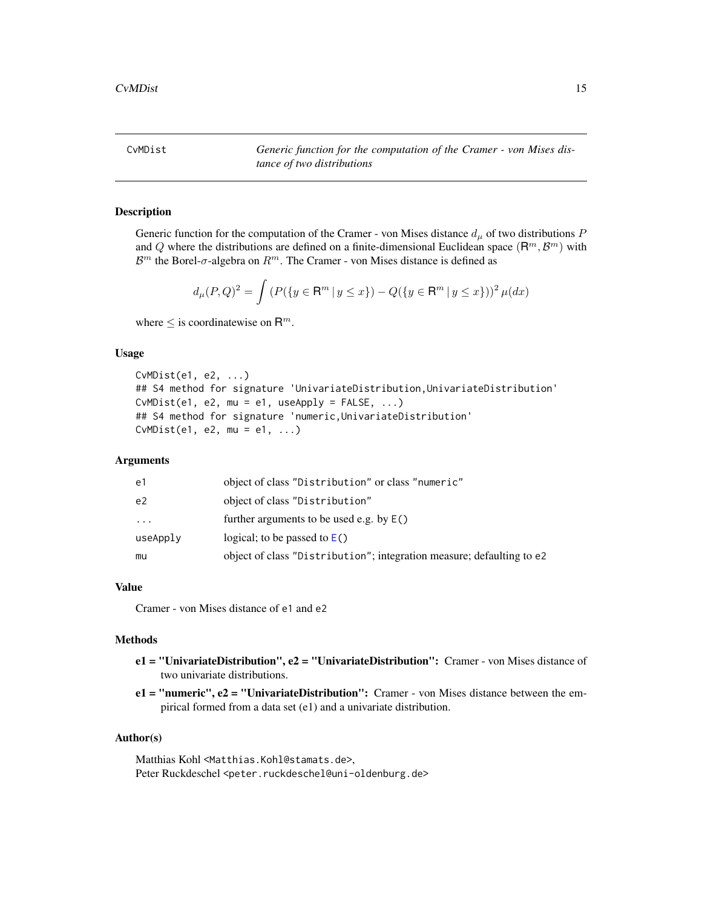<span id="page-14-0"></span>CvMDist *Generic function for the computation of the Cramer - von Mises distance of two distributions*

### Description

Generic function for the computation of the Cramer - von Mises distance  $d_{\mu}$  of two distributions P and Q where the distributions are defined on a finite-dimensional Euclidean space  $(\mathsf{R}^m, \mathcal{B}^m)$  with  $\mathcal{B}^m$  the Borel- $\sigma$ -algebra on  $\mathbb{R}^m$ . The Cramer - von Mises distance is defined as

$$
d_{\mu}(P,Q)^{2} = \int \left( P(\{y \in \mathbf{R}^{m} \mid y \leq x\}) - Q(\{y \in \mathbf{R}^{m} \mid y \leq x\}) \right)^{2} \mu(dx)
$$

where  $\leq$  is coordinatewise on  $\mathsf{R}^m$ .

### Usage

```
CvMDist(e1, e2, ...)
## S4 method for signature 'UnivariateDistribution,UnivariateDistribution'
CvMDist(e1, e2, mu = e1, useApply = FALSE, ...)## S4 method for signature 'numeric,UnivariateDistribution'
CvMDist(e1, e2, mu = e1, \dots)
```
#### Arguments

| e1       | object of class "Distribution" or class "numeric"                     |
|----------|-----------------------------------------------------------------------|
| e2       | object of class "Distribution"                                        |
| $\cdots$ | further arguments to be used e.g. by $E()$                            |
| useApply | logical; to be passed to $E()$                                        |
| mu       | object of class "Distribution"; integration measure; defaulting to e2 |

# Value

Cramer - von Mises distance of e1 and e2

#### Methods

- $e1 = "Univariate Distribution", e2 = "Univariate Distribution": Cramer von Mises distance of$ two univariate distributions.
- e1 = "numeric", e2 = "UnivariateDistribution": Cramer von Mises distance between the empirical formed from a data set (e1) and a univariate distribution.

#### Author(s)

Matthias Kohl <Matthias.Kohl@stamats.de>, Peter Ruckdeschel <peter.ruckdeschel@uni-oldenburg.de>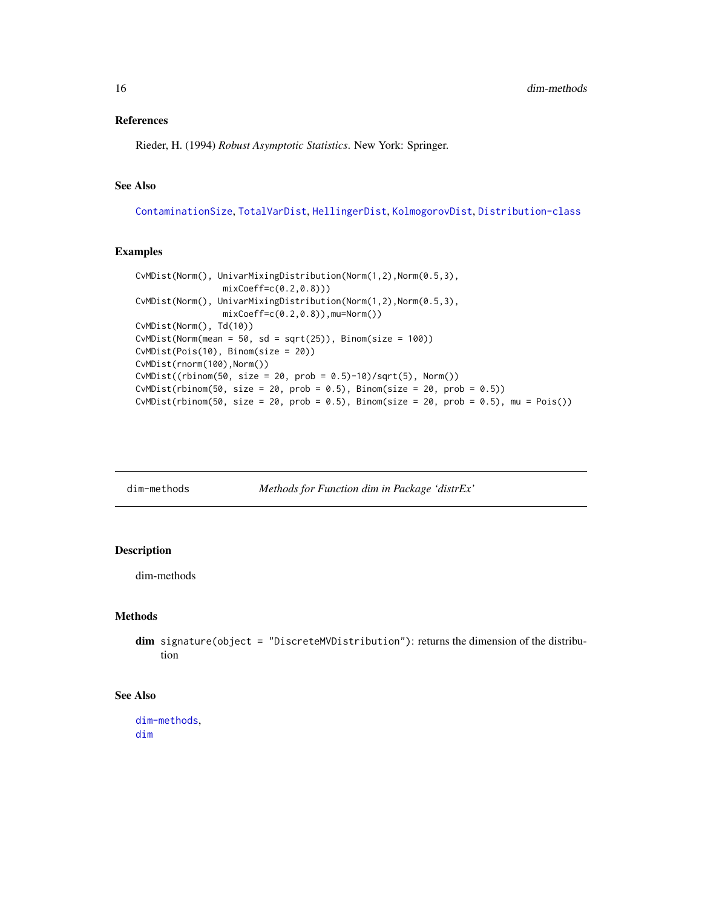### <span id="page-15-0"></span>References

Rieder, H. (1994) *Robust Asymptotic Statistics*. New York: Springer.

# See Also

[ContaminationSize](#page-11-1), [TotalVarDist](#page-58-2), [HellingerDist](#page-37-1), [KolmogorovDist](#page-40-1), [Distribution-class](#page-0-0)

# Examples

```
CvMDist(Norm(), UnivarMixingDistribution(Norm(1,2),Norm(0.5,3),
                mixCoeff=c(0.2,0.8)))
CvMDist(Norm(), UnivarMixingDistribution(Norm(1,2),Norm(0.5,3),
                mixCoeff=c(0.2,0.8)),mu=Norm())
CvMDist(Norm(), Td(10))
CvMDist(Norm(mean = 50, sd = sqrt(25)), Binom(size = 100))CvMDist(Pois(10), Binom(size = 20))
CvMDist(rnorm(100),Norm())
CvMDist((rbinom(50, size = 20, prob = 0.5)-10)/sqrt(5), Norm())
CvMDist(rbinom(50, size = 20, prob = 0.5), Binom(size = 20, prob = 0.5))
CvMDist(rbinom50, size = 20, prob = 0.5), Binom(size = 20, prob = 0.5), mu = Pois()
```
<span id="page-15-1"></span>

dim-methods *Methods for Function dim in Package 'distrEx'*

# <span id="page-15-2"></span>Description

dim-methods

### Methods

dim signature(object = "DiscreteMVDistribution"): returns the dimension of the distribution

#### See Also

[dim-methods](#page-15-1), [dim](#page-15-2)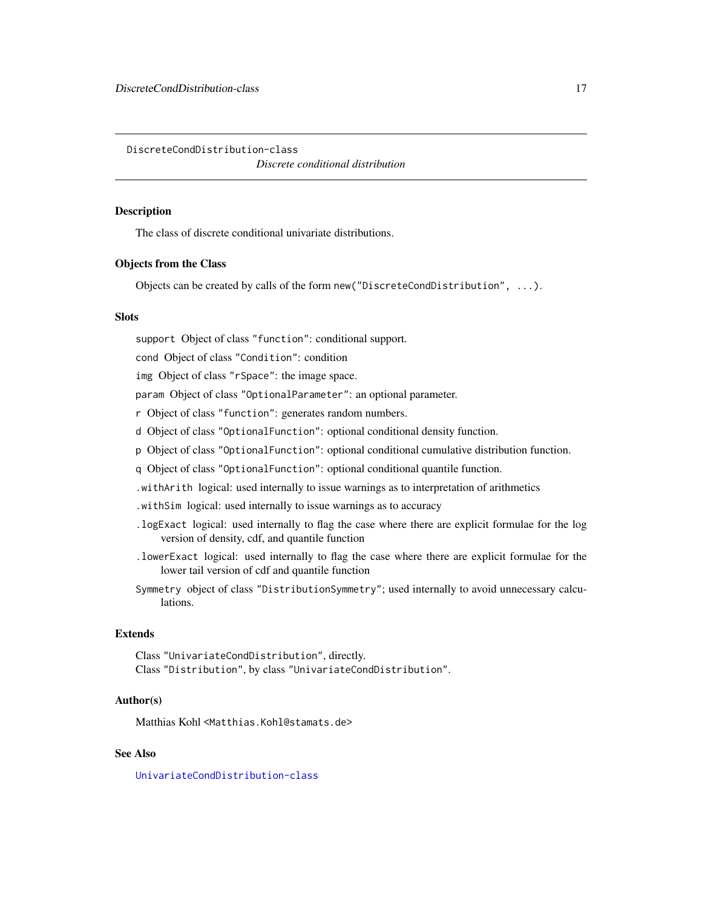<span id="page-16-0"></span>DiscreteCondDistribution-class

*Discrete conditional distribution*

#### **Description**

The class of discrete conditional univariate distributions.

# Objects from the Class

Objects can be created by calls of the form new("DiscreteCondDistribution", ...).

#### **Slots**

support Object of class "function": conditional support.

cond Object of class "Condition": condition

img Object of class "rSpace": the image space.

param Object of class "OptionalParameter": an optional parameter.

r Object of class "function": generates random numbers.

d Object of class "OptionalFunction": optional conditional density function.

- p Object of class "OptionalFunction": optional conditional cumulative distribution function.
- q Object of class "OptionalFunction": optional conditional quantile function.
- .withArith logical: used internally to issue warnings as to interpretation of arithmetics
- .withSim logical: used internally to issue warnings as to accuracy
- .logExact logical: used internally to flag the case where there are explicit formulae for the log version of density, cdf, and quantile function
- .lowerExact logical: used internally to flag the case where there are explicit formulae for the lower tail version of cdf and quantile function
- Symmetry object of class "DistributionSymmetry"; used internally to avoid unnecessary calculations.

#### Extends

Class "UnivariateCondDistribution", directly. Class "Distribution", by class "UnivariateCondDistribution".

#### Author(s)

Matthias Kohl <Matthias.Kohl@stamats.de>

#### See Also

[UnivariateCondDistribution-class](#page-61-1)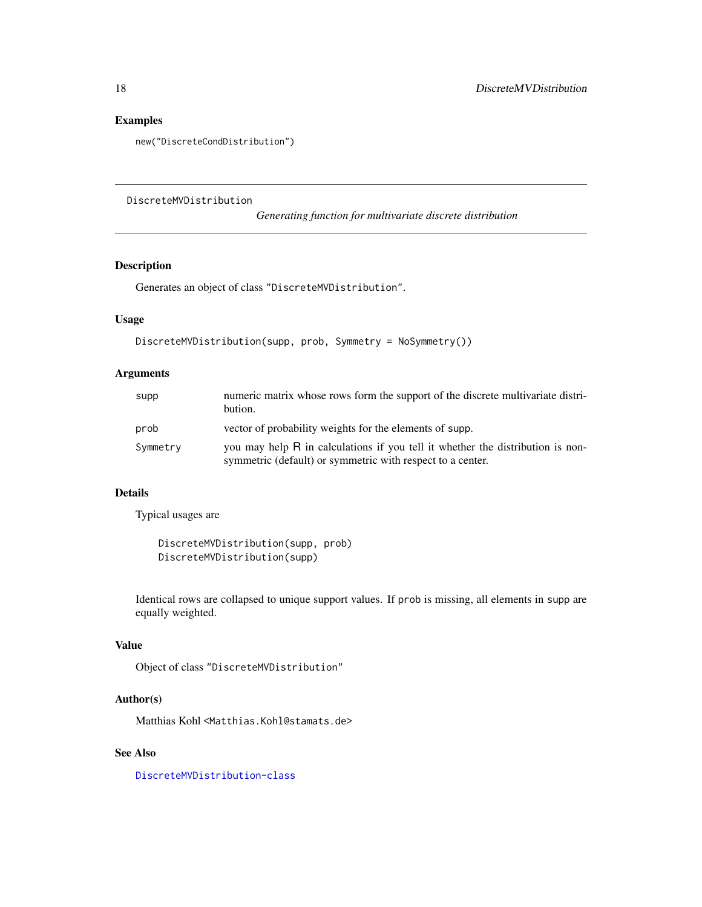# <span id="page-17-0"></span>Examples

new("DiscreteCondDistribution")

<span id="page-17-1"></span>DiscreteMVDistribution

*Generating function for multivariate discrete distribution*

# Description

Generates an object of class "DiscreteMVDistribution".

# Usage

```
DiscreteMVDistribution(supp, prob, Symmetry = NoSymmetry())
```
# Arguments

| supp     | numeric matrix whose rows form the support of the discrete multivariate distri-<br>bution.                                                   |
|----------|----------------------------------------------------------------------------------------------------------------------------------------------|
| prob     | vector of probability weights for the elements of supp.                                                                                      |
| Symmetry | you may help R in calculations if you tell it whether the distribution is non-<br>symmetric (default) or symmetric with respect to a center. |

# Details

Typical usages are

DiscreteMVDistribution(supp, prob) DiscreteMVDistribution(supp)

Identical rows are collapsed to unique support values. If prob is missing, all elements in supp are equally weighted.

### Value

Object of class "DiscreteMVDistribution"

# Author(s)

Matthias Kohl <Matthias.Kohl@stamats.de>

#### See Also

[DiscreteMVDistribution-class](#page-18-1)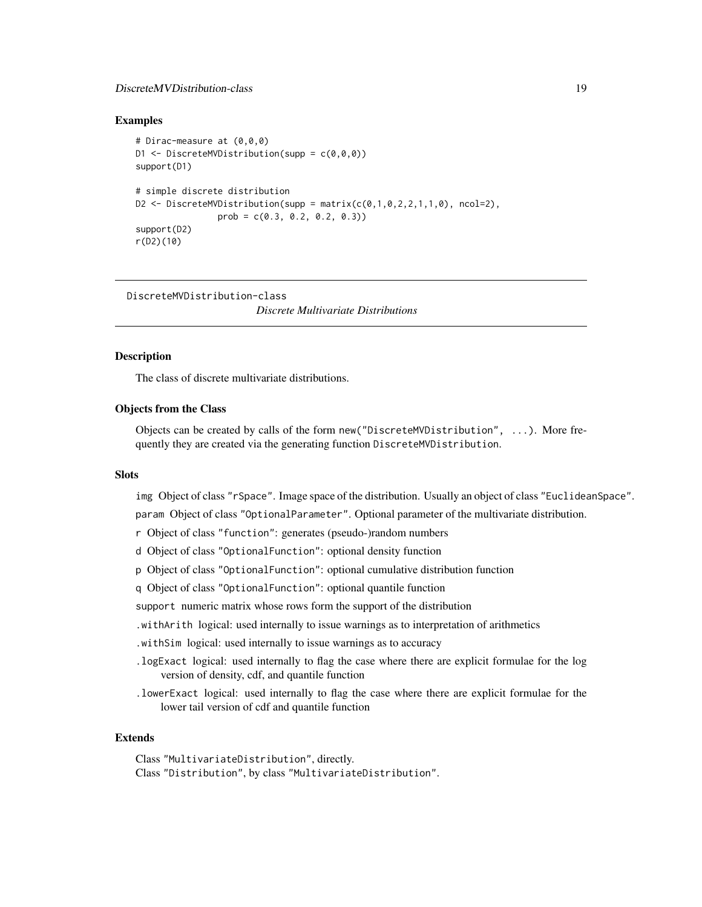# <span id="page-18-0"></span>DiscreteMVDistribution-class 19

#### Examples

```
# Dirac-measure at (0,0,0)
D1 \leq DiscreteMVDistribution(supp = c(0,0,0))
support(D1)
# simple discrete distribution
D2 <- DiscreteMVDistribution(supp = matrix(c(0,1,0,2,2,1,1,0), ncol=2),
                prob = c(0.3, 0.2, 0.2, 0.3))
support(D2)
r(D2)(10)
```
<span id="page-18-1"></span>DiscreteMVDistribution-class

*Discrete Multivariate Distributions*

#### **Description**

The class of discrete multivariate distributions.

# Objects from the Class

Objects can be created by calls of the form new("DiscreteMVDistribution", ...). More frequently they are created via the generating function DiscreteMVDistribution.

#### **Slots**

img Object of class "rSpace". Image space of the distribution. Usually an object of class "EuclideanSpace".

param Object of class "OptionalParameter". Optional parameter of the multivariate distribution.

- r Object of class "function": generates (pseudo-)random numbers
- d Object of class "OptionalFunction": optional density function
- p Object of class "OptionalFunction": optional cumulative distribution function
- q Object of class "OptionalFunction": optional quantile function
- support numeric matrix whose rows form the support of the distribution
- .withArith logical: used internally to issue warnings as to interpretation of arithmetics
- .withSim logical: used internally to issue warnings as to accuracy
- .logExact logical: used internally to flag the case where there are explicit formulae for the log version of density, cdf, and quantile function
- .lowerExact logical: used internally to flag the case where there are explicit formulae for the lower tail version of cdf and quantile function

#### Extends

Class "MultivariateDistribution", directly. Class "Distribution", by class "MultivariateDistribution".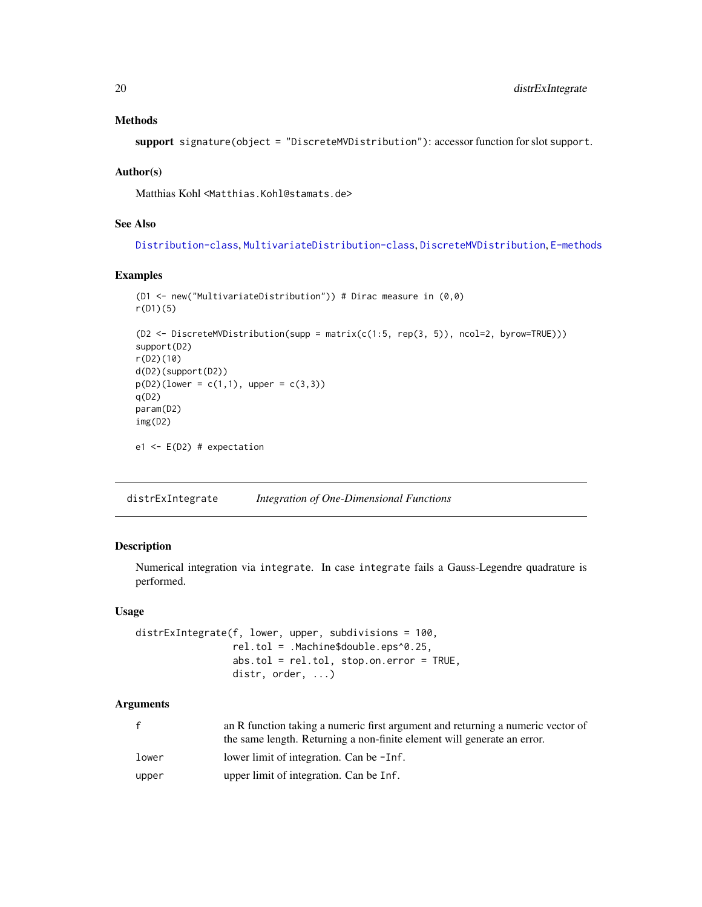# <span id="page-19-0"></span>Methods

support signature(object = "DiscreteMVDistribution"): accessor function for slot support.

#### Author(s)

Matthias Kohl <Matthias.Kohl@stamats.de>

#### See Also

[Distribution-class](#page-0-0), [MultivariateDistribution-class](#page-50-1), [DiscreteMVDistribution](#page-17-1), [E-methods](#page-24-2)

#### Examples

```
(D1 <- new("MultivariateDistribution")) # Dirac measure in (0,0)
r(D1)(5)
(D2 <- DiscreteMVDistribution(supp = matrix(c(1:5, rep(3, 5)), ncol=2, byrow=TRUE)))
support(D2)
r(D2)(10)
d(D2)(support(D2))
p(D2)(lower = c(1,1), upper = c(3,3))q(D2)param(D2)
img(D2)
e1 <- E(D2) # expectation
```
<span id="page-19-1"></span>distrExIntegrate *Integration of One-Dimensional Functions*

#### Description

Numerical integration via integrate. In case integrate fails a Gauss-Legendre quadrature is performed.

#### Usage

```
distrExIntegrate(f, lower, upper, subdivisions = 100,
                 rel.tol = .Machine$double.eps^0.25,
                 abs.tol = rel.tol, stop.on.error = TRUE,
                 distr, order, ...)
```
#### Arguments

| $\mathbf{f}$ | an R function taking a numeric first argument and returning a numeric vector of<br>the same length. Returning a non-finite element will generate an error. |
|--------------|------------------------------------------------------------------------------------------------------------------------------------------------------------|
| lower        | lower limit of integration. Can be -Inf.                                                                                                                   |
| upper        | upper limit of integration. Can be Inf.                                                                                                                    |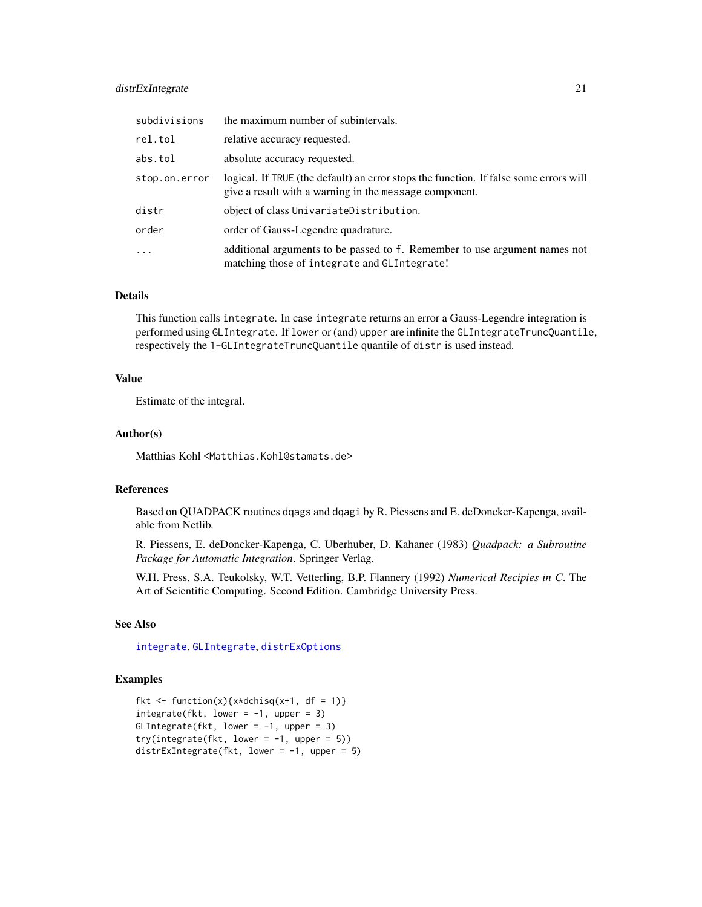# distrExIntegrate 21

| subdivisions  | the maximum number of subintervals.                                                                                                             |
|---------------|-------------------------------------------------------------------------------------------------------------------------------------------------|
| rel.tol       | relative accuracy requested.                                                                                                                    |
| abs.tol       | absolute accuracy requested.                                                                                                                    |
| stop.on.error | logical. If TRUE (the default) an error stops the function. If false some errors will<br>give a result with a warning in the message component. |
| distr         | object of class UnivariateDistribution.                                                                                                         |
| order         | order of Gauss-Legendre quadrature.                                                                                                             |
| $\cdot$       | additional arguments to be passed to f. Remember to use argument names not<br>matching those of integrate and GLIntegrate!                      |

#### Details

This function calls integrate. In case integrate returns an error a Gauss-Legendre integration is performed using GLIntegrate. If lower or (and) upper are infinite the GLIntegrateTruncQuantile, respectively the 1-GLIntegrateTruncQuantile quantile of distr is used instead.

# Value

Estimate of the integral.

#### Author(s)

Matthias Kohl <Matthias.Kohl@stamats.de>

#### References

Based on QUADPACK routines dqags and dqagi by R. Piessens and E. deDoncker-Kapenga, available from Netlib.

R. Piessens, E. deDoncker-Kapenga, C. Uberhuber, D. Kahaner (1983) *Quadpack: a Subroutine Package for Automatic Integration*. Springer Verlag.

W.H. Press, S.A. Teukolsky, W.T. Vetterling, B.P. Flannery (1992) *Numerical Recipies in C*. The Art of Scientific Computing. Second Edition. Cambridge University Press.

# See Also

[integrate](#page-0-0), [GLIntegrate](#page-36-1), [distrExOptions](#page-22-1)

# Examples

```
fkt \leftarrow function(x){x*dchisq(x+1, df = 1)}
integrate(fkt, lower = -1, upper = 3)
GLIntegrate(fkt, lower = -1, upper = 3)
try(integrate(fkt, lower = -1, upper = 5))distrExIntegrate(fkt, lower = -1, upper = 5)
```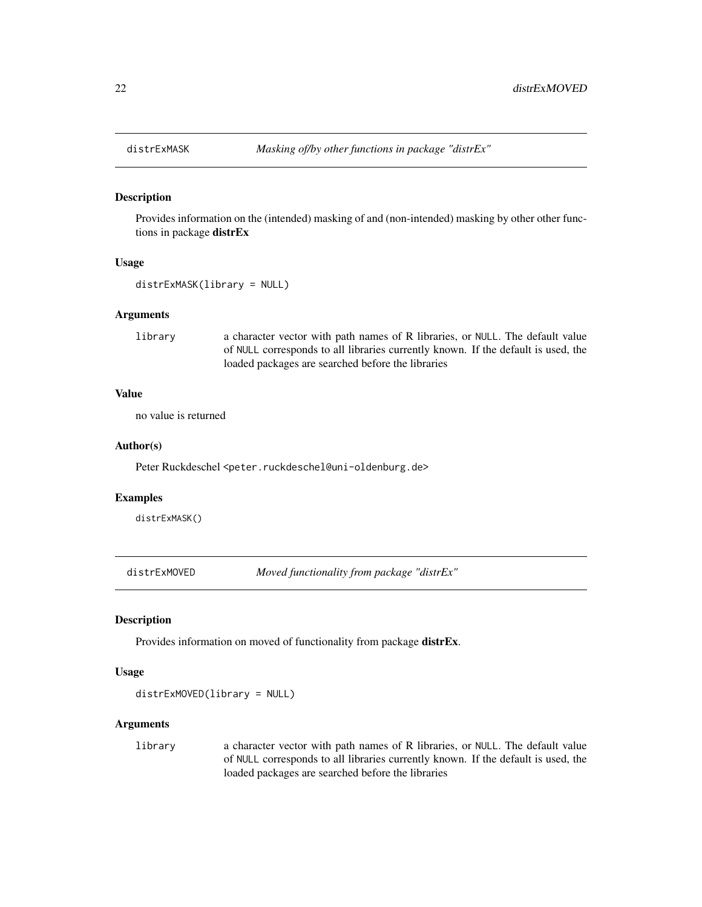<span id="page-21-0"></span>

#### Description

Provides information on the (intended) masking of and (non-intended) masking by other other functions in package distrEx

#### Usage

```
distrExMASK(library = NULL)
```
#### Arguments

library a character vector with path names of R libraries, or NULL. The default value of NULL corresponds to all libraries currently known. If the default is used, the loaded packages are searched before the libraries

# Value

no value is returned

#### Author(s)

Peter Ruckdeschel <peter.ruckdeschel@uni-oldenburg.de>

# Examples

distrExMASK()

distrExMOVED *Moved functionality from package "distrEx"*

#### Description

Provides information on moved of functionality from package distrEx.

### Usage

distrExMOVED(library = NULL)

# Arguments

library a character vector with path names of R libraries, or NULL. The default value of NULL corresponds to all libraries currently known. If the default is used, the loaded packages are searched before the libraries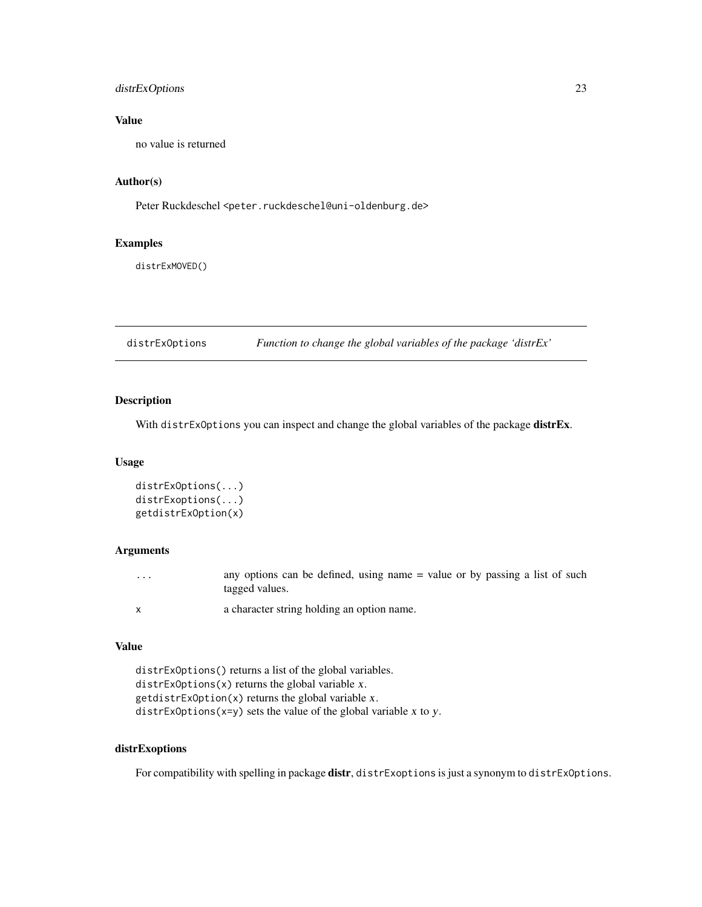# <span id="page-22-0"></span>distrExOptions 23

# Value

no value is returned

# Author(s)

Peter Ruckdeschel <peter.ruckdeschel@uni-oldenburg.de>

# Examples

distrExMOVED()

<span id="page-22-1"></span>distrExOptions *Function to change the global variables of the package 'distrEx'*

# Description

With distrExOptions you can inspect and change the global variables of the package **distrEx**.

#### Usage

```
distrExOptions(...)
distrExoptions(...)
getdistrExOption(x)
```
# Arguments

| $\cdots$ | any options can be defined, using name = value or by passing a list of such<br>tagged values. |
|----------|-----------------------------------------------------------------------------------------------|
|          | a character string holding an option name.                                                    |

#### Value

```
distrExOptions() returns a list of the global variables.
distrExOptions(x) returns the global variable x.
getdistFxOption(x) returns the global variable x.
distrExOptions(x=y) sets the value of the global variable x to y.
```
# distrExoptions

For compatibility with spelling in package distr, distrExoptions is just a synonym to distrExOptions.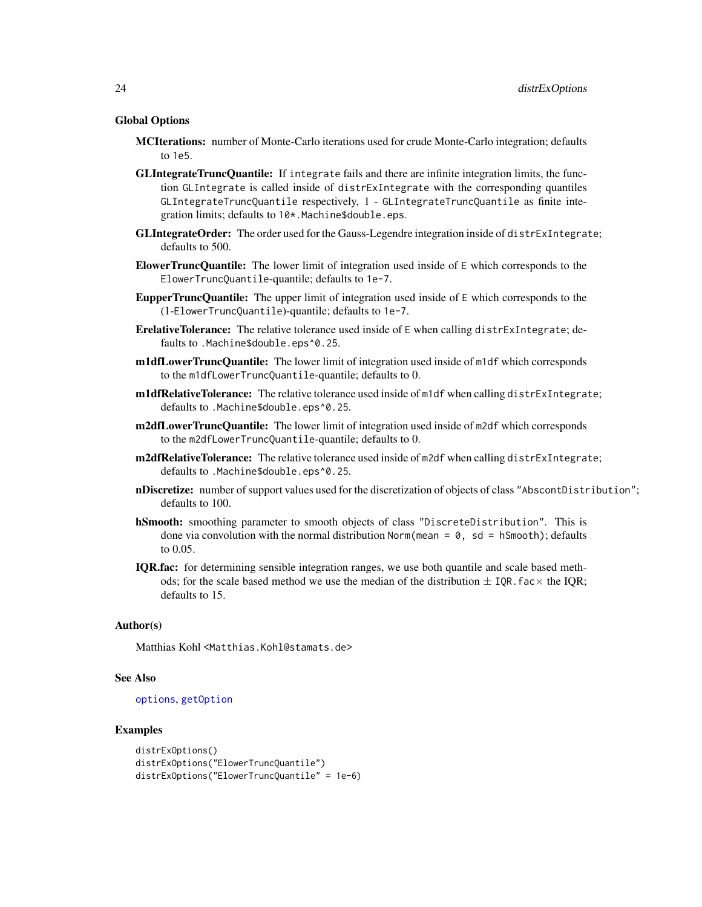#### Global Options

- MCIterations: number of Monte-Carlo iterations used for crude Monte-Carlo integration; defaults to  $1e5$ .
- GLIntegrateTruncQuantile: If integrate fails and there are infinite integration limits, the function GLIntegrate is called inside of distrExIntegrate with the corresponding quantiles GLIntegrateTruncQuantile respectively, 1 - GLIntegrateTruncQuantile as finite integration limits; defaults to 10\*.Machine\$double.eps.
- GLIntegrateOrder: The order used for the Gauss-Legendre integration inside of distrExIntegrate; defaults to 500.
- ElowerTruncQuantile: The lower limit of integration used inside of  $E$  which corresponds to the ElowerTruncQuantile-quantile; defaults to 1e-7.
- **EupperTruncQuantile:** The upper limit of integration used inside of  $E$  which corresponds to the (1-ElowerTruncQuantile)-quantile; defaults to 1e-7.
- ErelativeTolerance: The relative tolerance used inside of E when calling distrExIntegrate; defaults to .Machine\$double.eps^0.25.
- **m1dfLowerTruncQuantile:** The lower limit of integration used inside of m1df which corresponds to the m1dfLowerTruncQuantile-quantile; defaults to 0.
- m1dfRelativeTolerance: The relative tolerance used inside of m1df when calling distrExIntegrate; defaults to .Machine\$double.eps^0.25.
- **m2dfLowerTruncQuantile:** The lower limit of integration used inside of m2df which corresponds to the m2dfLowerTruncQuantile-quantile; defaults to 0.
- m2dfRelativeTolerance: The relative tolerance used inside of m2df when calling distrExIntegrate; defaults to .Machine\$double.eps^0.25.
- nDiscretize: number of support values used for the discretization of objects of class "AbscontDistribution"; defaults to 100.
- hSmooth: smoothing parameter to smooth objects of class "DiscreteDistribution". This is done via convolution with the normal distribution Norm(mean =  $\theta$ , sd = hSmooth); defaults to 0.05.
- IQR.fac: for determining sensible integration ranges, we use both quantile and scale based methods; for the scale based method we use the median of the distribution  $\pm$  IQR. fac $\times$  the IQR; defaults to 15.

#### Author(s)

Matthias Kohl <Matthias.Kohl@stamats.de>

# See Also

#### [options](#page-0-0), [getOption](#page-0-0)

#### Examples

```
distrExOptions()
distrExOptions("ElowerTruncQuantile")
distrExOptions("ElowerTruncQuantile" = 1e-6)
```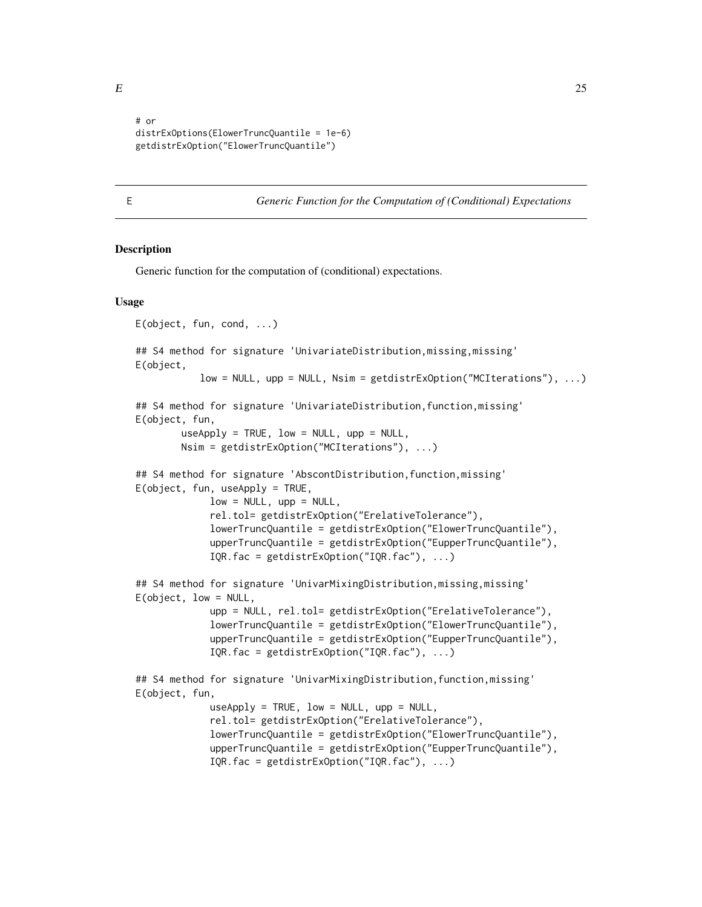<span id="page-24-0"></span>

```
# or
distrExOptions(ElowerTruncQuantile = 1e-6)
getdistrExOption("ElowerTruncQuantile")
```
<span id="page-24-1"></span>

E *Generic Function for the Computation of (Conditional) Expectations*

#### <span id="page-24-2"></span>Description

Generic function for the computation of (conditional) expectations.

#### Usage

```
E(object, fun, cond, ...)
## S4 method for signature 'UnivariateDistribution, missing, missing'
E(object,
           low = NULL, upp = NULL, Nsim = getdistrExOption("MCIterations"), ...)
## S4 method for signature 'UnivariateDistribution,function,missing'
E(object, fun,
       useApply = TRUE, low = NULL, upp = NULL,Nsim = getdistrExOption("MCIterations"), ...)
## S4 method for signature 'AbscontDistribution,function,missing'
E(object, fun, useApply = TRUE,
             low = NULL, upp = NULL,
             rel.tol= getdistrExOption("ErelativeTolerance"),
             lowerTruncQuantile = getdistrExOption("ElowerTruncQuantile"),
             upperTruncQuantile = getdistrExOption("EupperTruncQuantile"),
             IQR.fac = getdistrExOption("IQR.fac"), ...)
## S4 method for signature 'UnivarMixingDistribution,missing,missing'
E(object, low = NULL,
             upp = NULL, rel.tol= getdistrExOption("ErelativeTolerance"),
             lowerTruncQuantile = getdistrExOption("ElowerTruncQuantile"),
             upperTruncQuantile = getdistrExOption("EupperTruncQuantile"),
             IQR.fac = getdistrExOption("IQR.fac"), ...)
## S4 method for signature 'UnivarMixingDistribution,function,missing'
E(object, fun,
             useApply = TRUE, low = NULL, upp = NULL,rel.tol= getdistrExOption("ErelativeTolerance"),
             lowerTruncQuantile = getdistrExOption("ElowerTruncQuantile"),
             upperTruncQuantile = getdistrExOption("EupperTruncQuantile"),
             IQR.fac = getdistrExOption("IQR.fac"), ...)
```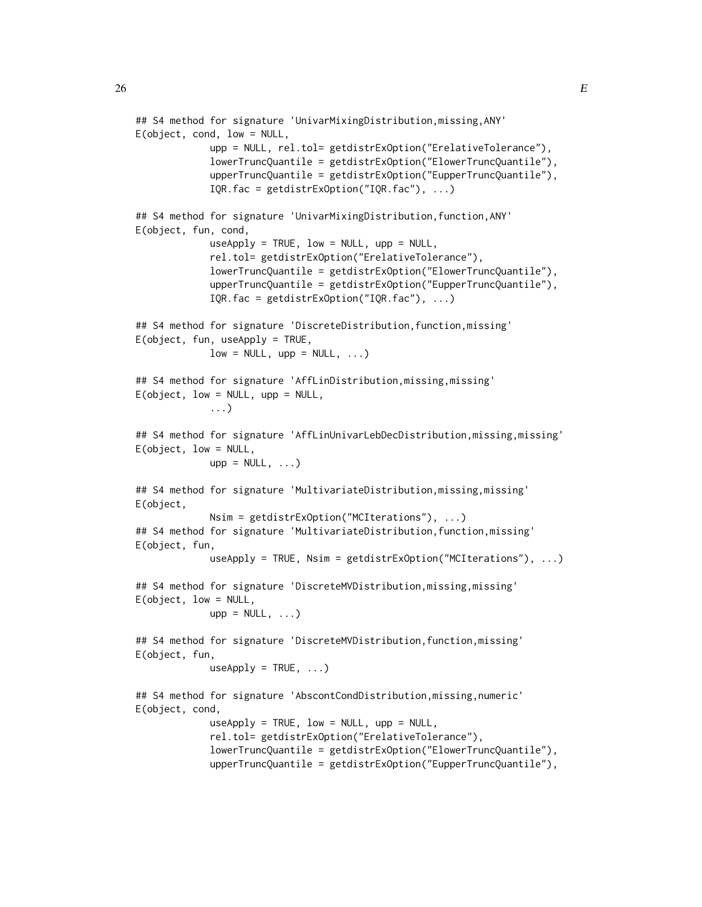```
## S4 method for signature 'UnivarMixingDistribution,missing,ANY'
E(object, cond, low = NULL,
             upp = NULL, rel.tol= getdistrExOption("ErelativeTolerance"),
             lowerTruncQuantile = getdistrExOption("ElowerTruncQuantile"),
             upperTruncQuantile = getdistrExOption("EupperTruncQuantile"),
             IQR.fac = getdistrExOption("IQR.fac"), ...)
## S4 method for signature 'UnivarMixingDistribution,function,ANY'
E(object, fun, cond,
             useApply = TRUE, low = NULL, upp = NULL,rel.tol= getdistrExOption("ErelativeTolerance"),
             lowerTruncQuantile = getdistrExOption("ElowerTruncQuantile"),
             upperTruncQuantile = getdistrExOption("EupperTruncQuantile"),
             IQR.fac = getdistrExOption("IQR.fac"), ...)
## S4 method for signature 'DiscreteDistribution, function, missing'
E(object, fun, useApply = TRUE,
             low = NULL, upp = NULL, ...## S4 method for signature 'AffLinDistribution,missing,missing'
E(\text{object}, \text{low} = \text{NULL}, \text{upp} = \text{NULL},...)
## S4 method for signature 'AffLinUnivarLebDecDistribution,missing,missing'
E(object, low = NULL,
             upp = NULL, ...)## S4 method for signature 'MultivariateDistribution, missing, missing'
E(object,
             Nsim = getdistrExOption("MCIterations"), ...)
## S4 method for signature 'MultivariateDistribution,function,missing'
E(object, fun,
             useApply = TRUE, Nsim = getdistrExOption("MCIterations"), ...)
## S4 method for signature 'DiscreteMVDistribution,missing,missing'
E(object, low = NULL,
             upp = NULL, ...)## S4 method for signature 'DiscreteMVDistribution, function, missing'
E(object, fun,
             useApply = TRUE, ...)## S4 method for signature 'AbscontCondDistribution,missing,numeric'
E(object, cond,
             useApply = TRUE, low = NULL, upp = NULL,rel.tol= getdistrExOption("ErelativeTolerance"),
             lowerTruncQuantile = getdistrExOption("ElowerTruncQuantile"),
             upperTruncQuantile = getdistrExOption("EupperTruncQuantile"),
```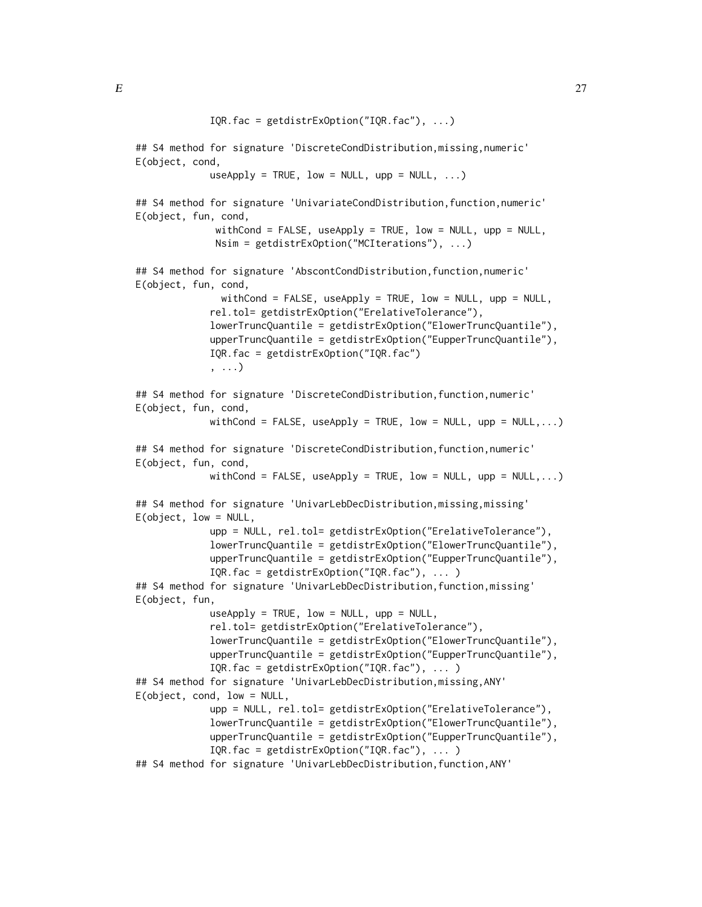## S4 method for signature 'DiscreteCondDistribution,missing,numeric' E(object, cond,

 $useApply = TRUE, low = NULL, upp = NULL, ...)$ 

## S4 method for signature 'UnivariateCondDistribution,function,numeric' E(object, fun, cond,

```
withCond = FALSE, useApply = TRUE, low = NULL, upp = NULL,
Nsim = getdistrExOption("MCIterations"), ...)
```

```
## S4 method for signature 'AbscontCondDistribution, function, numeric'
E(object, fun, cond,
```

```
withCond = FALSE, useApply = TRUE, low = NULL, upp = NULL,
rel.tol= getdistrExOption("ErelativeTolerance"),
lowerTruncQuantile = getdistrExOption("ElowerTruncQuantile"),
upperTruncQuantile = getdistrExOption("EupperTruncQuantile"),
IQR.fac = getdistrExOption("IQR.fac")
, ...)
```

```
## S4 method for signature 'DiscreteCondDistribution,function,numeric'
E(object, fun, cond,
            withCond = FALSE, useApply = TRUE, low = NULL, upp = NULL,...)
## S4 method for signature 'DiscreteCondDistribution,function,numeric'
E(object, fun, cond,
             withCond = FALSE, useApply = TRUE, low = NULL, upp = NULL,...)
## S4 method for signature 'UnivarLebDecDistribution, missing, missing'
E(object, low = NULL,
             upp = NULL, rel.tol= getdistrExOption("ErelativeTolerance"),
             lowerTruncQuantile = getdistrExOption("ElowerTruncQuantile"),
             upperTruncQuantile = getdistrExOption("EupperTruncQuantile"),
             IQR.fac = getdistrExOption("IQR.fac"), ... )
## S4 method for signature 'UnivarLebDecDistribution, function, missing'
E(object, fun,
             useApply = TRUE, low = NULL, upp = NULL,rel.tol= getdistrExOption("ErelativeTolerance"),
             lowerTruncQuantile = getdistrExOption("ElowerTruncQuantile"),
             upperTruncQuantile = getdistrExOption("EupperTruncQuantile"),
             IQR.fac = getdistrExOption("IQR.fac"), ... )
## S4 method for signature 'UnivarLebDecDistribution,missing,ANY'
E(object, cond, low = NULL,
             upp = NULL, rel.tol= getdistrExOption("ErelativeTolerance"),
             lowerTruncQuantile = getdistrExOption("ElowerTruncQuantile"),
             upperTruncQuantile = getdistrExOption("EupperTruncQuantile"),
             IQR.fac = getdistrExOption("IQR.fac"), ... )
## S4 method for signature 'UnivarLebDecDistribution,function,ANY'
```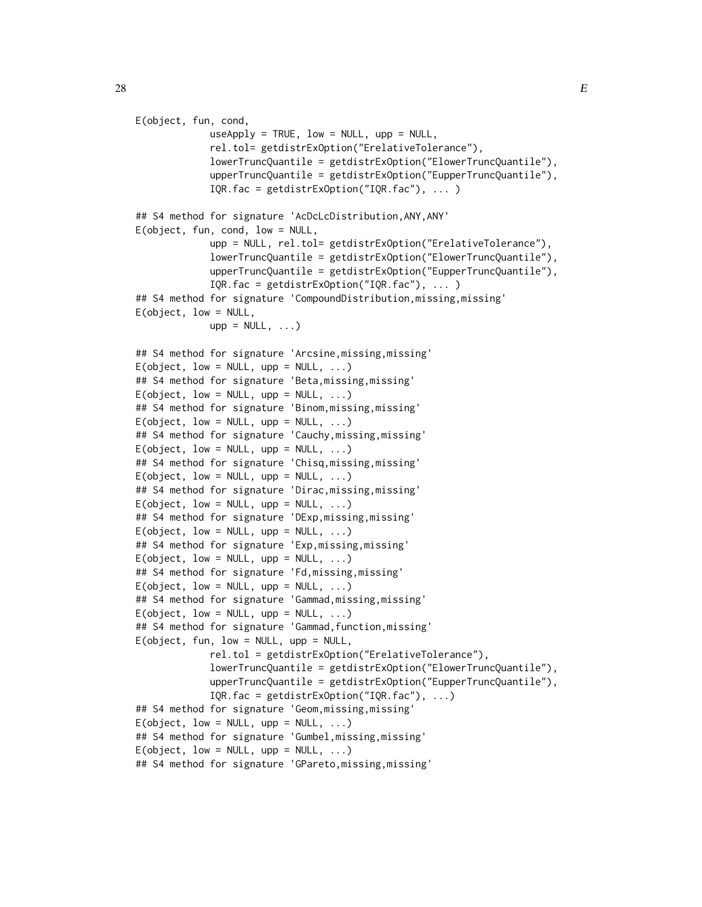```
E(object, fun, cond,
               useApply = TRUE, low = NULL, upp = NULL,rel.tol= getdistrExOption("ErelativeTolerance"),
               lowerTruncQuantile = getdistrExOption("ElowerTruncQuantile"),
               upperTruncQuantile = getdistrExOption("EupperTruncQuantile"),
               IQR.fac = getdistrExOption("IQR.fac"), ... )
## S4 method for signature 'AcDcLcDistribution,ANY,ANY'
E(object, fun, cond, low = NULL,
               upp = NULL, rel.tol= getdistrExOption("ErelativeTolerance"),
               lowerTruncQuantile = getdistrExOption("ElowerTruncQuantile"),
               upperTruncQuantile = getdistrExOption("EupperTruncQuantile"),
               IQR.fac = getdistrExOption("IQR.fac"), ... )
## S4 method for signature 'CompoundDistribution,missing,missing'
E(\text{object}, \text{low} = \text{NULL},upp = NULL, ...)## S4 method for signature 'Arcsine,missing,missing'
E(\text{object}, \text{low} = \text{NULL}, \text{upp} = \text{NULL}, \dots)## S4 method for signature 'Beta,missing,missing'
E(\text{object}, \text{low} = \text{NULL}, \text{upp} = \text{NULL}, \dots)## S4 method for signature 'Binom,missing,missing'
E(\text{object}, \text{low} = \text{NULL}, \text{upp} = \text{NULL}, \dots)## S4 method for signature 'Cauchy,missing,missing'
E(\text{object}, \text{low} = \text{NULL}, \text{upp} = \text{NULL}, \dots)## S4 method for signature 'Chisq,missing,missing'
E(\text{object}, \text{low} = \text{NULL}, \text{upp} = \text{NULL}, \dots)## S4 method for signature 'Dirac,missing,missing'
E(\text{object}, \text{low} = \text{NULL}, \text{upp} = \text{NULL}, \dots)## S4 method for signature 'DExp, missing, missing'
E(\text{object}, \text{low} = \text{NULL}, \text{upp} = \text{NULL}, \dots)## S4 method for signature 'Exp,missing,missing'
E(object, low = NULL, upp = NULL, ...)## S4 method for signature 'Fd,missing,missing'
E(object, low = NULL, upp = NULL, ...)## S4 method for signature 'Gammad,missing,missing'
E(\text{object}, \text{low} = \text{NULL}, \text{upp} = \text{NULL}, \dots)## S4 method for signature 'Gammad,function,missing'
E(object, fun, low = NULL, upp = NULL,
               rel.tol = getdistrExOption("ErelativeTolerance"),
               lowerTruncQuantile = getdistrExOption("ElowerTruncQuantile"),
               upperTruncQuantile = getdistrExOption("EupperTruncQuantile"),
               IQR.fac = getdistrExOption("IQR.fac"), ...)
## S4 method for signature 'Geom,missing,missing'
E(\text{object}, \text{low} = \text{NULL}, \text{upp} = \text{NULL}, \dots)## S4 method for signature 'Gumbel,missing,missing'
E(\text{object}, \text{low} = \text{NULL}, \text{upp} = \text{NULL}, \dots)## S4 method for signature 'GPareto,missing,missing'
```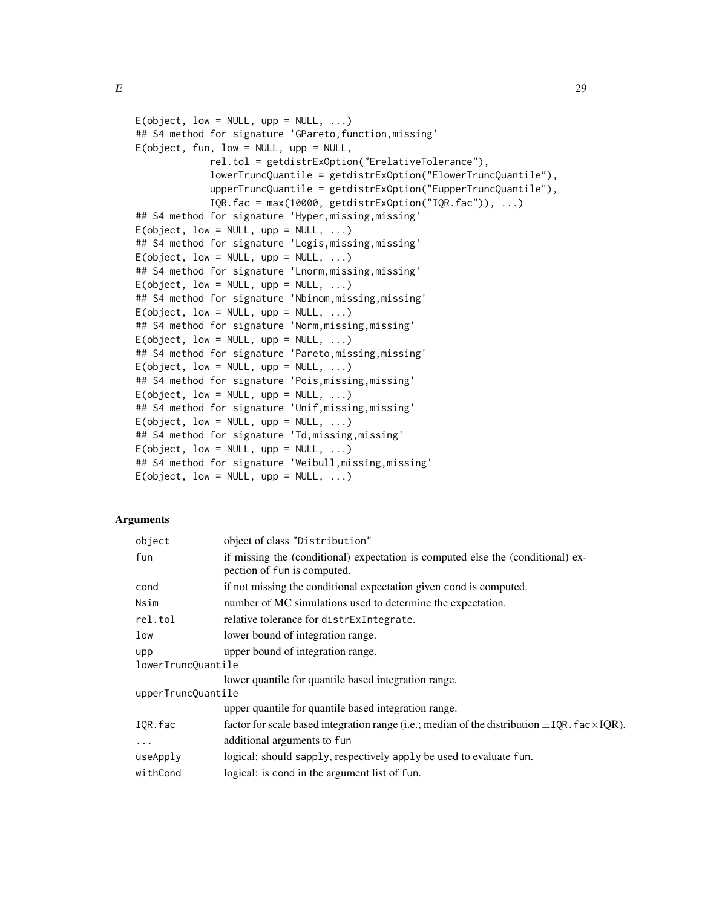```
E(\text{object}, \text{low} = \text{NULL}, \text{upp} = \text{NULL}, \dots)## S4 method for signature 'GPareto, function, missing'
E(object, fun, low = NULL, upp = NULL,
                 rel.tol = getdistrExOption("ErelativeTolerance"),
                 lowerTruncQuantile = getdistrExOption("ElowerTruncQuantile"),
                 upperTruncQuantile = getdistrExOption("EupperTruncQuantile"),
                 IQR.fac = max(10000, getdistrExOption("IQR.fac")), ...)
## S4 method for signature 'Hyper,missing,missing'
E(\text{object}, \text{low} = \text{NULL}, \text{upp} = \text{NULL}, \dots)## S4 method for signature 'Logis,missing,missing'
E(\text{object}, \text{low} = \text{NULL}, \text{upp} = \text{NULL}, \dots)## S4 method for signature 'Lnorm,missing,missing'
E(object, low = NULL, upp = NULL, \ldots)
## S4 method for signature 'Nbinom,missing,missing'
E(\text{object}, \text{low} = \text{NULL}, \text{upp} = \text{NULL}, \dots)## S4 method for signature 'Norm, missing, missing'
E(\text{object}, \text{low} = \text{NULL}, \text{upp} = \text{NULL}, \dots)## S4 method for signature 'Pareto,missing,missing'
E(\text{object}, \text{low} = \text{NULL}, \text{upp} = \text{NULL}, \dots)## S4 method for signature 'Pois,missing,missing'
E(\text{object}, \text{low} = \text{NULL}, \text{upp} = \text{NULL}, \dots)## S4 method for signature 'Unif,missing,missing'
E(\text{object}, \text{low} = \text{NULL}, \text{upp} = \text{NULL}, \dots)## S4 method for signature 'Td,missing,missing'
E(\text{object}, \text{low} = \text{NULL}, \text{upp} = \text{NULL}, \dots)## S4 method for signature 'Weibull,missing,missing'
E(\text{object}, \text{low} = \text{NULL}, \text{upp} = \text{NULL}, \dots)
```
#### Arguments

| object             | object of class "Distribution"                                                                                 |
|--------------------|----------------------------------------------------------------------------------------------------------------|
| fun                | if missing the (conditional) expectation is computed else the (conditional) ex-<br>pection of fun is computed. |
| cond               | if not missing the conditional expectation given cond is computed.                                             |
| Nsim               | number of MC simulations used to determine the expectation.                                                    |
| rel.tol            | relative tolerance for distrExIntegrate.                                                                       |
| low                | lower bound of integration range.                                                                              |
| upp                | upper bound of integration range.                                                                              |
| lowerTruncQuantile |                                                                                                                |
|                    | lower quantile for quantile based integration range.                                                           |
| upperTruncQuantile |                                                                                                                |
|                    | upper quantile for quantile based integration range.                                                           |
| IQR.fac            | factor for scale based integration range (i.e.; median of the distribution $\pm$ IQR. fac $\times$ IQR).       |
| $\ddots$ .         | additional arguments to fun                                                                                    |
| useApply           | logical: should sapply, respectively apply be used to evaluate fun.                                            |
| withCond           | logical: is cond in the argument list of fun.                                                                  |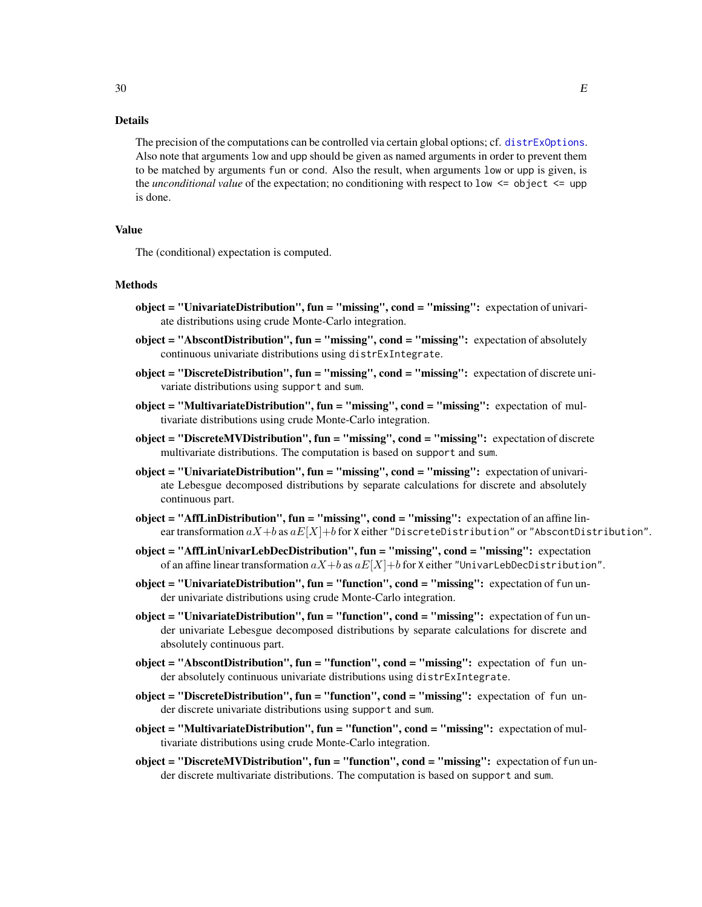The precision of the computations can be controlled via certain global options; cf. [distrExOptions](#page-22-1). Also note that arguments low and upp should be given as named arguments in order to prevent them to be matched by arguments fun or cond. Also the result, when arguments low or upp is given, is the *unconditional value* of the expectation; no conditioning with respect to low <= object <= upp is done.

#### Value

The (conditional) expectation is computed.

#### Methods

- $object = "Universal distribution", fun = "missing", cond = "missing": expectation of univariate Distribution"$ ate distributions using crude Monte-Carlo integration.
- object = "AbscontDistribution", fun = "missing", cond = "missing": expectation of absolutely continuous univariate distributions using distrExIntegrate.
- object = "DiscreteDistribution", fun = "missing", cond = "missing": expectation of discrete univariate distributions using support and sum.
- object = "MultivariateDistribution", fun = "missing", cond = "missing": expectation of multivariate distributions using crude Monte-Carlo integration.
- object = "DiscreteMVDistribution", fun = "missing", cond = "missing": expectation of discrete multivariate distributions. The computation is based on support and sum.
- object = "UnivariateDistribution", fun = "missing", cond = "missing": expectation of univariate Lebesgue decomposed distributions by separate calculations for discrete and absolutely continuous part.
- object = "AffLinDistribution", fun = "missing", cond = "missing": expectation of an affine linear transformation  $aX+b$  as  $aE[X]+b$  for X either "DiscreteDistribution" or "AbscontDistribution".
- object = "AffLinUnivarLebDecDistribution", fun = "missing", cond = "missing": expectation of an affine linear transformation  $aX+b$  as  $aE[X]+b$  for X either "UnivarLebDecDistribution".
- object = "UnivariateDistribution", fun = "function", cond = "missing": expectation of fun under univariate distributions using crude Monte-Carlo integration.
- object = "UnivariateDistribution", fun = "function", cond = "missing": expectation of fun under univariate Lebesgue decomposed distributions by separate calculations for discrete and absolutely continuous part.
- object = "AbscontDistribution", fun = "function", cond = "missing": expectation of fun under absolutely continuous univariate distributions using distrExIntegrate.
- object = "DiscreteDistribution", fun = "function", cond = "missing": expectation of fun under discrete univariate distributions using support and sum.
- object = "MultivariateDistribution", fun = "function", cond = "missing": expectation of multivariate distributions using crude Monte-Carlo integration.
- object = "DiscreteMVDistribution", fun = "function", cond = "missing": expectation of fun under discrete multivariate distributions. The computation is based on support and sum.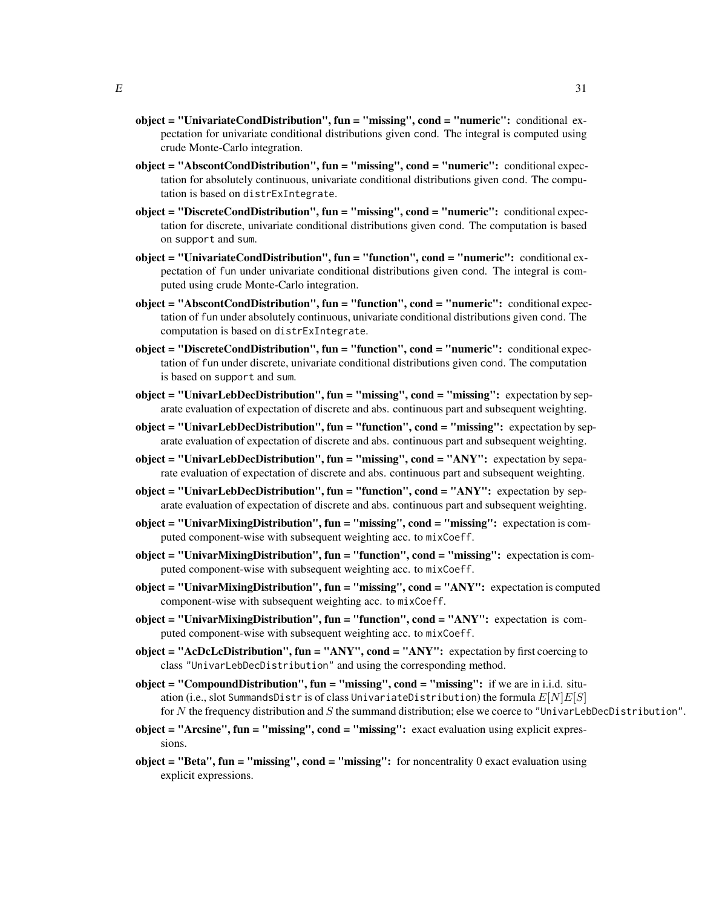- object = "UnivariateCondDistribution", fun = "missing", cond = "numeric": conditional expectation for univariate conditional distributions given cond. The integral is computed using crude Monte-Carlo integration.
- object = "AbscontCondDistribution", fun = "missing", cond = "numeric": conditional expectation for absolutely continuous, univariate conditional distributions given cond. The computation is based on distrExIntegrate.
- object = "DiscreteCondDistribution", fun = "missing", cond = "numeric": conditional expectation for discrete, univariate conditional distributions given cond. The computation is based on support and sum.
- object = "UnivariateCondDistribution", fun = "function", cond = "numeric": conditional expectation of fun under univariate conditional distributions given cond. The integral is computed using crude Monte-Carlo integration.
- object = "AbscontCondDistribution", fun = "function", cond = "numeric": conditional expectation of fun under absolutely continuous, univariate conditional distributions given cond. The computation is based on distrExIntegrate.
- object = "DiscreteCondDistribution", fun = "function", cond = "numeric": conditional expectation of fun under discrete, univariate conditional distributions given cond. The computation is based on support and sum.
- object = "UnivarLebDecDistribution", fun = "missing", cond = "missing": expectation by separate evaluation of expectation of discrete and abs. continuous part and subsequent weighting.
- object = "UnivarLebDecDistribution", fun = "function", cond = "missing": expectation by separate evaluation of expectation of discrete and abs. continuous part and subsequent weighting.
- $object = "UniversalDecDistribution", fun = "missing", cond = "ANY": expectation by separ$ rate evaluation of expectation of discrete and abs. continuous part and subsequent weighting.
- $object = "UniversalDecDistribution", fun = "function", cond = "ANY": expectation by sep$ arate evaluation of expectation of discrete and abs. continuous part and subsequent weighting.
- object = "UnivarMixingDistribution", fun = "missing", cond = "missing": expectation is computed component-wise with subsequent weighting acc. to mixCoeff.
- $object = "UnixingDistribution", fun = "function", cond = "missing": expectation is com$ puted component-wise with subsequent weighting acc. to mixCoeff.
- object = "UnivarMixingDistribution", fun = "missing", cond = "ANY": expectation is computed component-wise with subsequent weighting acc. to mixCoeff.
- object = "UnivarMixingDistribution", fun = "function", cond = " $\text{ANY}$ ": expectation is computed component-wise with subsequent weighting acc. to mixCoeff.
- object = "AcDcLcDistribution", fun = "ANY", cond = "ANY": expectation by first coercing to class "UnivarLebDecDistribution" and using the corresponding method.
- object = "Compound Distribution", fun = "missing", cond = "missing": if we are in i.i.d. situation (i.e., slot SummandsDistr is of class UnivariateDistribution) the formula  $E[N]E[S]$ for N the frequency distribution and S the summand distribution; else we coerce to "UnivarLebDecDistribution".
- object = "Arcsine", fun = "missing", cond = "missing": exact evaluation using explicit expressions.
- object = "Beta", fun = "missing", cond = "missing": for noncentrality 0 exact evaluation using explicit expressions.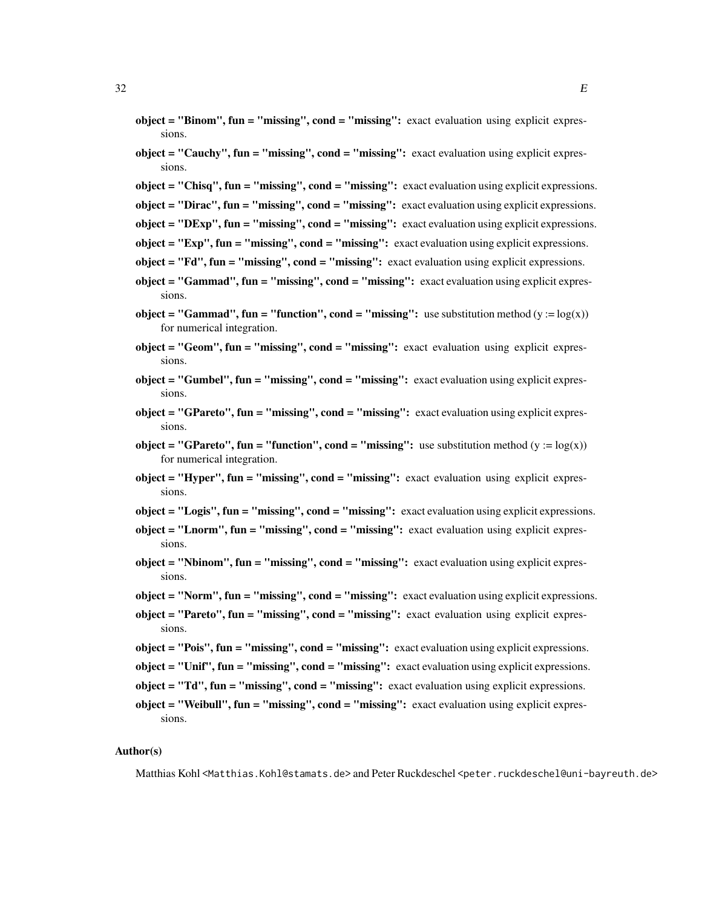- $object = "Binom", fun = "missing", cond = "missing": exact evaluation using explicit expres$ sions.
- object = "Cauchy", fun = "missing", cond = "missing": exact evaluation using explicit expressions.
- object = "Chisq", fun = "missing", cond = "missing": exact evaluation using explicit expressions.
- object = "Dirac", fun = "missing", cond = "missing": exact evaluation using explicit expressions.
- $object = "DExp", fun = "missing", cond = "missing": exact evaluation using explicit expressions.$
- object = " $Exp$ ", fun = " $missing$ ", cond = " $missing$ ": exact evaluation using explicit expressions.
- object = " $Fd''$ ,  $fun = "missing''$ ,  $cond = "missing''$ : exact evaluation using explicit expressions.
- object = "Gammad", fun = "missing", cond = "missing": exact evaluation using explicit expressions.
- object = "Gammad", fun = "function", cond = "missing": use substitution method  $(y := log(x))$ for numerical integration.
- $object = "Geom", fun = "missing", cond = "missing": exact evaluation using explicit expres$ sions.
- object = "Gumbel", fun = "missing", cond = "missing": exact evaluation using explicit expressions.
- object = "GPareto", fun = "missing", cond = "missing": exact evaluation using explicit expressions.
- **object = "GPareto", fun = "function", cond = "missing":** use substitution method (y :=  $log(x)$ ) for numerical integration.
- $object = "Hyper", fun = "missing", cond = "missing": exact evaluation using explicit expres"$ sions.
- object = "Logis", fun = "missing", cond = "missing": exact evaluation using explicit expressions.
- $object = "Lnorm", fun = "missing", cond = "missing": exact evaluation using explicit expres"$ sions.
- object = "Nbinom", fun = "missing", cond = "missing": exact evaluation using explicit expressions.
- object = "Norm", fun = "missing", cond = "missing": exact evaluation using explicit expressions.
- object = "Pareto", fun = "missing", cond = "missing": exact evaluation using explicit expressions.
- object = "Pois", fun = "missing", cond = "missing": exact evaluation using explicit expressions.
- object = "Unif", fun = "missing", cond = "missing": exact evaluation using explicit expressions.
- object = "Td", fun = "missing", cond = "missing": exact evaluation using explicit expressions.
- $object = "Weibull", fun = "missing", cond = "missing": exact evaluation using explicit expres"$ sions.

#### Author(s)

Matthias Kohl <Matthias.Kohl@stamats.de> and Peter Ruckdeschel <peter.ruckdeschel@uni-bayreuth.de>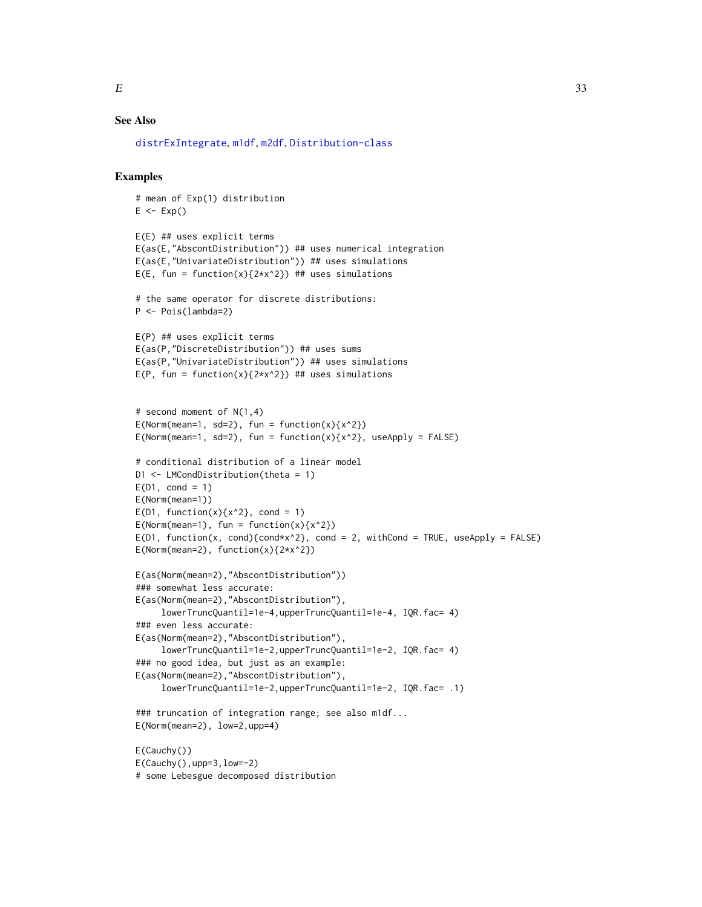# See Also

[distrExIntegrate](#page-19-1), [m1df](#page-46-1), [m2df](#page-47-1), [Distribution-class](#page-0-0)

# Examples

```
# mean of Exp(1) distribution
E \leftarrow Exp()E(E) ## uses explicit terms
E(as(E,"AbscontDistribution")) ## uses numerical integration
E(as(E,"UnivariateDistribution")) ## uses simulations
E(E, fun = function(x){2*x^2}) ## uses simulations
# the same operator for discrete distributions:
P <- Pois(lambda=2)
E(P) ## uses explicit terms
E(as(P,"DiscreteDistribution")) ## uses sums
E(as(P,"UnivariateDistribution")) ## uses simulations
E(P, fun = function(x){2*x^2}) ## uses simulations
# second moment of N(1,4)
E(Norm(mean=1, sd=2), fun = function(x){x^2}}E(Norm(mean=1, sd=2), fun = function(x){x^2}, useApply = FALSE)
# conditional distribution of a linear model
D1 <- LMCondDistribution(theta = 1)
E(D1, cond = 1)E(Norm(mean=1))
E(D1, function(x){x^2}, cond = 1)E(Norm(mean=1), fun = function(x){x^2}\)E(D1, function(x, cond){cond*x^2}, cond = 2, without E(DL, useApply = FALSE)E(Norm(mean=2), function(x){2*x^2})E(as(Norm(mean=2),"AbscontDistribution"))
### somewhat less accurate:
E(as(Norm(mean=2),"AbscontDistribution"),
     lowerTruncQuantil=1e-4,upperTruncQuantil=1e-4, IQR.fac= 4)
### even less accurate:
E(as(Norm(mean=2),"AbscontDistribution"),
     lowerTruncQuantil=1e-2,upperTruncQuantil=1e-2, IQR.fac= 4)
### no good idea, but just as an example:
E(as(Norm(mean=2),"AbscontDistribution"),
     lowerTruncQuantil=1e-2,upperTruncQuantil=1e-2, IQR.fac= .1)
### truncation of integration range; see also m1df...
E(Norm(mean=2), low=2,upp=4)
E(Cauchy())
E(Cauchy(),upp=3,low=-2)
# some Lebesgue decomposed distribution
```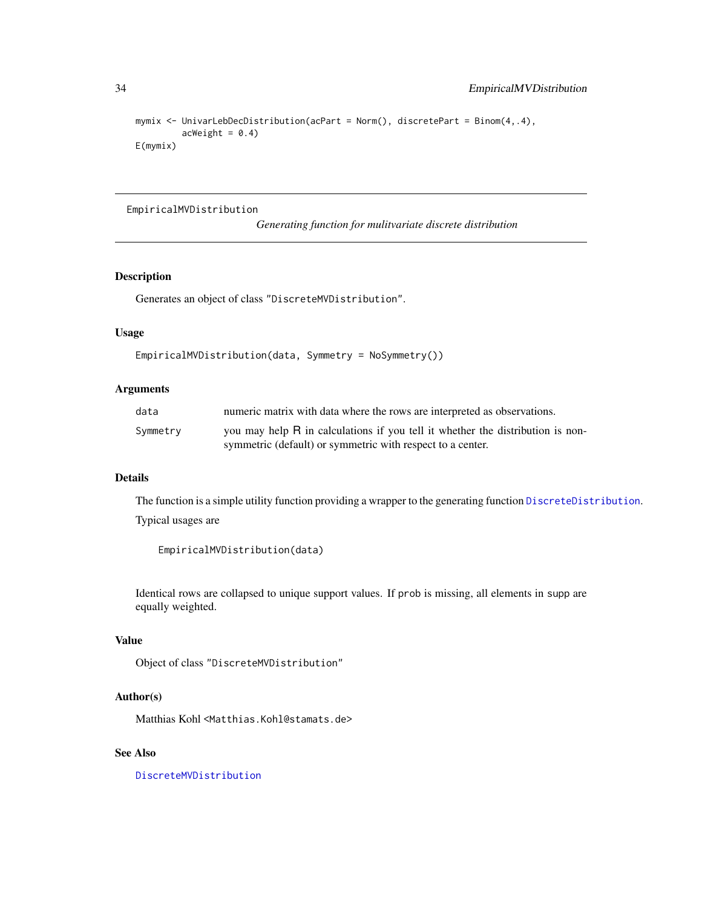```
mymix <- UnivarLebDecDistribution(acPart = Norm(), discretePart = Binom(4,.4),
        ackWeight = 0.4)E(mymix)
```
#### EmpiricalMVDistribution

*Generating function for mulitvariate discrete distribution*

# Description

Generates an object of class "DiscreteMVDistribution".

# Usage

```
EmpiricalMVDistribution(data, Symmetry = NoSymmetry())
```
#### Arguments

| data     | numeric matrix with data where the rows are interpreted as observations.                                                                     |
|----------|----------------------------------------------------------------------------------------------------------------------------------------------|
| Symmetry | you may help R in calculations if you tell it whether the distribution is non-<br>symmetric (default) or symmetric with respect to a center. |

# Details

The function is a simple utility function providing a wrapper to the generating function [DiscreteDistribution](#page-0-0). Typical usages are

EmpiricalMVDistribution(data)

Identical rows are collapsed to unique support values. If prob is missing, all elements in supp are equally weighted.

#### Value

Object of class "DiscreteMVDistribution"

# Author(s)

Matthias Kohl <Matthias.Kohl@stamats.de>

#### See Also

[DiscreteMVDistribution](#page-17-1)

<span id="page-33-0"></span>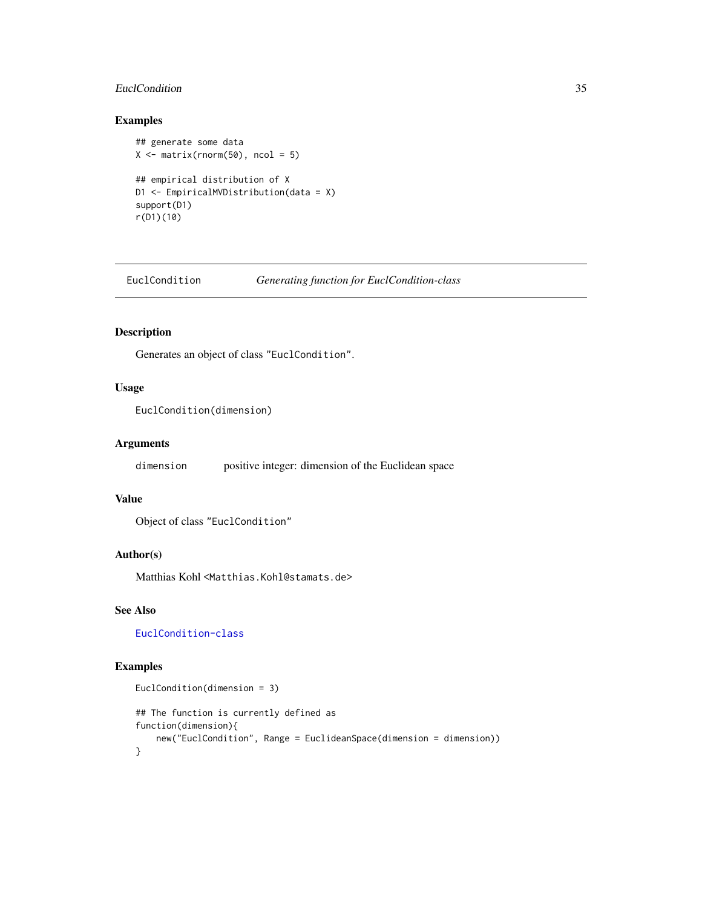# <span id="page-34-0"></span>EuclCondition 35

# Examples

```
## generate some data
X \leftarrow matrix(rnorm(50), ncol = 5)## empirical distribution of X
D1 <- EmpiricalMVDistribution(data = X)
support(D1)
r(D1)(10)
```
<span id="page-34-1"></span>EuclCondition *Generating function for EuclCondition-class*

# Description

Generates an object of class "EuclCondition".

#### Usage

```
EuclCondition(dimension)
```
# Arguments

dimension positive integer: dimension of the Euclidean space

#### Value

```
Object of class "EuclCondition"
```
# Author(s)

Matthias Kohl <Matthias.Kohl@stamats.de>

# See Also

[EuclCondition-class](#page-35-1)

#### Examples

```
EuclCondition(dimension = 3)
## The function is currently defined as
function(dimension){
   new("EuclCondition", Range = EuclideanSpace(dimension = dimension))
}
```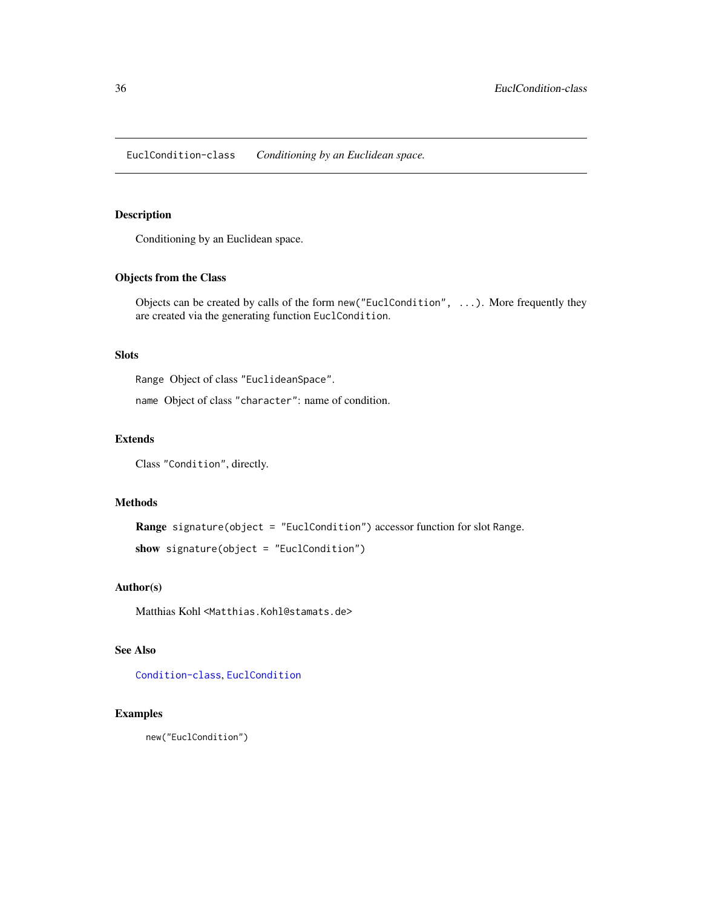<span id="page-35-1"></span><span id="page-35-0"></span>EuclCondition-class *Conditioning by an Euclidean space.*

# Description

Conditioning by an Euclidean space.

# Objects from the Class

Objects can be created by calls of the form new("EuclCondition", ...). More frequently they are created via the generating function EuclCondition.

# Slots

Range Object of class "EuclideanSpace".

name Object of class "character": name of condition.

### Extends

Class "Condition", directly.

### Methods

Range signature(object = "EuclCondition") accessor function for slot Range.

show signature(object = "EuclCondition")

#### Author(s)

Matthias Kohl <Matthias.Kohl@stamats.de>

# See Also

[Condition-class](#page-10-1), [EuclCondition](#page-34-1)

#### Examples

new("EuclCondition")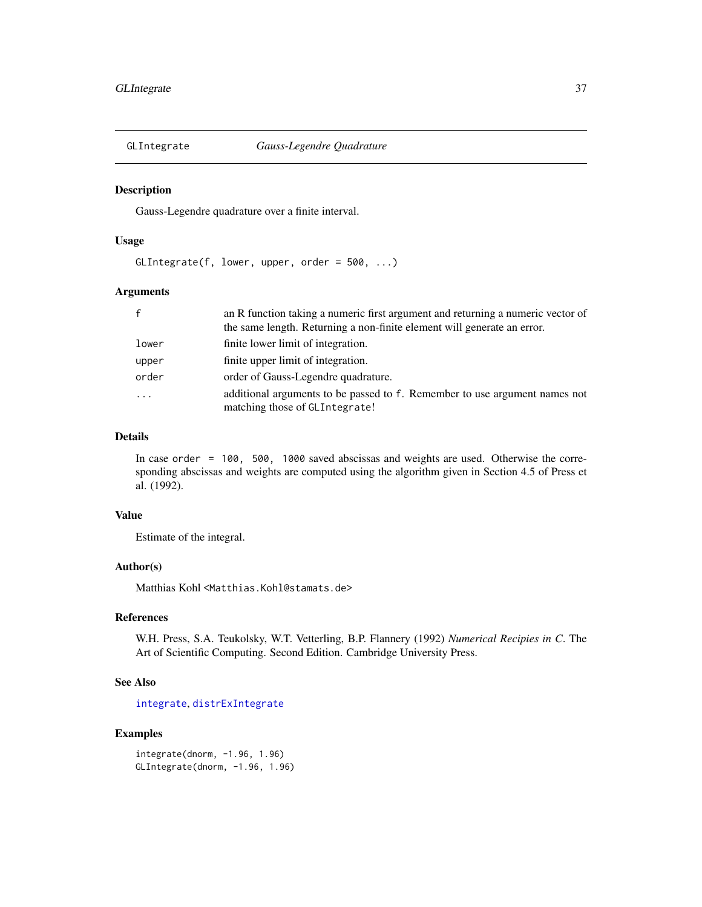# Description

Gauss-Legendre quadrature over a finite interval.

### Usage

GLIntegrate(f, lower, upper, order = 500, ...)

### Arguments

| $\mathsf{f}$ | an R function taking a numeric first argument and returning a numeric vector of                              |
|--------------|--------------------------------------------------------------------------------------------------------------|
|              | the same length. Returning a non-finite element will generate an error.                                      |
| lower        | finite lower limit of integration.                                                                           |
| upper        | finite upper limit of integration.                                                                           |
| order        | order of Gauss-Legendre quadrature.                                                                          |
| $\cdots$     | additional arguments to be passed to f. Remember to use argument names not<br>matching those of GLIntegrate! |

# Details

In case order = 100, 500, 1000 saved abscissas and weights are used. Otherwise the corresponding abscissas and weights are computed using the algorithm given in Section 4.5 of Press et al. (1992).

# Value

Estimate of the integral.

# Author(s)

Matthias Kohl <Matthias.Kohl@stamats.de>

# References

W.H. Press, S.A. Teukolsky, W.T. Vetterling, B.P. Flannery (1992) *Numerical Recipies in C*. The Art of Scientific Computing. Second Edition. Cambridge University Press.

# See Also

[integrate](#page-0-0), [distrExIntegrate](#page-19-0)

# Examples

integrate(dnorm, -1.96, 1.96) GLIntegrate(dnorm, -1.96, 1.96)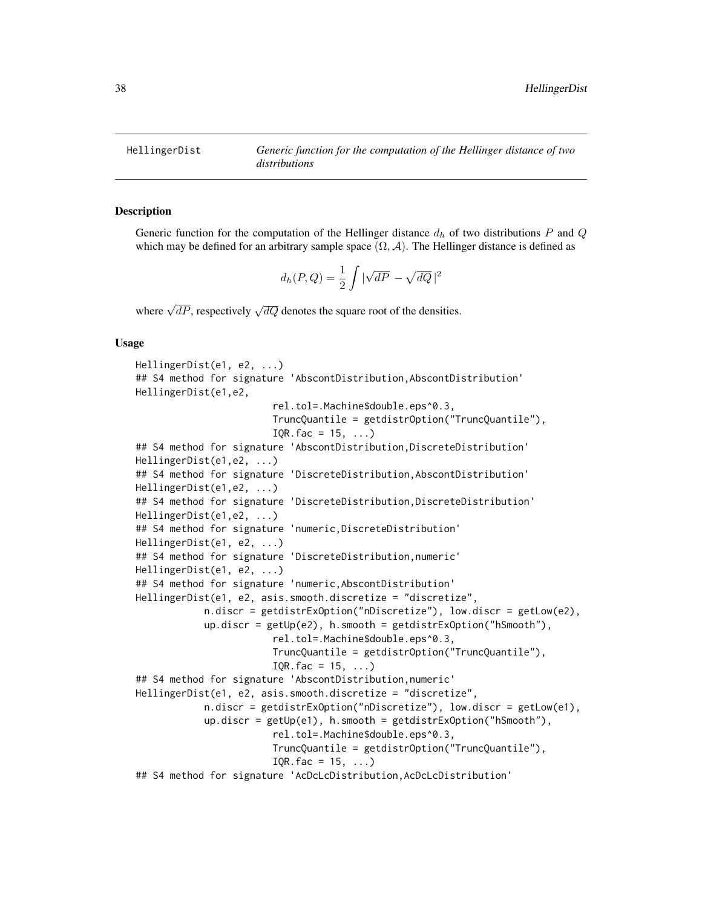<span id="page-37-0"></span>HellingerDist *Generic function for the computation of the Hellinger distance of two distributions*

### **Description**

Generic function for the computation of the Hellinger distance  $d_h$  of two distributions P and Q which may be defined for an arbitrary sample space  $(\Omega, \mathcal{A})$ . The Hellinger distance is defined as

$$
d_h(P,Q) = \frac{1}{2} \int |\sqrt{dP} - \sqrt{dQ}|^2
$$

where  $\sqrt{dP}$ , respectively  $\sqrt{dQ}$  denotes the square root of the densities.

### Usage

```
HellingerDist(e1, e2, ...)
## S4 method for signature 'AbscontDistribution, AbscontDistribution'
HellingerDist(e1,e2,
                        rel.tol=.Machine$double.eps^0.3,
                        TruncQuantile = getdistrOption("TruncQuantile"),
                        IQR.fac = 15, ...## S4 method for signature 'AbscontDistribution,DiscreteDistribution'
HellingerDist(e1,e2, ...)
## S4 method for signature 'DiscreteDistribution, AbscontDistribution'
HellingerDist(e1,e2, ...)
## S4 method for signature 'DiscreteDistribution,DiscreteDistribution'
HellingerDist(e1,e2, ...)
## S4 method for signature 'numeric,DiscreteDistribution'
HellingerDist(e1, e2, ...)
## S4 method for signature 'DiscreteDistribution,numeric'
HellingerDist(e1, e2, ...)
## S4 method for signature 'numeric,AbscontDistribution'
HellingerDist(e1, e2, asis.smooth.discretize = "discretize",
            n.discr = getdistrExOption("nDiscretize"), low.discr = getLow(e2),
            up.discr = getUp(e2), h.smooth = getdistrExpation('hSmooth''),
                        rel.tol=.Machine$double.eps^0.3,
                        TruncQuantile = getdistrOption("TruncQuantile"),
                        IQR.fac = 15, ...## S4 method for signature 'AbscontDistribution,numeric'
HellingerDist(e1, e2, asis.smooth.discretize = "discretize",
            n.discr = getdistrExOption("nDiscretize"), low.discr = getLow(e1),
            up.discr = getUp(e1), h.smooth = getdistrExOption("hSmooth"),
                        rel.tol=.Machine$double.eps^0.3,
                        TruncQuantile = getdistrOption("TruncQuantile"),
                        IQR.fac = 15, ...)
## S4 method for signature 'AcDcLcDistribution,AcDcLcDistribution'
```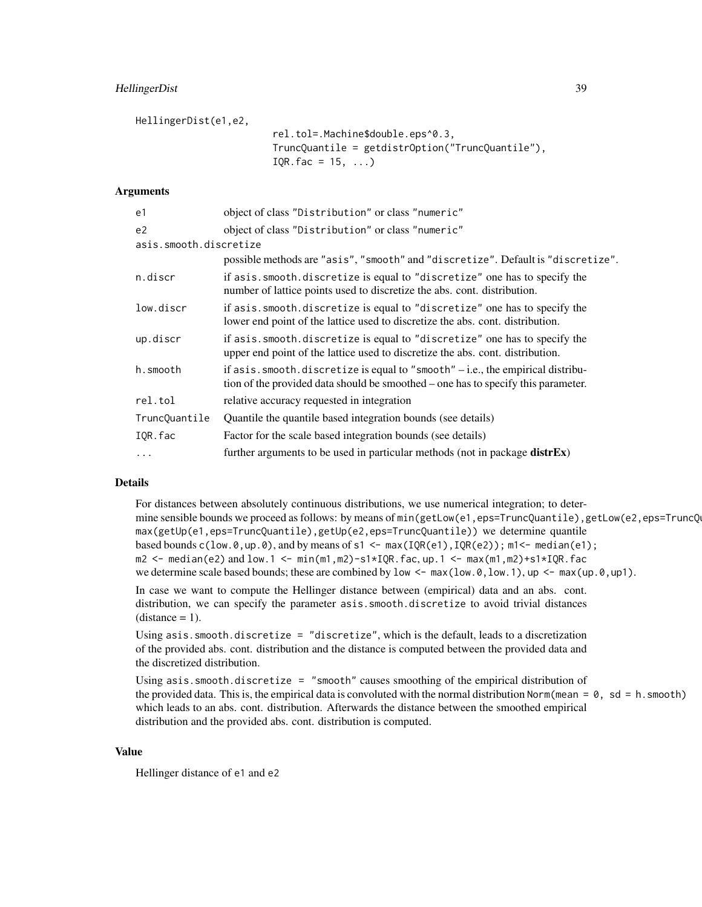# HellingerDist 39

HellingerDist(e1,e2,

rel.tol=.Machine\$double.eps^0.3, TruncQuantile = getdistrOption("TruncQuantile"),  $IQR.fac = 15, ...$ 

### Arguments

| e1             | object of class "Distribution" or class "numeric"                                                                                                                          |  |  |
|----------------|----------------------------------------------------------------------------------------------------------------------------------------------------------------------------|--|--|
| e <sub>2</sub> | object of class "Distribution" or class "numeric"                                                                                                                          |  |  |
|                | asis.smooth.discretize                                                                                                                                                     |  |  |
|                | possible methods are "asis", "smooth" and "discretize". Default is "discretize".                                                                                           |  |  |
| n.discr        | if asis. smooth. discretize is equal to "discretize" one has to specify the<br>number of lattice points used to discretize the abs. cont. distribution.                    |  |  |
| low.discr      | if asis. smooth. discretize is equal to "discretize" one has to specify the<br>lower end point of the lattice used to discretize the abs. cont. distribution.              |  |  |
| up.discr       | if asis. smooth. discretize is equal to "discretize" one has to specify the<br>upper end point of the lattice used to discretize the abs. cont. distribution.              |  |  |
| h.smooth       | if $asis$ . smooth. discretize is equal to "smooth" $-$ i.e., the empirical distribu-<br>tion of the provided data should be smoothed – one has to specify this parameter. |  |  |
| rel.tol        | relative accuracy requested in integration                                                                                                                                 |  |  |
| TruncQuantile  | Quantile the quantile based integration bounds (see details)                                                                                                               |  |  |
| IQR.fac        | Factor for the scale based integration bounds (see details)                                                                                                                |  |  |
| $\cdots$       | further arguments to be used in particular methods (not in package distrEx)                                                                                                |  |  |

#### Details

For distances between absolutely continuous distributions, we use numerical integration; to determine sensible bounds we proceed as follows: by means of min(getLow(e1,eps=TruncQuantile),getLow(e2,eps=TruncQ max(getUp(e1,eps=TruncQuantile),getUp(e2,eps=TruncQuantile)) we determine quantile based bounds  $c(\text{low.0}, \text{up.0}),$  and by means of s1 <- max(IQR(e1), IQR(e2)); m1<- median(e1); m2 <- median(e2) and low.1 <- min(m1,m2)-s1\*IQR.fac, up.1 <- max(m1,m2)+s1\*IQR.fac we determine scale based bounds; these are combined by low  $\leq -\max(\text{low.0}, \text{low.1}), \text{up } \leq -\max(\text{up.0}, \text{up.0})$ .

In case we want to compute the Hellinger distance between (empirical) data and an abs. cont. distribution, we can specify the parameter asis. smooth. discretize to avoid trivial distances  $(distance = 1)$ .

Using asis.smooth.discretize = "discretize", which is the default, leads to a discretization of the provided abs. cont. distribution and the distance is computed between the provided data and the discretized distribution.

```
Using asis.smooth.discretize = "smooth" causes smoothing of the empirical distribution of
the provided data. This is, the empirical data is convoluted with the normal distribution Norm(mean = \theta, sd = h. smooth)
which leads to an abs. cont. distribution. Afterwards the distance between the smoothed empirical
distribution and the provided abs. cont. distribution is computed.
```
# Value

Hellinger distance of e1 and e2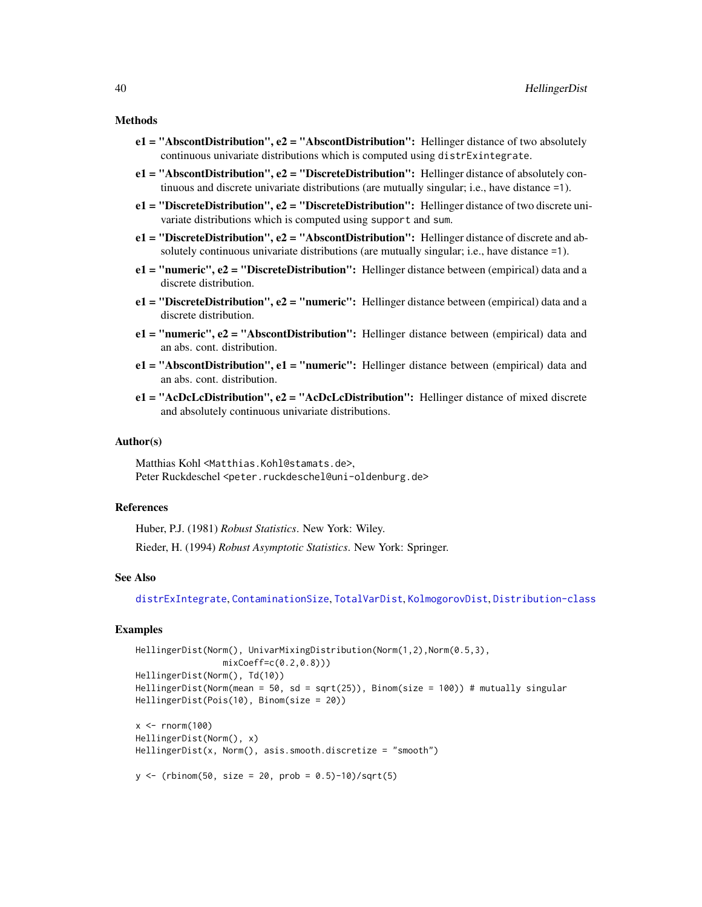#### Methods

- $e1 = "AbscontDistribution", e2 = "AbscontDistribution";$  Hellinger distance of two absolutely continuous univariate distributions which is computed using distrExintegrate.
- e1 = "AbscontDistribution", e2 = "DiscreteDistribution": Hellinger distance of absolutely continuous and discrete univariate distributions (are mutually singular; i.e., have distance =1).
- e1 = "DiscreteDistribution", e2 = "DiscreteDistribution": Hellinger distance of two discrete univariate distributions which is computed using support and sum.
- e1 = "DiscreteDistribution", e2 = "AbscontDistribution": Hellinger distance of discrete and absolutely continuous univariate distributions (are mutually singular; i.e., have distance =1).
- $e1 = "numeric", e2 = "Discrete Distribution": Hellinger distance between (empirical) data and a$ discrete distribution.
- $e1 = "Discrete Distribution", e2 = "numeric": Hellinger distance between (empirical) data and a$ discrete distribution.
- e1 = "numeric", e2 = "AbscontDistribution": Hellinger distance between (empirical) data and an abs. cont. distribution.
- e1 = "AbscontDistribution", e1 = "numeric": Hellinger distance between (empirical) data and an abs. cont. distribution.
- e1 = "AcDcLcDistribution", e2 = "AcDcLcDistribution": Hellinger distance of mixed discrete and absolutely continuous univariate distributions.

#### Author(s)

Matthias Kohl <Matthias.Kohl@stamats.de>, Peter Ruckdeschel <peter.ruckdeschel@uni-oldenburg.de>

#### References

Huber, P.J. (1981) *Robust Statistics*. New York: Wiley.

Rieder, H. (1994) *Robust Asymptotic Statistics*. New York: Springer.

### See Also

[distrExIntegrate](#page-19-0), [ContaminationSize](#page-11-0), [TotalVarDist](#page-58-0), [KolmogorovDist](#page-40-0), [Distribution-class](#page-0-0)

```
HellingerDist(Norm(), UnivarMixingDistribution(Norm(1,2),Norm(0.5,3),
                 mixCoeff=c(0.2,0.8)))
HellingerDist(Norm(), Td(10))
HellingerDist(Norm(mean = 50, sd = sqrt(25)), Binom(size = 100)) # mutually singular
HellingerDist(Pois(10), Binom(size = 20))
x < - rnorm(100)
HellingerDist(Norm(), x)
HellingerDist(x, Norm(), axis.smooth.discretize = "smooth")y \le - (rbinom(50, size = 20, prob = 0.5)-10)/sqrt(5)
```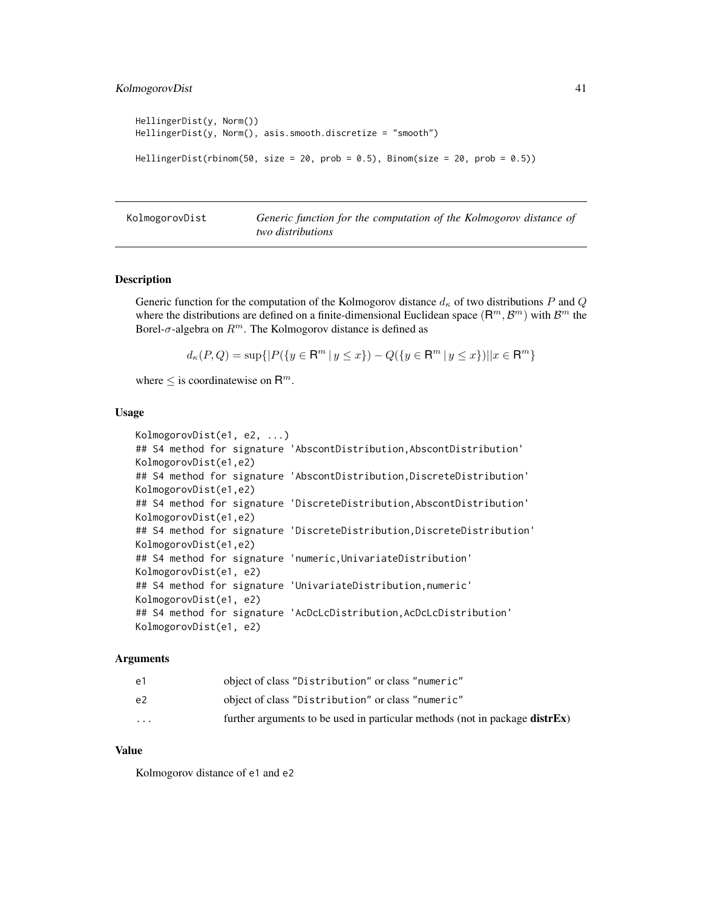# KolmogorovDist 41

```
HellingerDist(y, Norm())
HellingerDist(y, Norm(), asis.smooth.discretize = "smooth")
HellingerDist(rbinom(50, size = 20, prob = 0.5), Binom(size = 20, prob = 0.5))
```
<span id="page-40-0"></span>

KolmogorovDist *Generic function for the computation of the Kolmogorov distance of two distributions*

#### Description

Generic function for the computation of the Kolmogorov distance  $d_{\kappa}$  of two distributions P and Q where the distributions are defined on a finite-dimensional Euclidean space  $(\mathbb{R}^m, \mathcal{B}^m)$  with  $\mathcal{B}^m$  the Borel- $\sigma$ -algebra on  $R^m$ . The Kolmogorov distance is defined as

$$
d_{\kappa}(P,Q) = \sup\{|P(\{y \in \mathsf{R}^m \mid y \le x\}) - Q(\{y \in \mathsf{R}^m \mid y \le x\})||x \in \mathsf{R}^m\}
$$

where  $\leq$  is coordinatewise on  $\mathsf{R}^m$ .

#### Usage

```
KolmogorovDist(e1, e2, ...)
## S4 method for signature 'AbscontDistribution,AbscontDistribution'
KolmogorovDist(e1,e2)
## S4 method for signature 'AbscontDistribution, DiscreteDistribution'
KolmogorovDist(e1,e2)
## S4 method for signature 'DiscreteDistribution, AbscontDistribution'
KolmogorovDist(e1,e2)
## S4 method for signature 'DiscreteDistribution,DiscreteDistribution'
KolmogorovDist(e1,e2)
## S4 method for signature 'numeric,UnivariateDistribution'
KolmogorovDist(e1, e2)
## S4 method for signature 'UnivariateDistribution,numeric'
KolmogorovDist(e1, e2)
## S4 method for signature 'AcDcLcDistribution, AcDcLcDistribution'
KolmogorovDist(e1, e2)
```
#### Arguments

| $\cdot$ $\cdot$ $\cdot$ | further arguments to be used in particular methods (not in package <b>distrEx</b> ) |
|-------------------------|-------------------------------------------------------------------------------------|
| e2                      | object of class "Distribution" or class "numeric"                                   |
| e1                      | object of class "Distribution" or class "numeric"                                   |

# Value

Kolmogorov distance of e1 and e2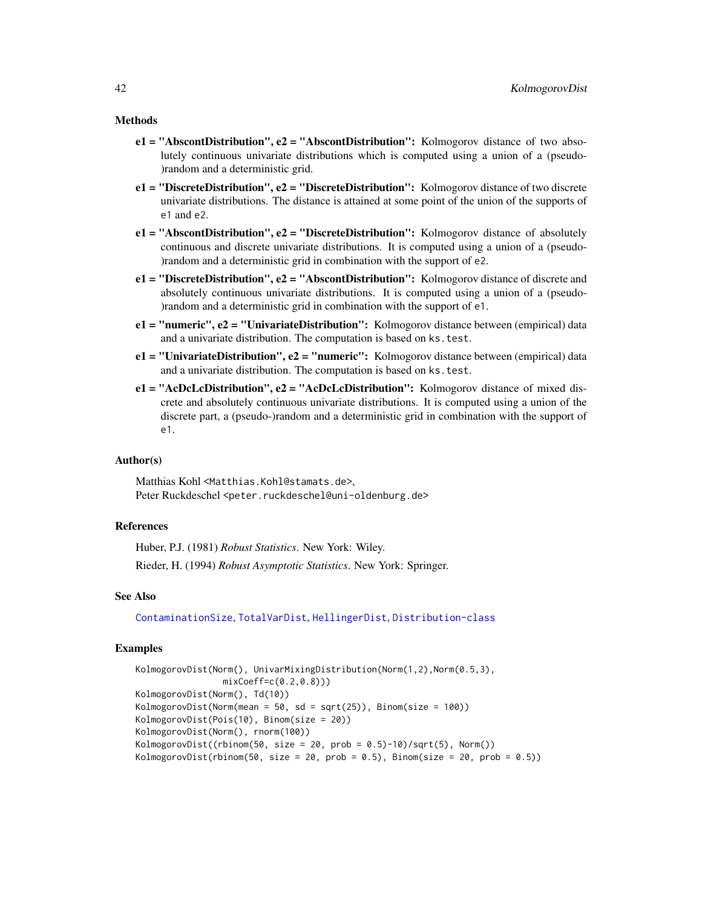#### Methods

- $e1 = "AbscontDistribution", e2 = "AbscontDistribution": Kolmogorov distance of two abso$ lutely continuous univariate distributions which is computed using a union of a (pseudo- )random and a deterministic grid.
- $e1 = "Discrete Distribution", e2 = "Discrete Distribution": Kolmogorov distance of two discrete$ univariate distributions. The distance is attained at some point of the union of the supports of e1 and e2.
- $e1 = "AbscontDistribution", e2 = "Discrete Distribution": Kolmogorov distance of absolutely$ continuous and discrete univariate distributions. It is computed using a union of a (pseudo- )random and a deterministic grid in combination with the support of e2.
- $e1 =$  "DiscreteDistribution",  $e2 =$  "AbscontDistribution": Kolmogorov distance of discrete and absolutely continuous univariate distributions. It is computed using a union of a (pseudo- )random and a deterministic grid in combination with the support of e1.
- $e1 = "numeric", e2 = "Univariate Distribution": Kolmogorov distance between (empirical) data$ and a univariate distribution. The computation is based on ks.test.
- e1 = "UnivariateDistribution", e2 = "numeric": Kolmogorov distance between (empirical) data and a univariate distribution. The computation is based on ks.test.
- $e1 = "AcDcLcDistribution", e2 = "AcDcLcDistribution": Kolmogorov distance of mixed dis$ crete and absolutely continuous univariate distributions. It is computed using a union of the discrete part, a (pseudo-)random and a deterministic grid in combination with the support of e1.

### Author(s)

Matthias Kohl <Matthias.Kohl@stamats.de>, Peter Ruckdeschel <peter.ruckdeschel@uni-oldenburg.de>

### References

Huber, P.J. (1981) *Robust Statistics*. New York: Wiley.

Rieder, H. (1994) *Robust Asymptotic Statistics*. New York: Springer.

### See Also

[ContaminationSize](#page-11-0), [TotalVarDist](#page-58-0), [HellingerDist](#page-37-0), [Distribution-class](#page-0-0)

```
KolmogorovDist(Norm(), UnivarMixingDistribution(Norm(1,2),Norm(0.5,3),
                 mixCoeff=c(0.2,0.8)))
KolmogorovDist(Norm(), Td(10))
KolmogorovDist(Norm(mean = 50, sd = sqrt(25)), Binom(size = 100))
KolmogorovDist(Pois(10), Binom(size = 20))
KolmogorovDist(Norm(), rnorm(100))
KolmogorovDist((rbinom(50, size = 20, prob = 0.5)-10)/sqrt(5), Norm())
KolmogorovDist(rbinom(50, size = 20, prob = 0.5), Binom(size = 20, prob = 0.5))
```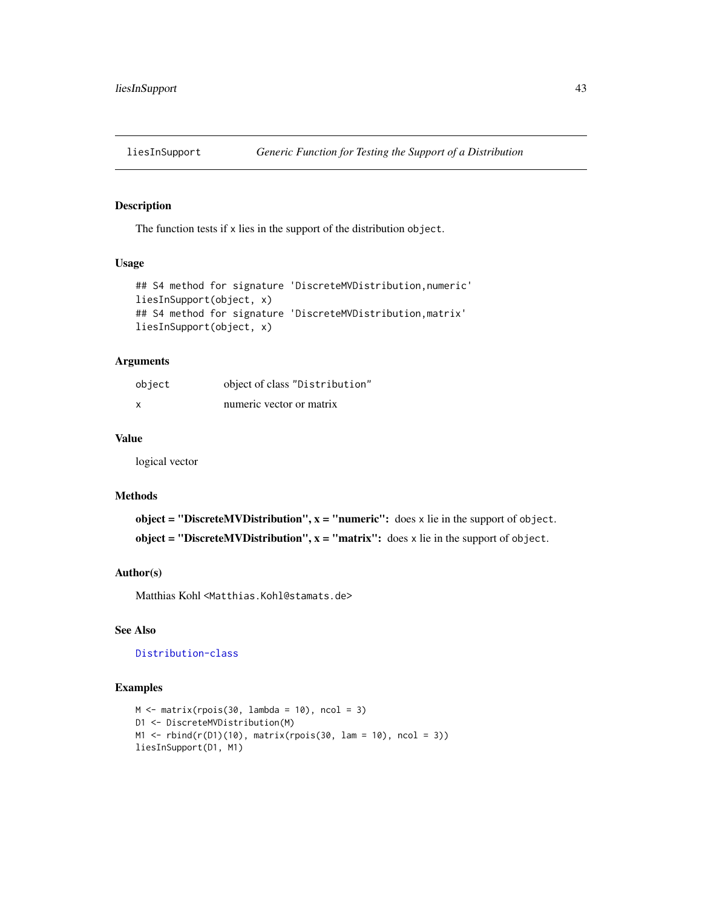#### Description

The function tests if x lies in the support of the distribution object.

# Usage

```
## S4 method for signature 'DiscreteMVDistribution, numeric'
liesInSupport(object, x)
## S4 method for signature 'DiscreteMVDistribution,matrix'
liesInSupport(object, x)
```
# Arguments

| object | object of class "Distribution" |
|--------|--------------------------------|
| X      | numeric vector or matrix       |

#### Value

logical vector

#### Methods

object = "DiscreteMVDistribution",  $x =$  "numeric": does x lie in the support of object. object = "DiscreteMVDistribution",  $x =$  "matrix": does x lie in the support of object.

### Author(s)

Matthias Kohl <Matthias.Kohl@stamats.de>

# See Also

[Distribution-class](#page-0-0)

```
M \leftarrow matrix(rpois(30, lambda = 10), ncol = 3)
D1 <- DiscreteMVDistribution(M)
M1 \leftarrow rbind(r(D1)(10), matrix(rpois(30, lam = 10), ncol = 3))
liesInSupport(D1, M1)
```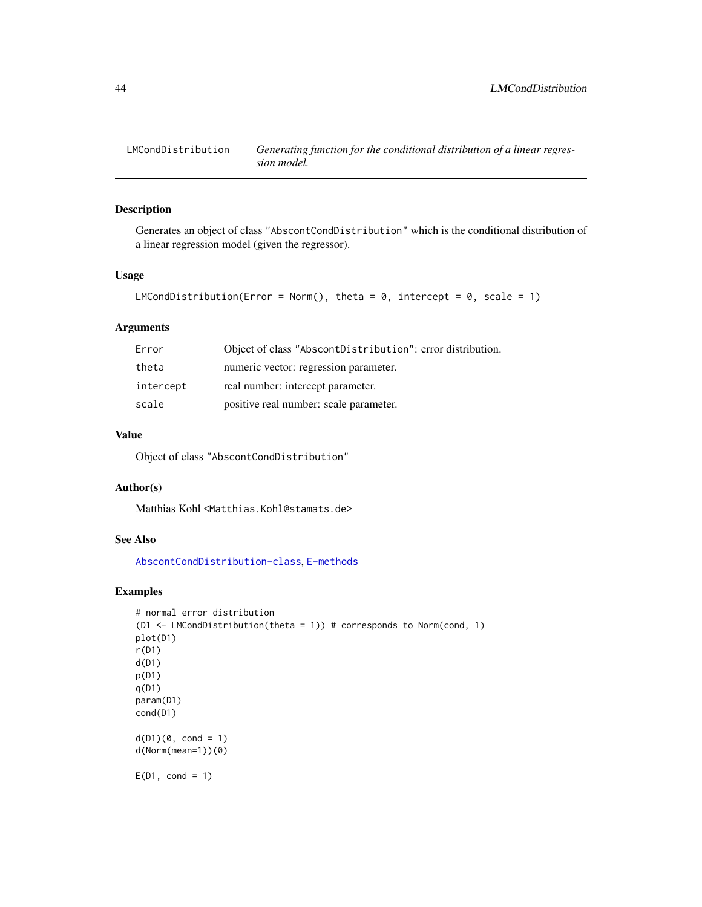# Description

Generates an object of class "AbscontCondDistribution" which is the conditional distribution of a linear regression model (given the regressor).

#### Usage

```
LMCondDistribution(Error = Norm(), theta = 0, intercept = 0, scale = 1)
```
# Arguments

| Error     | Object of class "AbscontDistribution": error distribution. |
|-----------|------------------------------------------------------------|
| theta     | numeric vector: regression parameter.                      |
| intercept | real number: intercept parameter.                          |
| scale     | positive real number: scale parameter.                     |

# Value

Object of class "AbscontCondDistribution"

# Author(s)

Matthias Kohl <Matthias.Kohl@stamats.de>

# See Also

[AbscontCondDistribution-class](#page-6-0), [E-methods](#page-24-0)

```
# normal error distribution
(D1 <- LMCondDistribution(theta = 1)) # corresponds to Norm(cond, 1)
plot(D1)
r(D1)
d(D1)
p(D1)
q(D1)
param(D1)
cond(D1)
d(D1)(0, cond = 1)d(Norm(mean=1))(0)
E(D1, cond = 1)
```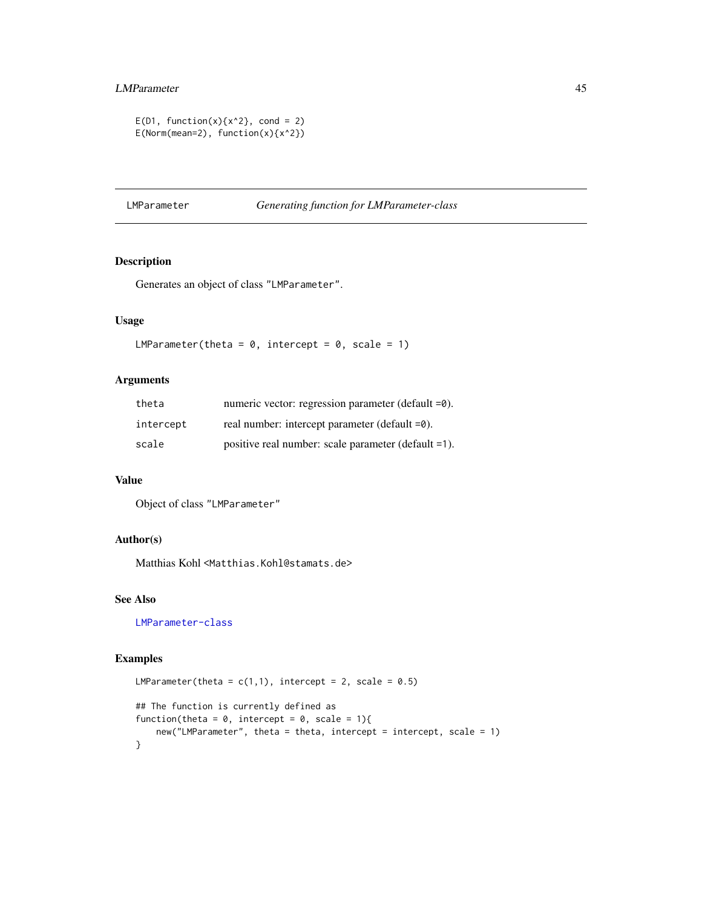# LMParameter 45

```
E(D1, function(x){x^2}, cond = 2)E(Norm(mean=2), function(x){x^2})
```
### <span id="page-44-0"></span>LMParameter *Generating function for LMParameter-class*

# Description

Generates an object of class "LMParameter".

# Usage

```
LMParameter(theta = 0, intercept = 0, scale = 1)
```
# Arguments

| theta     | numeric vector: regression parameter (default =0).  |
|-----------|-----------------------------------------------------|
| intercept | real number: intercept parameter (default =0).      |
| scale     | positive real number: scale parameter (default =1). |

# Value

Object of class "LMParameter"

# Author(s)

Matthias Kohl <Matthias.Kohl@stamats.de>

# See Also

[LMParameter-class](#page-45-0)

```
LMParameter(theta = c(1,1), intercept = 2, scale = 0.5)
## The function is currently defined as
function(theta = 0, intercept = 0, scale = 1){
   new("LMParameter", theta = theta, intercept = intercept, scale = 1)
}
```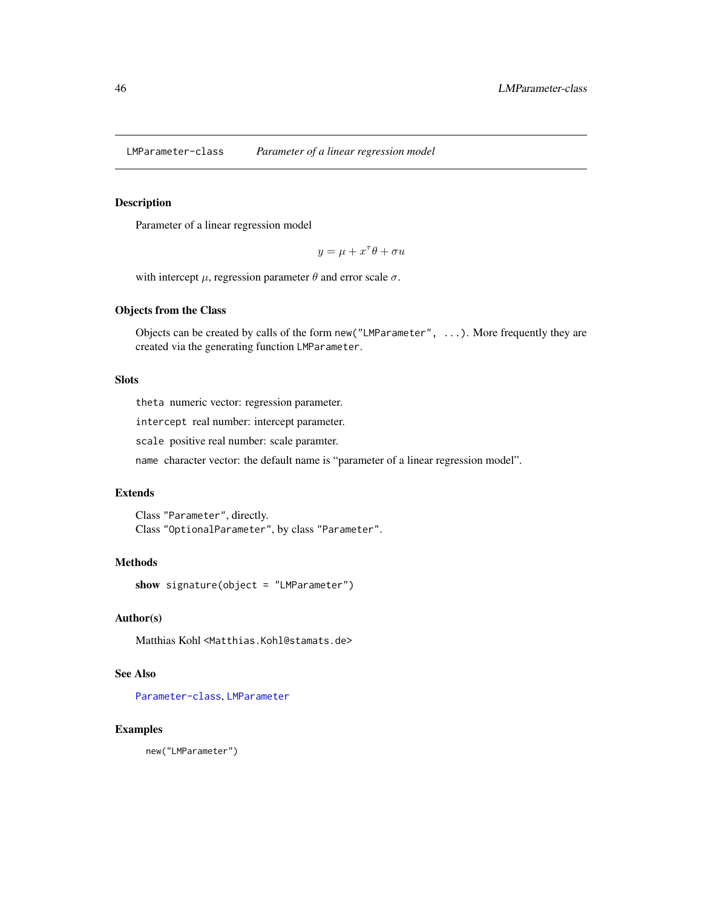<span id="page-45-0"></span>LMParameter-class *Parameter of a linear regression model*

# Description

Parameter of a linear regression model

 $y = \mu + x^{\tau}\theta + \sigma u$ 

with intercept  $\mu$ , regression parameter  $\theta$  and error scale  $\sigma$ .

# Objects from the Class

Objects can be created by calls of the form new("LMParameter", ...). More frequently they are created via the generating function LMParameter.

# Slots

theta numeric vector: regression parameter.

intercept real number: intercept parameter.

scale positive real number: scale paramter.

name character vector: the default name is "parameter of a linear regression model".

### Extends

Class "Parameter", directly. Class "OptionalParameter", by class "Parameter".

# Methods

show signature(object = "LMParameter")

# Author(s)

Matthias Kohl <Matthias.Kohl@stamats.de>

# See Also

[Parameter-class](#page-0-0), [LMParameter](#page-44-0)

#### Examples

new("LMParameter")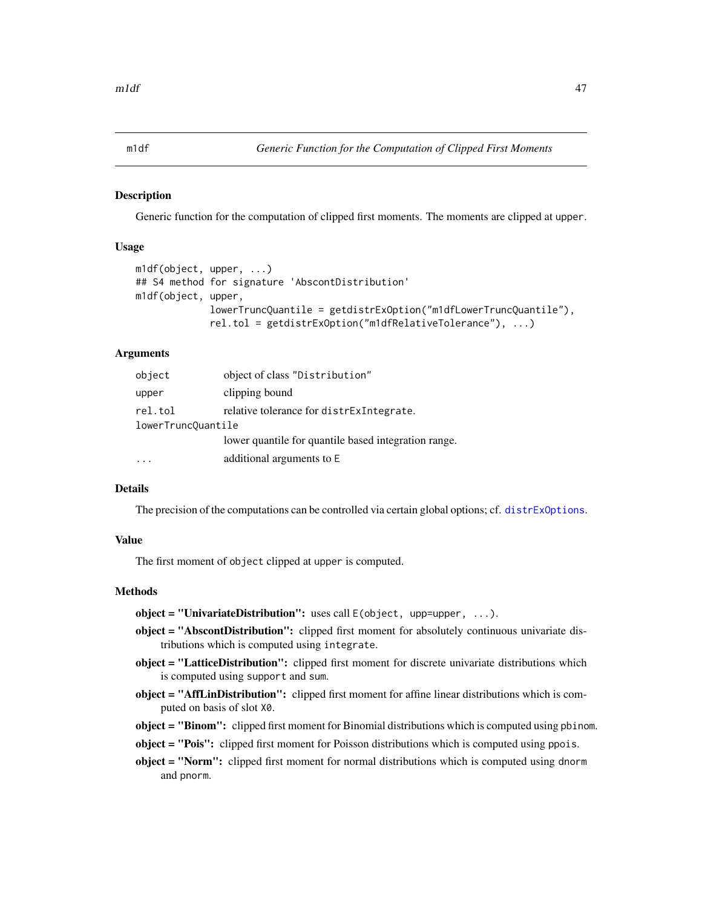<span id="page-46-0"></span>m1df *Generic Function for the Computation of Clipped First Moments*

### Description

Generic function for the computation of clipped first moments. The moments are clipped at upper.

### Usage

```
m1df(object, upper, ...)
## S4 method for signature 'AbscontDistribution'
m1df(object, upper,
             lowerTruncQuantile = getdistrExOption("m1dfLowerTruncQuantile"),
             rel.tol = getdistrExOption("m1dfRelativeTolerance"), ...)
```
# Arguments

| object             | object of class "Distribution"                       |  |
|--------------------|------------------------------------------------------|--|
| upper              | clipping bound                                       |  |
| rel.tol            | relative tolerance for distress integrate.           |  |
| lowerTruncQuantile |                                                      |  |
|                    | lower quantile for quantile based integration range. |  |
|                    | additional arguments to E                            |  |

#### Details

The precision of the computations can be controlled via certain global options; cf. [distrExOptions](#page-22-0).

# Value

The first moment of object clipped at upper is computed.

# Methods

object = "UnivariateDistribution": uses call  $E(\text{object}, \text{upper-pper}, \ldots)$ .

- object = "AbscontDistribution": clipped first moment for absolutely continuous univariate distributions which is computed using integrate.
- object = "LatticeDistribution": clipped first moment for discrete univariate distributions which is computed using support and sum.
- **object = "AffLinDistribution":** clipped first moment for affine linear distributions which is computed on basis of slot X0.
- object = "Binom": clipped first moment for Binomial distributions which is computed using pbinom.
- object = "Pois": clipped first moment for Poisson distributions which is computed using ppois.
- object = "Norm": clipped first moment for normal distributions which is computed using dnorm and pnorm.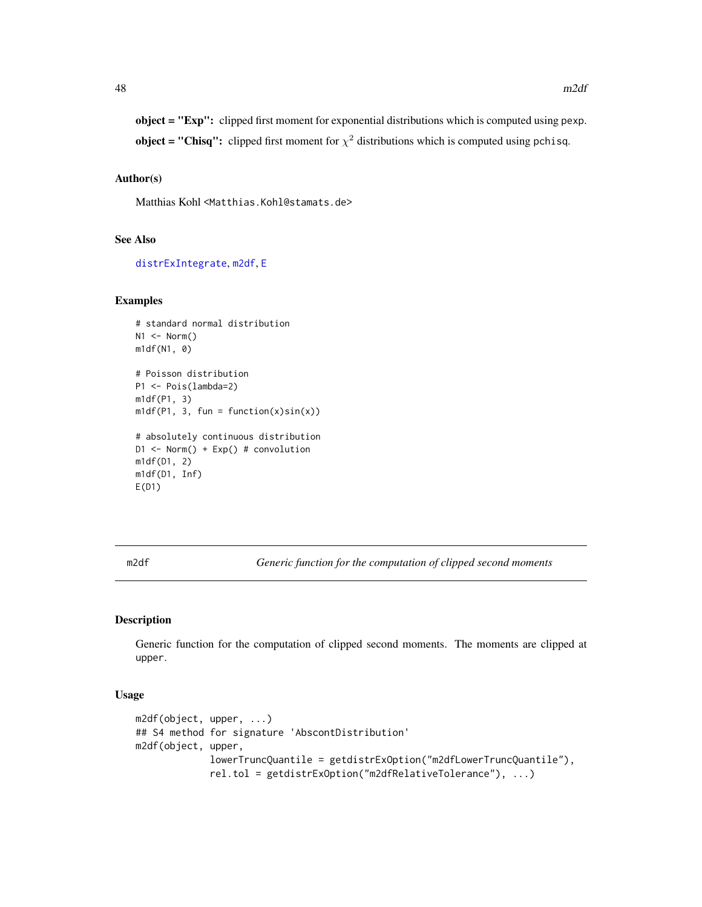object = "Exp": clipped first moment for exponential distributions which is computed using pexp. **object = "Chisq":** clipped first moment for  $\chi^2$  distributions which is computed using pchisq.

### Author(s)

Matthias Kohl <Matthias.Kohl@stamats.de>

# See Also

[distrExIntegrate](#page-19-0), [m2df](#page-47-0), [E](#page-24-1)

#### Examples

```
# standard normal distribution
N1 <- Norm()m1df(N1, 0)
# Poisson distribution
P1 <- Pois(lambda=2)
m1df(P1, 3)
m1df(P1, 3, fun = function(x)sin(x))# absolutely continuous distribution
D1 <- Norm() + Exp() # convolution
m1df(D1, 2)
m1df(D1, Inf)
E(D1)
```
<span id="page-47-0"></span>m2df *Generic function for the computation of clipped second moments*

#### <span id="page-47-1"></span>Description

Generic function for the computation of clipped second moments. The moments are clipped at upper.

#### Usage

```
m2df(object, upper, ...)
## S4 method for signature 'AbscontDistribution'
m2df(object, upper,
             lowerTruncQuantile = getdistrExOption("m2dfLowerTruncQuantile"),
             rel.tol = getdistrExOption("m2dfRelativeTolerance"), ...)
```
48 m2df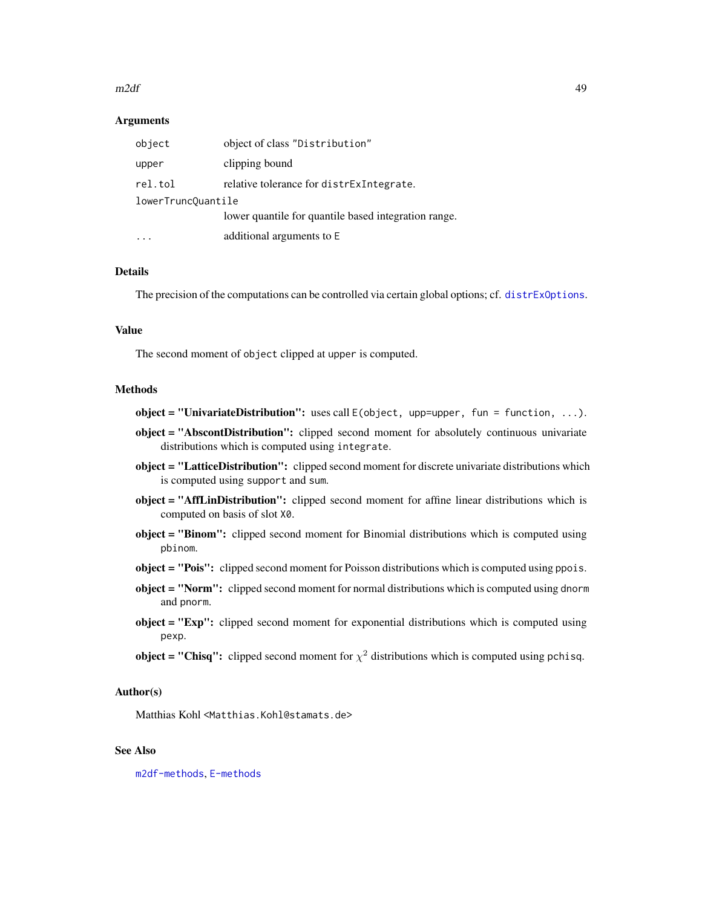#### $m2df$  49

### Arguments

| object             | object of class "Distribution"                       |  |
|--------------------|------------------------------------------------------|--|
| upper              | clipping bound                                       |  |
| rel.tol            | relative tolerance for distress integrate.           |  |
| lowerTruncQuantile |                                                      |  |
|                    | lower quantile for quantile based integration range. |  |
|                    | additional arguments to E                            |  |

### Details

The precision of the computations can be controlled via certain global options; cf. [distrExOptions](#page-22-0).

# Value

The second moment of object clipped at upper is computed.

#### Methods

 $object = "Univariate Distribution":$  uses call  $E(object, upper, fun = function, ...).$ 

- object = "AbscontDistribution": clipped second moment for absolutely continuous univariate distributions which is computed using integrate.
- object = "LatticeDistribution": clipped second moment for discrete univariate distributions which is computed using support and sum.
- object = "AffLinDistribution": clipped second moment for affine linear distributions which is computed on basis of slot X0.
- object = "Binom": clipped second moment for Binomial distributions which is computed using pbinom.
- object = "Pois": clipped second moment for Poisson distributions which is computed using ppois.
- object = "Norm": clipped second moment for normal distributions which is computed using dnorm and pnorm.
- object = "Exp": clipped second moment for exponential distributions which is computed using pexp.
- **object = "Chisq":** clipped second moment for  $\chi^2$  distributions which is computed using pchisq.

### Author(s)

Matthias Kohl <Matthias.Kohl@stamats.de>

# See Also

[m2df-methods](#page-47-1), [E-methods](#page-24-0)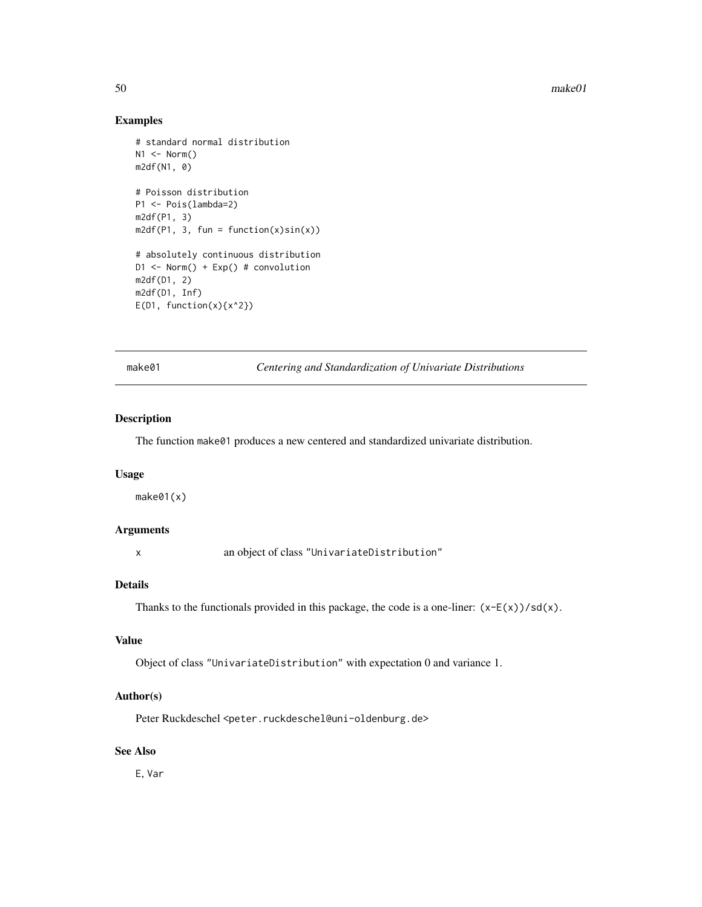50 make01

# Examples

```
# standard normal distribution
N1 <- Norm()m2df(N1, 0)
# Poisson distribution
P1 <- Pois(lambda=2)
m2df(P1, 3)
m2df(P1, 3, fun = function(x)sin(x))# absolutely continuous distribution
D1 <- Norm() + Exp() # convolution
m2df(D1, 2)
m2df(D1, Inf)
E(D1, function(x){x^2})
```
make01 *Centering and Standardization of Univariate Distributions*

### Description

The function make01 produces a new centered and standardized univariate distribution.

#### Usage

make01(x)

# Arguments

x an object of class "UnivariateDistribution"

# Details

Thanks to the functionals provided in this package, the code is a one-liner:  $(x-E(x))/sd(x)$ .

### Value

Object of class "UnivariateDistribution" with expectation 0 and variance 1.

### Author(s)

Peter Ruckdeschel <peter.ruckdeschel@uni-oldenburg.de>

# See Also

E, Var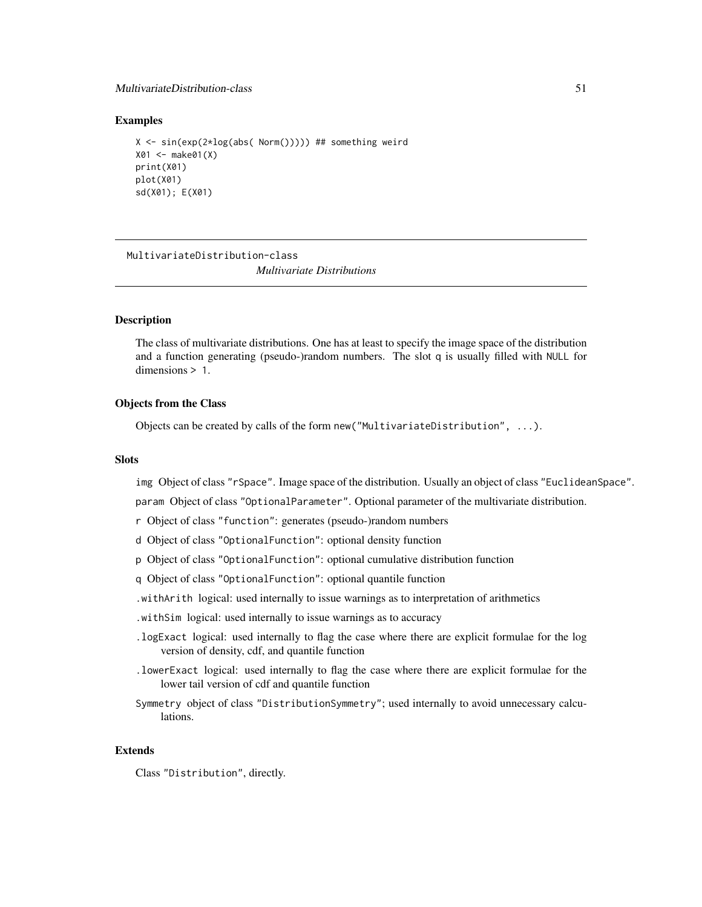# MultivariateDistribution-class 51

### Examples

```
X \le -\sin(\exp(2 \times \log(\text{abs}(\text{Norm}))) ) ## something weird
X01 <- make01(X)
print(X01)
plot(X01)
sd(X01); E(X01)
```
MultivariateDistribution-class *Multivariate Distributions*

# **Description**

The class of multivariate distributions. One has at least to specify the image space of the distribution and a function generating (pseudo-)random numbers. The slot q is usually filled with NULL for dimensions > 1.

# Objects from the Class

Objects can be created by calls of the form new("MultivariateDistribution", ...).

#### **Slots**

img Object of class "rSpace". Image space of the distribution. Usually an object of class "EuclideanSpace".

param Object of class "OptionalParameter". Optional parameter of the multivariate distribution.

- r Object of class "function": generates (pseudo-)random numbers
- d Object of class "OptionalFunction": optional density function
- p Object of class "OptionalFunction": optional cumulative distribution function
- q Object of class "OptionalFunction": optional quantile function
- .withArith logical: used internally to issue warnings as to interpretation of arithmetics
- .withSim logical: used internally to issue warnings as to accuracy
- .logExact logical: used internally to flag the case where there are explicit formulae for the log version of density, cdf, and quantile function
- .lowerExact logical: used internally to flag the case where there are explicit formulae for the lower tail version of cdf and quantile function
- Symmetry object of class "DistributionSymmetry"; used internally to avoid unnecessary calculations.

# Extends

Class "Distribution", directly.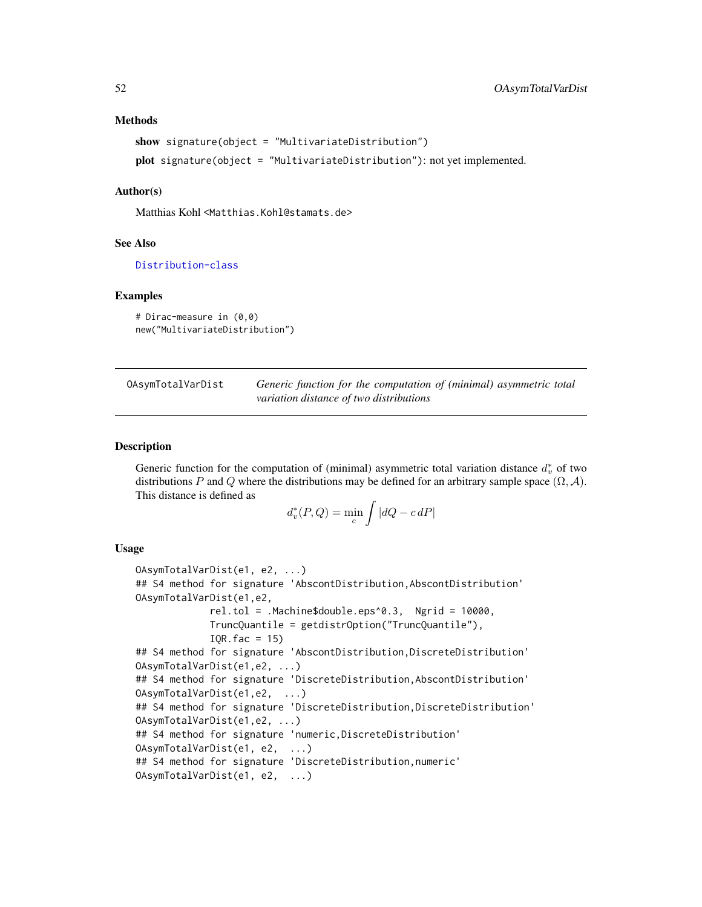#### Methods

```
show signature(object = "MultivariateDistribution")
plot signature(object = "MultivariateDistribution"): not yet implemented.
```
### Author(s)

Matthias Kohl <Matthias.Kohl@stamats.de>

#### See Also

[Distribution-class](#page-0-0)

#### Examples

```
# Dirac-measure in (0,0)
new("MultivariateDistribution")
```
OAsymTotalVarDist *Generic function for the computation of (minimal) asymmetric total variation distance of two distributions*

### **Description**

Generic function for the computation of (minimal) asymmetric total variation distance  $d_v^*$  of two distributions P and Q where the distributions may be defined for an arbitrary sample space  $(\Omega, \mathcal{A})$ . This distance is defined as

$$
d_v^*(P,Q) = \min_c \int |dQ - c \, dP|
$$

#### Usage

```
OAsymTotalVarDist(e1, e2, ...)
## S4 method for signature 'AbscontDistribution, AbscontDistribution'
OAsymTotalVarDist(e1,e2,
             rel.tol = .Machine$double.eps^0.3, Ngrid = 10000,
             TruncQuantile = getdistrOption("TruncQuantile"),
             IQR.fac = 15## S4 method for signature 'AbscontDistribution,DiscreteDistribution'
OAsymTotalVarDist(e1,e2, ...)
## S4 method for signature 'DiscreteDistribution,AbscontDistribution'
OAsymTotalVarDist(e1,e2, ...)
## S4 method for signature 'DiscreteDistribution,DiscreteDistribution'
OAsymTotalVarDist(e1,e2, ...)
## S4 method for signature 'numeric,DiscreteDistribution'
OAsymTotalVarDist(e1, e2, ...)
## S4 method for signature 'DiscreteDistribution,numeric'
OAsymTotalVarDist(e1, e2, ...)
```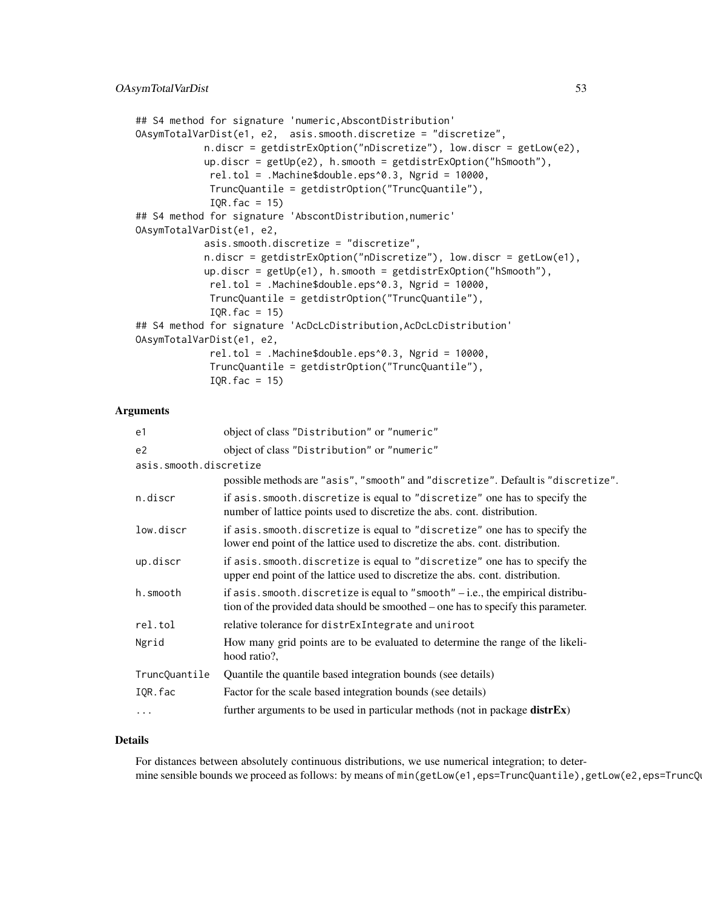```
## S4 method for signature 'numeric,AbscontDistribution'
OAsymTotalVarDist(e1, e2, asis.smooth.discretize = "discretize",
           n.discr = getdistrExOption("nDiscretize"), low.discr = getLow(e2),
           up.discr = getUp(e2), h.smooth = getdistrExOption("hSmooth"),
             rel.tol = .Machine$double.eps^0.3, Ngrid = 10000,
            TruncQuantile = getdistrOption("TruncQuantile"),
             IQR.fac = 15## S4 method for signature 'AbscontDistribution,numeric'
OAsymTotalVarDist(e1, e2,
           asis.smooth.discretize = "discretize",
           n.discr = getdistrExOption("nDiscretize"), low.discr = getLow(e1),
           up.discr = getUp(e1), h.smooth = getdistrExOption("hSmooth"),
             rel.tol = .Machine$double.eps^0.3, Ngrid = 10000,
            TruncQuantile = getdistrOption("TruncQuantile"),
            IQR.fac = 15## S4 method for signature 'AcDcLcDistribution,AcDcLcDistribution'
OAsymTotalVarDist(e1, e2,
             rel.tol = .Machine$double.eps^0.3, Ngrid = 10000,
             TruncQuantile = getdistrOption("TruncQuantile"),
             IQR.fac = 15
```
#### **Arguments**

| e1                     | object of class "Distribution" or "numeric"                                                                                                                              |
|------------------------|--------------------------------------------------------------------------------------------------------------------------------------------------------------------------|
| e2                     | object of class "Distribution" or "numeric"                                                                                                                              |
| asis.smooth.discretize |                                                                                                                                                                          |
|                        | possible methods are "asis", "smooth" and "discretize". Default is "discretize".                                                                                         |
| n.discr                | if asis. smooth. discretize is equal to "discretize" one has to specify the<br>number of lattice points used to discretize the abs. cont. distribution.                  |
| low.discr              | if asis. smooth. discretize is equal to "discretize" one has to specify the<br>lower end point of the lattice used to discretize the abs. cont. distribution.            |
| up.discr               | if asis. smooth. discretize is equal to "discretize" one has to specify the<br>upper end point of the lattice used to discretize the abs. cont. distribution.            |
| h.smooth               | if as is . smooth. discretize is equal to "smooth" $-i.e.,$ the empirical distribu-<br>tion of the provided data should be smoothed – one has to specify this parameter. |
| rel.tol                | relative tolerance for distrExIntegrate and uniroot                                                                                                                      |
| Ngrid                  | How many grid points are to be evaluated to determine the range of the likeli-<br>hood ratio?,                                                                           |
| TruncQuantile          | Quantile the quantile based integration bounds (see details)                                                                                                             |
| IQR.fac                | Factor for the scale based integration bounds (see details)                                                                                                              |
| .                      | further arguments to be used in particular methods (not in package $distfEx$ )                                                                                           |

### Details

For distances between absolutely continuous distributions, we use numerical integration; to determine sensible bounds we proceed as follows: by means of min(getLow(e1,eps=TruncQuantile),getLow(e2,eps=TruncQ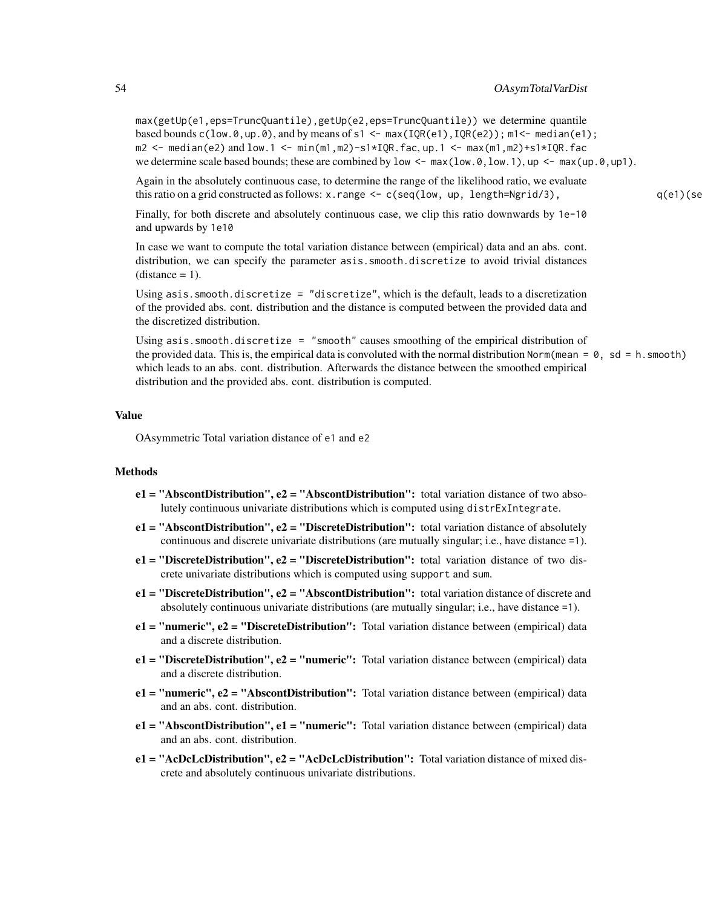max(getUp(e1,eps=TruncQuantile),getUp(e2,eps=TruncQuantile)) we determine quantile based bounds  $c(\text{low.0}, \text{up.0}),$  and by means of s1 <- max(IQR(e1), IQR(e2)); m1<- median(e1);  $m2 \le -$  median(e2) and low.1  $\le -$  min(m1,m2)-s1\*IQR.fac, up.1  $\le -$  max(m1,m2)+s1\*IQR.fac we determine scale based bounds; these are combined by low  $\leq -\max(\text{low.0}, \text{low.1}), \text{up } \leq -\max(\text{up.0}, \text{up.0})$ .

Again in the absolutely continuous case, to determine the range of the likelihood ratio, we evaluate this ratio on a grid constructed as follows:  $x$ . range  $\leq -c$  (seq(1ow, up, 1ength=Ngrid/3), q(e1)(seq

Finally, for both discrete and absolutely continuous case, we clip this ratio downwards by 1e-10 and upwards by 1e10

In case we want to compute the total variation distance between (empirical) data and an abs. cont. distribution, we can specify the parameter asis. smooth.discretize to avoid trivial distances  $(distance = 1)$ .

Using asis.smooth.discretize = "discretize", which is the default, leads to a discretization of the provided abs. cont. distribution and the distance is computed between the provided data and the discretized distribution.

Using asis.smooth.discretize = "smooth" causes smoothing of the empirical distribution of the provided data. This is, the empirical data is convoluted with the normal distribution Norm(mean =  $\theta$ , sd = h. smooth) which leads to an abs. cont. distribution. Afterwards the distance between the smoothed empirical distribution and the provided abs. cont. distribution is computed.

# Value

OAsymmetric Total variation distance of e1 and e2

#### **Methods**

- $e1 = "AbscontDistribution", e2 = "AbscontDistribution":$  total variation distance of two absolutely continuous univariate distributions which is computed using distrExIntegrate.
- $e1 = "AbscontDistribution", e2 = "Discrete Distribution": total variation distance of absolutely$ continuous and discrete univariate distributions (are mutually singular; i.e., have distance =1).
- $e1 =$  "DiscreteDistribution",  $e2 =$  "DiscreteDistribution": total variation distance of two discrete univariate distributions which is computed using support and sum.
- e1 = "DiscreteDistribution", e2 = "AbscontDistribution": total variation distance of discrete and absolutely continuous univariate distributions (are mutually singular; i.e., have distance =1).
- $e1 = "numeric", e2 = "Discrete Distribution": Total variation distance between (empirical) data$ and a discrete distribution.
- $e1 = "Discrete Distribution", e2 = "numeric";$  Total variation distance between (empirical) data and a discrete distribution.
- e1 = "numeric", e2 = "AbscontDistribution": Total variation distance between (empirical) data and an abs. cont. distribution.
- e1 = "AbscontDistribution", e1 = "numeric": Total variation distance between (empirical) data and an abs. cont. distribution.
- $e1 = "AcDcLcDistribution", e2 = "AcDcLcDistribution";$  Total variation distance of mixed discrete and absolutely continuous univariate distributions.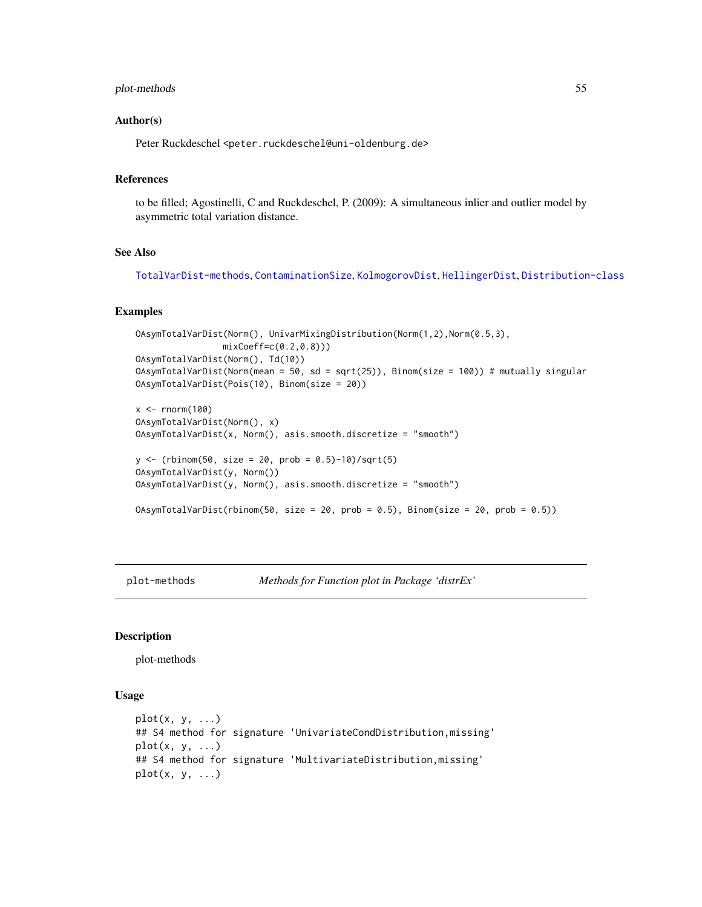### plot-methods 55

### Author(s)

Peter Ruckdeschel <peter.ruckdeschel@uni-oldenburg.de>

# References

to be filled; Agostinelli, C and Ruckdeschel, P. (2009): A simultaneous inlier and outlier model by asymmetric total variation distance.

# See Also

[TotalVarDist-methods](#page-58-1), [ContaminationSize](#page-11-0), [KolmogorovDist](#page-40-0), [HellingerDist](#page-37-0), [Distribution-class](#page-0-0)

#### Examples

```
OAsymTotalVarDist(Norm(), UnivarMixingDistribution(Norm(1,2),Norm(0.5,3),
                 mixCoeff=c(0.2,0.8)))
OAsymTotalVarDist(Norm(), Td(10))
OAsymTotalVarDist(Norm(mean = 50, sd = sqrt(25)), Binom(size = 100)) # mutually singular
OAsymTotalVarDist(Pois(10), Binom(size = 20))
x < - rnorm(100)
OAsymTotalVarDist(Norm(), x)
OAsymTotalVarDist(x, Norm(), asis.smooth.discretize = "smooth")
y \le - (rbinom(50, size = 20, prob = 0.5)-10)/sqrt(5)
OAsymTotalVarDist(y, Norm())
OAsymTotalVarDist(y, Norm(), asis.smooth.discretize = "smooth")
```
OAsymTotalVarDist(rbinom(50, size = 20, prob = 0.5), Binom(size = 20, prob = 0.5))

plot-methods *Methods for Function plot in Package 'distrEx'*

# **Description**

plot-methods

#### Usage

```
plot(x, y, \ldots)## S4 method for signature 'UnivariateCondDistribution,missing'
plot(x, y, \ldots)## S4 method for signature 'MultivariateDistribution,missing'
plot(x, y, ...)
```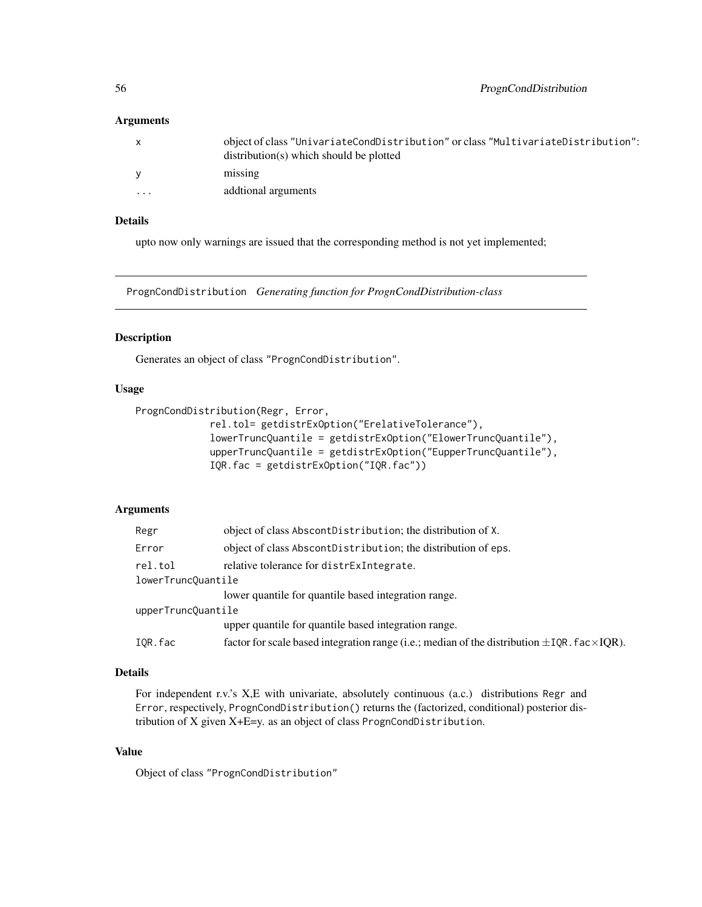### Arguments

| $\mathsf{x}$ | object of class "UnivariateCondDistribution" or class "MultivariateDistribution":<br>$distribution(s)$ which should be plotted |
|--------------|--------------------------------------------------------------------------------------------------------------------------------|
| <b>V</b>     | missing                                                                                                                        |
| $\cdot$      | additional arguments                                                                                                           |
|              |                                                                                                                                |

# Details

upto now only warnings are issued that the corresponding method is not yet implemented;

<span id="page-55-0"></span>PrognCondDistribution *Generating function for PrognCondDistribution-class*

### Description

Generates an object of class "PrognCondDistribution".

### Usage

PrognCondDistribution(Regr, Error,

```
rel.tol= getdistrExOption("ErelativeTolerance"),
lowerTruncQuantile = getdistrExOption("ElowerTruncQuantile"),
upperTruncQuantile = getdistrExOption("EupperTruncQuantile"),
IQR.fac = getdistrExOption("IQR.fac"))
```
# Arguments

| Regr               | object of class AbscontDistribution; the distribution of X.                                              |
|--------------------|----------------------------------------------------------------------------------------------------------|
| Error              | object of class AbscontDistribution; the distribution of eps.                                            |
| rel.tol            | relative tolerance for distress integrate.                                                               |
| lowerTruncQuantile |                                                                                                          |
|                    | lower quantile for quantile based integration range.                                                     |
| upperTruncQuantile |                                                                                                          |
|                    | upper quantile for quantile based integration range.                                                     |
| IOR.fac            | factor for scale based integration range (i.e.; median of the distribution $\pm$ IQR. fac $\times$ IQR). |

### Details

For independent r.v.'s X,E with univariate, absolutely continuous (a.c.) distributions Regr and Error, respectively, PrognCondDistribution() returns the (factorized, conditional) posterior distribution of X given X+E=y. as an object of class PrognCondDistribution.

# Value

Object of class "PrognCondDistribution"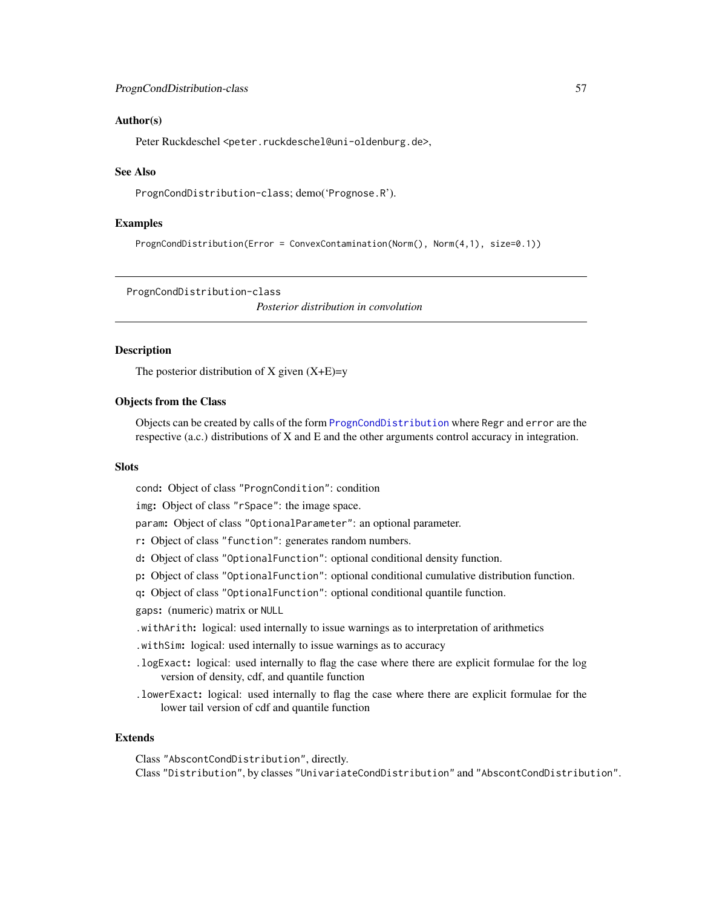### Author(s)

Peter Ruckdeschel <peter.ruckdeschel@uni-oldenburg.de>,

### See Also

PrognCondDistribution-class; demo('Prognose.R').

#### Examples

PrognCondDistribution(Error = ConvexContamination(Norm(), Norm(4,1), size=0.1))

<span id="page-56-0"></span>PrognCondDistribution-class

*Posterior distribution in convolution*

### **Description**

The posterior distribution of X given  $(X+E)=y$ 

### Objects from the Class

Objects can be created by calls of the form [PrognCondDistribution](#page-55-0) where Regr and error are the respective (a.c.) distributions of X and E and the other arguments control accuracy in integration.

### **Slots**

cond: Object of class "PrognCondition": condition

img: Object of class "rSpace": the image space.

param: Object of class "OptionalParameter": an optional parameter.

- r: Object of class "function": generates random numbers.
- d: Object of class "OptionalFunction": optional conditional density function.
- p: Object of class "OptionalFunction": optional conditional cumulative distribution function.

q: Object of class "OptionalFunction": optional conditional quantile function.

gaps: (numeric) matrix or NULL

- .withArith: logical: used internally to issue warnings as to interpretation of arithmetics
- .withSim: logical: used internally to issue warnings as to accuracy
- .logExact: logical: used internally to flag the case where there are explicit formulae for the log version of density, cdf, and quantile function
- .lowerExact: logical: used internally to flag the case where there are explicit formulae for the lower tail version of cdf and quantile function

#### Extends

Class "AbscontCondDistribution", directly. Class "Distribution", by classes "UnivariateCondDistribution" and "AbscontCondDistribution".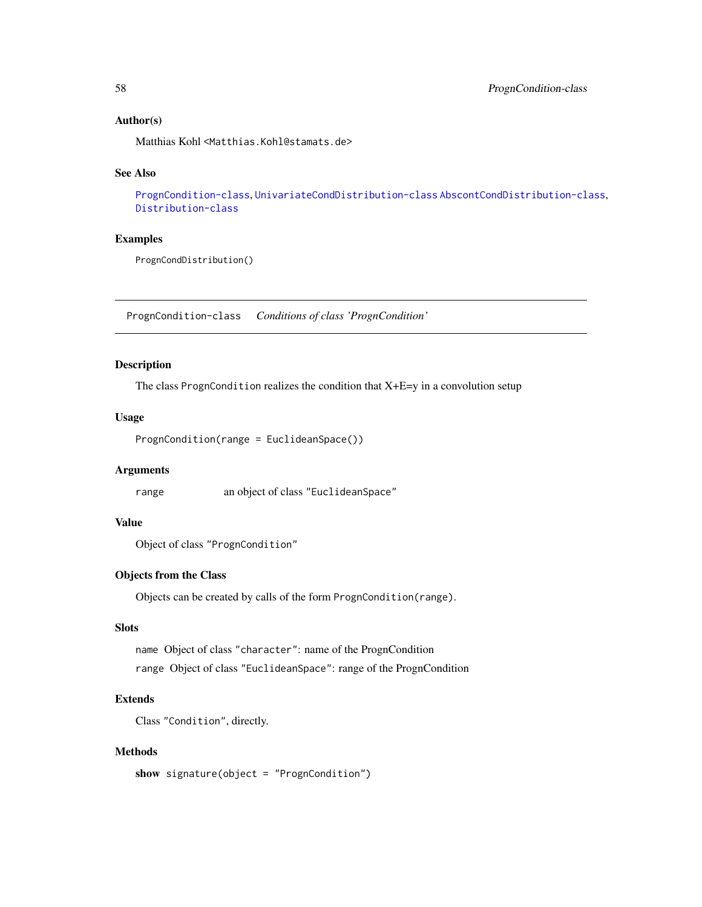### Author(s)

Matthias Kohl <Matthias.Kohl@stamats.de>

### See Also

[PrognCondition-class](#page-57-0), [UnivariateCondDistribution-class](#page-61-0) [AbscontCondDistribution-class](#page-6-0), [Distribution-class](#page-0-0)

# Examples

PrognCondDistribution()

<span id="page-57-0"></span>PrognCondition-class *Conditions of class 'PrognCondition'*

# Description

The class PrognCondition realizes the condition that  $X+E=y$  in a convolution setup

### Usage

```
PrognCondition(range = EuclideanSpace())
```
# Arguments

range an object of class "EuclideanSpace"

# Value

Object of class "PrognCondition"

# Objects from the Class

Objects can be created by calls of the form PrognCondition(range).

# **Slots**

name Object of class "character": name of the PrognCondition range Object of class "EuclideanSpace": range of the PrognCondition

# Extends

Class "Condition", directly.

### Methods

show signature(object = "PrognCondition")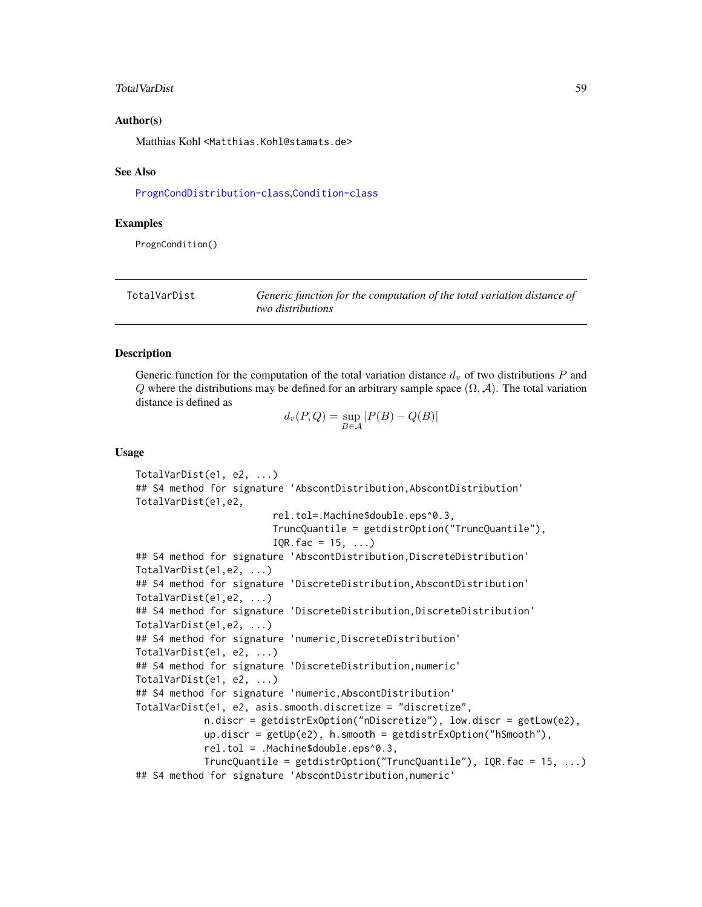#### TotalVarDist 59

### Author(s)

Matthias Kohl <Matthias.Kohl@stamats.de>

#### See Also

[PrognCondDistribution-class](#page-56-0),[Condition-class](#page-10-0)

### Examples

PrognCondition()

<span id="page-58-0"></span>

| TotalVarDist | Generic function for the computation of the total variation distance of |
|--------------|-------------------------------------------------------------------------|
|              | <i>two distributions</i>                                                |

#### <span id="page-58-1"></span>Description

Generic function for the computation of the total variation distance  $d_v$  of two distributions P and Q where the distributions may be defined for an arbitrary sample space  $(\Omega, \mathcal{A})$ . The total variation distance is defined as

$$
d_v(P,Q) = \sup_{B \in \mathcal{A}} |P(B) - Q(B)|
$$

### Usage

```
TotalVarDist(e1, e2, ...)
## S4 method for signature 'AbscontDistribution, AbscontDistribution'
TotalVarDist(e1,e2,
                        rel.tol=.Machine$double.eps^0.3,
                        TruncQuantile = getdistrOption("TruncQuantile"),
                        IQR.fac = 15, ...## S4 method for signature 'AbscontDistribution, DiscreteDistribution'
TotalVarDist(e1,e2, ...)
## S4 method for signature 'DiscreteDistribution, AbscontDistribution'
TotalVarDist(e1,e2, ...)
## S4 method for signature 'DiscreteDistribution, DiscreteDistribution'
TotalVarDist(e1,e2, ...)
## S4 method for signature 'numeric,DiscreteDistribution'
TotalVarDist(e1, e2, ...)
## S4 method for signature 'DiscreteDistribution,numeric'
TotalVarDist(e1, e2, ...)
## S4 method for signature 'numeric,AbscontDistribution'
TotalVarDist(e1, e2, asis.smooth.discretize = "discretize",
            n.discr = getdistrExOption("nDiscretize"), low.discr = getLow(e2),
            up.discr = getUp(e2), h.smooth = getdistrExOption("hSmooth"),
            rel.tol = .Machine$double.eps^0.3,
            TruncQuantile = getdistrOption("TruncQuantile"), IQR.fac = 15, ...)
## S4 method for signature 'AbscontDistribution, numeric'
```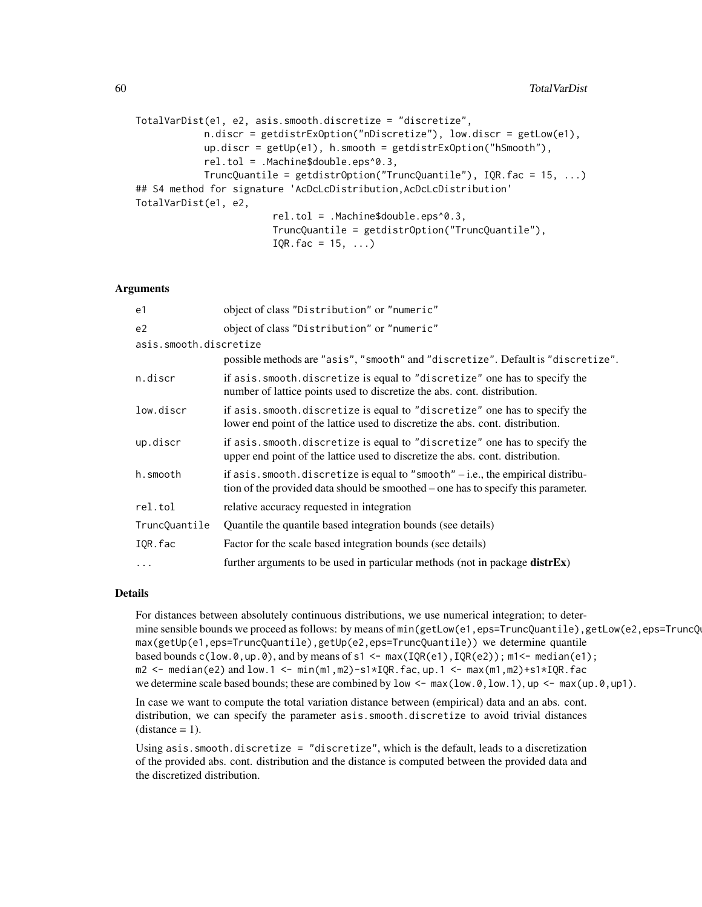```
TotalVarDist(e1, e2, asis.smooth.discretize = "discretize",
            n.discr = getdistrExOption("nDiscretize"), low.discr = getLow(e1),
            up.discr = getUp(e1), h.smooth = getdistrExOption("hSmooth"),
            rel.tol = .Machine$double.eps^0.3,
            TruncQuantile = getdistrOption("TruncQuantile"), IQR.fac = 15, ...)
## S4 method for signature 'AcDcLcDistribution,AcDcLcDistribution'
TotalVarDist(e1, e2,
                        rel.tol = .Machine$double.eps^0.3,
                        TruncQuantile = getdistrOption("TruncQuantile"),
                        IQR.fac = 15, ...
```
### Arguments

| e1                     | object of class "Distribution" or "numeric"                                                                                                                                |  |  |  |  |  |
|------------------------|----------------------------------------------------------------------------------------------------------------------------------------------------------------------------|--|--|--|--|--|
| e2                     | object of class "Distribution" or "numeric"                                                                                                                                |  |  |  |  |  |
| asis.smooth.discretize |                                                                                                                                                                            |  |  |  |  |  |
|                        | possible methods are "asis", "smooth" and "discretize". Default is "discretize".                                                                                           |  |  |  |  |  |
| n.discr                | if asis. smooth. discretize is equal to "discretize" one has to specify the<br>number of lattice points used to discretize the abs. cont. distribution.                    |  |  |  |  |  |
| low.discr              | if asis. smooth. discretize is equal to "discretize" one has to specify the<br>lower end point of the lattice used to discretize the abs. cont. distribution.              |  |  |  |  |  |
| up.discr               | if asis. smooth. discretize is equal to "discretize" one has to specify the<br>upper end point of the lattice used to discretize the abs. cont. distribution.              |  |  |  |  |  |
| h.smooth               | if $asis$ . smooth. discretize is equal to "smooth" $-$ i.e., the empirical distribu-<br>tion of the provided data should be smoothed – one has to specify this parameter. |  |  |  |  |  |
| rel.tol                | relative accuracy requested in integration                                                                                                                                 |  |  |  |  |  |
| TruncQuantile          | Quantile the quantile based integration bounds (see details)                                                                                                               |  |  |  |  |  |
| IQR.fac                | Factor for the scale based integration bounds (see details)                                                                                                                |  |  |  |  |  |
| $\ddots$               | further arguments to be used in particular methods (not in package $distfEx$ )                                                                                             |  |  |  |  |  |

# Details

For distances between absolutely continuous distributions, we use numerical integration; to determine sensible bounds we proceed as follows: by means of min(getLow(e1,eps=TruncQuantile),getLow(e2,eps=TruncQ max(getUp(e1,eps=TruncQuantile),getUp(e2,eps=TruncQuantile)) we determine quantile based bounds  $c(\text{low.0}, \text{up.0}),$  and by means of s1 <- max(IQR(e1), IQR(e2)); m1<- median(e1);  $m2 \le -$  median(e2) and low.1  $\le -$  min(m1,m2)-s1\*IQR.fac, up.1  $\le -$  max(m1,m2)+s1\*IQR.fac we determine scale based bounds; these are combined by low  $\leq -\max(\text{low.0}, \text{low.1}), \text{up } \leq -\max(\text{up.0}, \text{up.0})$ .

In case we want to compute the total variation distance between (empirical) data and an abs. cont. distribution, we can specify the parameter asis. smooth.discretize to avoid trivial distances  $distance = 1$ .

Using asis.smooth.discretize = "discretize", which is the default, leads to a discretization of the provided abs. cont. distribution and the distance is computed between the provided data and the discretized distribution.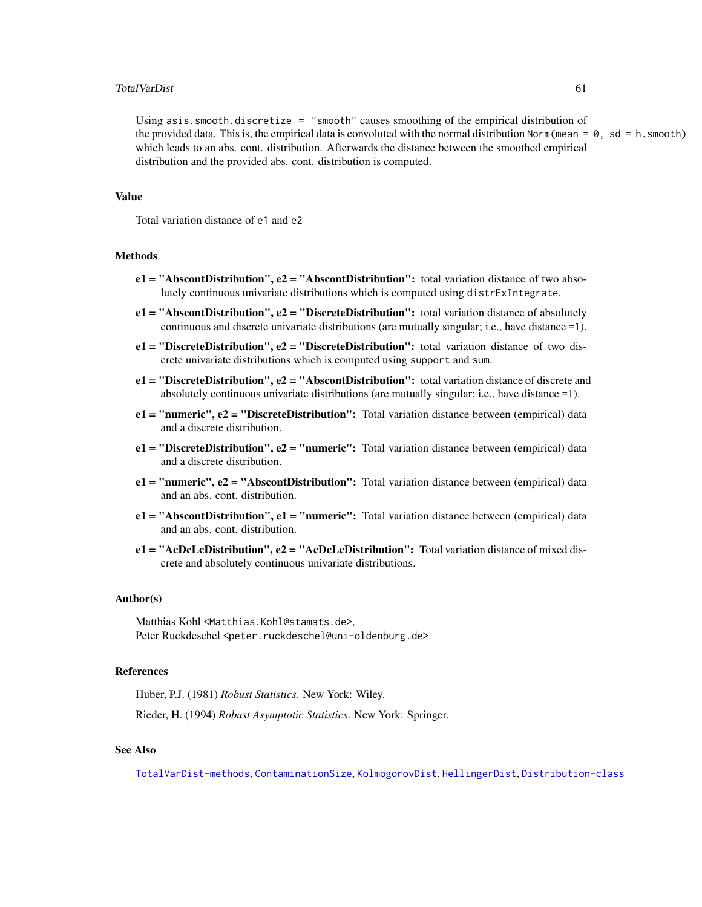#### TotalVarDist 61

Using asis.smooth.discretize = "smooth" causes smoothing of the empirical distribution of the provided data. This is, the empirical data is convoluted with the normal distribution Norm(mean =  $\theta$ , sd = h.smooth) which leads to an abs. cont. distribution. Afterwards the distance between the smoothed empirical distribution and the provided abs. cont. distribution is computed.

#### Value

Total variation distance of e1 and e2

#### Methods

- $e1 = "AbscontDistribution", e2 = "AbscontDistribution": total variation distance of two absolute$ lutely continuous univariate distributions which is computed using distrExIntegrate.
- $e1 = "AbscontDistribution", e2 = "Discrete Distribution": total variation distance of absolutely$ continuous and discrete univariate distributions (are mutually singular; i.e., have distance =1).
- e1 = "DiscreteDistribution", e2 = "DiscreteDistribution": total variation distance of two discrete univariate distributions which is computed using support and sum.
- $e1 =$  "DiscreteDistribution",  $e2 =$  "AbscontDistribution": total variation distance of discrete and absolutely continuous univariate distributions (are mutually singular; i.e., have distance =1).
- $e1 = "numeric", e2 = "Discrete Distribution": Total variation distance between (empirical) data$ and a discrete distribution.
- e1 = "DiscreteDistribution", e2 = "numeric": Total variation distance between (empirical) data and a discrete distribution.
- $e1 = "numeric", e2 = "Abscont Distribution": Total variation distance between (empirical) data$ and an abs. cont. distribution.
- e1 = "AbscontDistribution", e1 = "numeric": Total variation distance between (empirical) data and an abs. cont. distribution.
- $e1 = "ACDcLcDistribution", e2 = "AcDcLcDistribution": Total variation distance of mixed dis$ crete and absolutely continuous univariate distributions.

#### Author(s)

Matthias Kohl <Matthias.Kohl@stamats.de>, Peter Ruckdeschel <peter.ruckdeschel@uni-oldenburg.de>

### References

Huber, P.J. (1981) *Robust Statistics*. New York: Wiley.

Rieder, H. (1994) *Robust Asymptotic Statistics*. New York: Springer.

### See Also

[TotalVarDist-methods](#page-58-1), [ContaminationSize](#page-11-0), [KolmogorovDist](#page-40-0), [HellingerDist](#page-37-0), [Distribution-class](#page-0-0)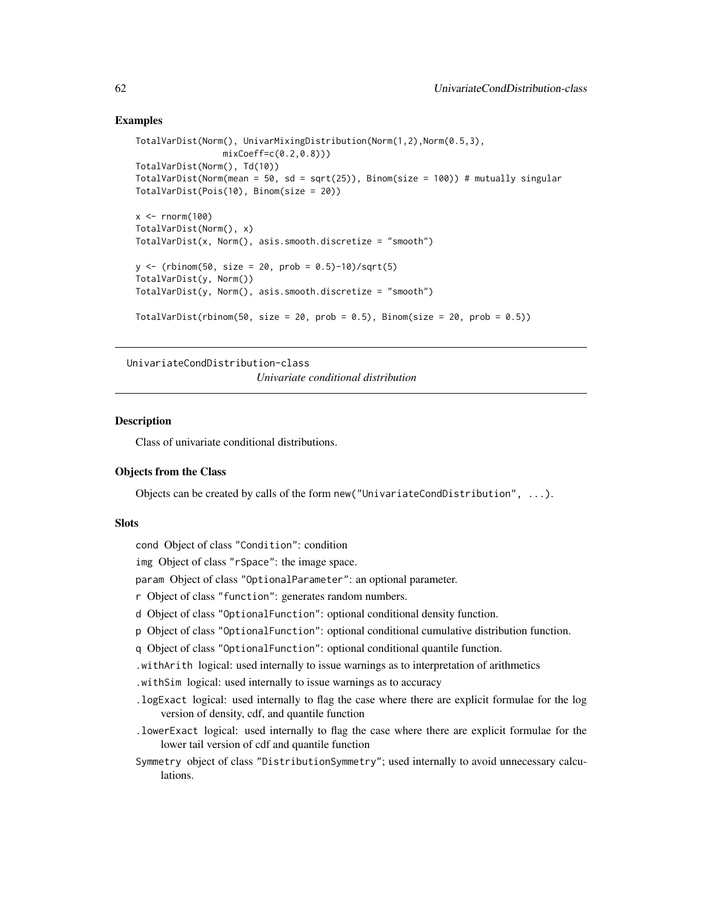### Examples

```
TotalVarDist(Norm(), UnivarMixingDistribution(Norm(1,2),Norm(0.5,3),
                 mixCoeff=c(0.2,0.8)))
TotalVarDist(Norm(), Td(10))
TotalVarDist(Norm(mean = 50, sd = sqrt(25)), Binom(size = 100)) # mutually singular
TotalVarDist(Pois(10), Binom(size = 20))
x \le - rnorm(100)TotalVarDist(Norm(), x)
TotalVarDist(x, Norm(), asis.smooth.discretize = "smooth")
y \le - (rbinom(50, size = 20, prob = 0.5)-10)/sqrt(5)
TotalVarDist(y, Norm())
TotalVarDist(y, Norm(), asis.smooth.discretize = "smooth")
TotalVarDist(rbinom(50, size = 20, prob = 0.5), Binom(size = 20, prob = 0.5))
```
<span id="page-61-0"></span>UnivariateCondDistribution-class

*Univariate conditional distribution*

### Description

Class of univariate conditional distributions.

# Objects from the Class

Objects can be created by calls of the form new("UnivariateCondDistribution", ...).

### **Slots**

cond Object of class "Condition": condition

img Object of class "rSpace": the image space.

param Object of class "OptionalParameter": an optional parameter.

- r Object of class "function": generates random numbers.
- d Object of class "OptionalFunction": optional conditional density function.
- p Object of class "OptionalFunction": optional conditional cumulative distribution function.
- q Object of class "OptionalFunction": optional conditional quantile function.
- .withArith logical: used internally to issue warnings as to interpretation of arithmetics
- .withSim logical: used internally to issue warnings as to accuracy
- .logExact logical: used internally to flag the case where there are explicit formulae for the log version of density, cdf, and quantile function
- .lowerExact logical: used internally to flag the case where there are explicit formulae for the lower tail version of cdf and quantile function
- Symmetry object of class "DistributionSymmetry"; used internally to avoid unnecessary calculations.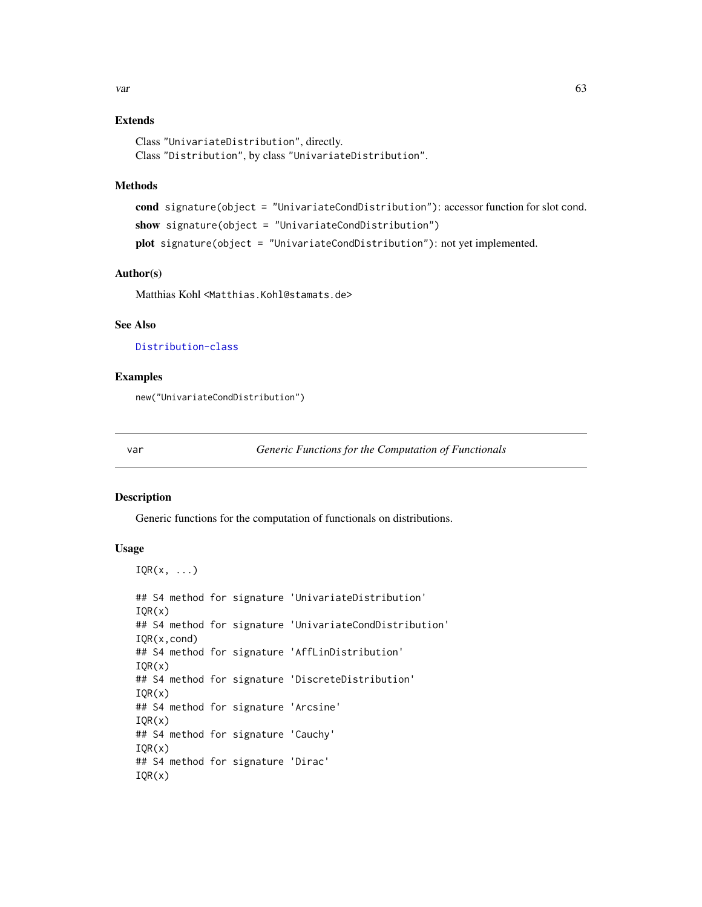# Extends

Class "UnivariateDistribution", directly. Class "Distribution", by class "UnivariateDistribution".

### Methods

```
cond signature(object = "UnivariateCondDistribution"): accessor function for slot cond.
show signature(object = "UnivariateCondDistribution")
plot signature(object = "UnivariateCondDistribution"): not yet implemented.
```
### Author(s)

Matthias Kohl <Matthias.Kohl@stamats.de>

# See Also

[Distribution-class](#page-0-0)

# Examples

new("UnivariateCondDistribution")

<span id="page-62-0"></span>

var *Generic Functions for the Computation of Functionals*

### <span id="page-62-1"></span>Description

Generic functions for the computation of functionals on distributions.

# Usage

```
IQR(x, \ldots)
```

```
## S4 method for signature 'UnivariateDistribution'
IQR(x)## S4 method for signature 'UnivariateCondDistribution'
IQR(x,cond)
## S4 method for signature 'AffLinDistribution'
IQR(x)
## S4 method for signature 'DiscreteDistribution'
IQR(x)
## S4 method for signature 'Arcsine'
IQR(x)## S4 method for signature 'Cauchy'
IQR(x)
## S4 method for signature 'Dirac'
IQR(x)
```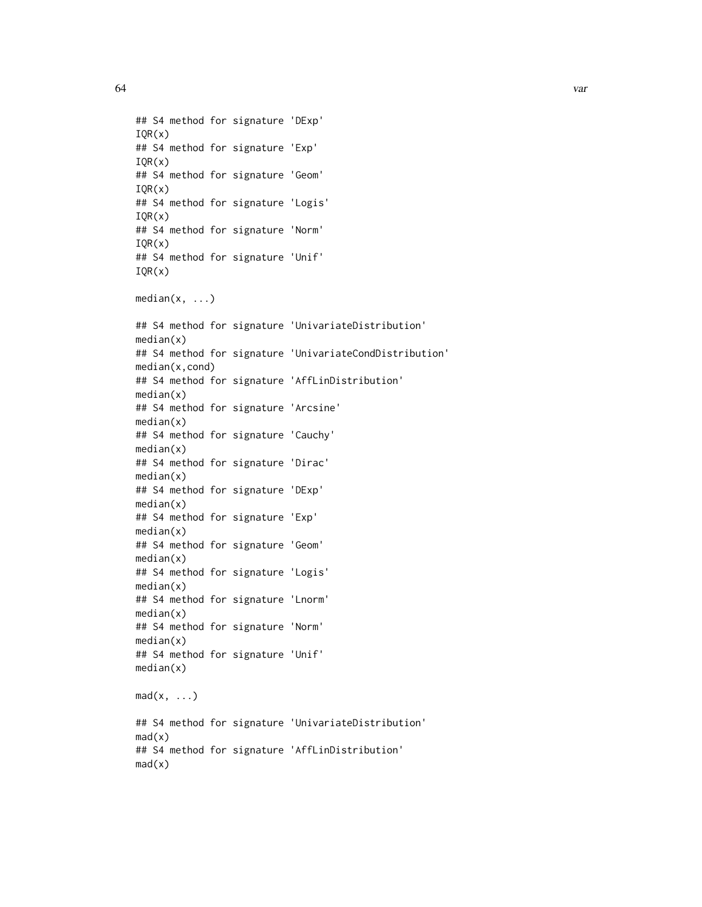64 var

## S4 method for signature 'DExp'  $IOR(x)$ ## S4 method for signature 'Exp'  $IQR(x)$ ## S4 method for signature 'Geom' IQR(x) ## S4 method for signature 'Logis' IQR(x) ## S4 method for signature 'Norm' IQR(x) ## S4 method for signature 'Unif' IQR(x) median(x, ...) ## S4 method for signature 'UnivariateDistribution'  $median(x)$ ## S4 method for signature 'UnivariateCondDistribution' median(x,cond) ## S4 method for signature 'AffLinDistribution' median(x) ## S4 method for signature 'Arcsine' median(x) ## S4 method for signature 'Cauchy'  $median(x)$ ## S4 method for signature 'Dirac'  $median(x)$ ## S4 method for signature 'DExp'  $median(x)$ ## S4 method for signature 'Exp'  $median(x)$ ## S4 method for signature 'Geom' median(x) ## S4 method for signature 'Logis' median(x) ## S4 method for signature 'Lnorm'  $median(x)$ ## S4 method for signature 'Norm'  $median(x)$ ## S4 method for signature 'Unif' median(x)  $mad(x, \ldots)$ ## S4 method for signature 'UnivariateDistribution'  $mad(x)$ ## S4 method for signature 'AffLinDistribution'  $mad(x)$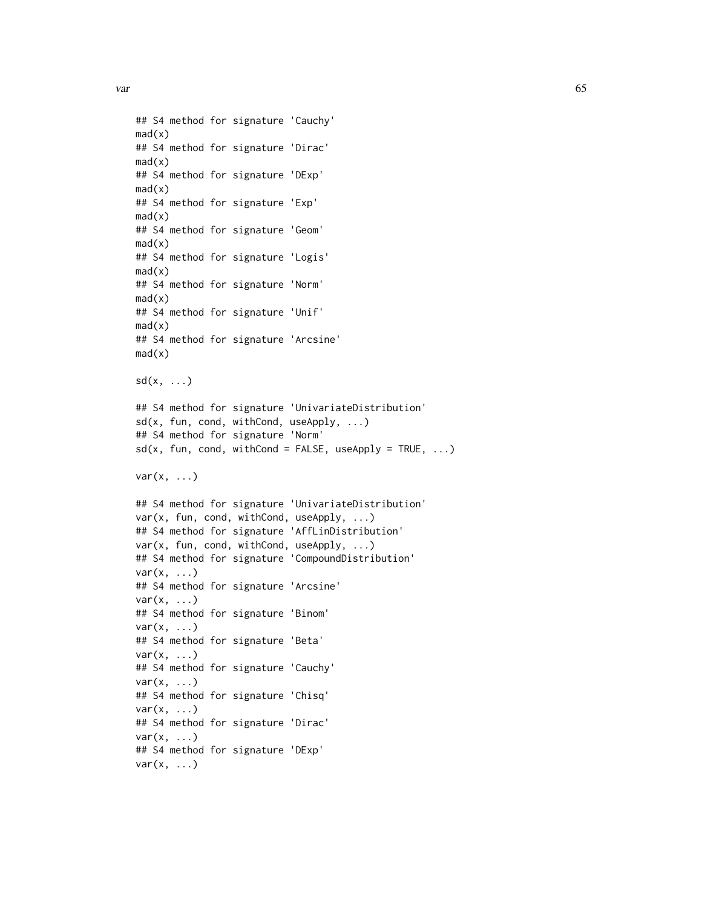var de la componente de la componente de la componente de la componente de la componente de la componente de l

```
## S4 method for signature 'Cauchy'
mad(x)## S4 method for signature 'Dirac'
mad(x)## S4 method for signature 'DExp'
mad(x)## S4 method for signature 'Exp'
mad(x)## S4 method for signature 'Geom'
mad(x)## S4 method for signature 'Logis'
mad(x)## S4 method for signature 'Norm'
mad(x)## S4 method for signature 'Unif'
mad(x)## S4 method for signature 'Arcsine'
mad(x)sd(x, \ldots)## S4 method for signature 'UnivariateDistribution'
sd(x, fun, cond, withCond, useApply, ...)
## S4 method for signature 'Norm'
sd(x, fun, cond, withCond = FALSE, useApply = TRUE, ...)var(x, \ldots)## S4 method for signature 'UnivariateDistribution'
var(x, fun, cond, withCond, useApply, ...)
## S4 method for signature 'AffLinDistribution'
var(x, fun, cond, withCond, useApply, ...)
## S4 method for signature 'CompoundDistribution'
var(x, \ldots)## S4 method for signature 'Arcsine'
var(x, \ldots)## S4 method for signature 'Binom'
var(x, \ldots)## S4 method for signature 'Beta'
var(x, ...)
## S4 method for signature 'Cauchy'
var(x, \ldots)## S4 method for signature 'Chisq'
var(x, \ldots)## S4 method for signature 'Dirac'
var(x, \ldots)## S4 method for signature 'DExp'
var(x, \ldots)
```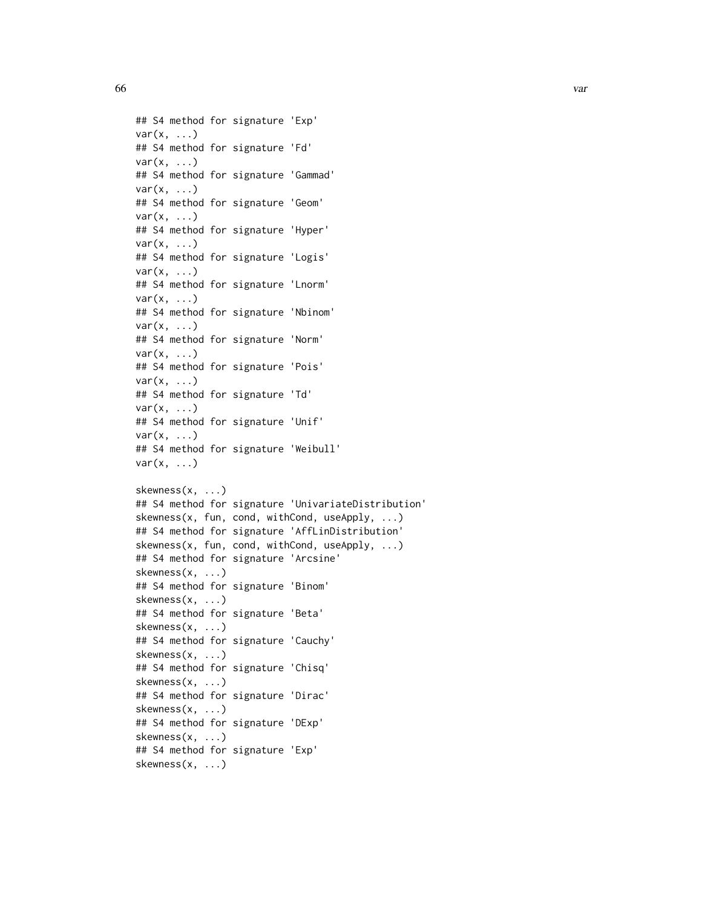```
\sim 066 variety \sim variety \sim variety \sim variety \sim variety \sim variety \sim variety \sim variety \sim variety \sim variety \sim variety \sim variety \sim variety \sim variety \sim variety \sim variety \sim vari
```

```
## S4 method for signature 'Exp'
var(x, \ldots)## S4 method for signature 'Fd'
var(x, \ldots)## S4 method for signature 'Gammad'
var(x, ...)
## S4 method for signature 'Geom'
var(x, ...)
## S4 method for signature 'Hyper'
var(x, \ldots)## S4 method for signature 'Logis'
var(x, \ldots)## S4 method for signature 'Lnorm'
var(x, \ldots)## S4 method for signature 'Nbinom'
var(x, \ldots)## S4 method for signature 'Norm'
var(x, \ldots)## S4 method for signature 'Pois'
var(x, \ldots)## S4 method for signature 'Td'
var(x, \ldots)## S4 method for signature 'Unif'
var(x, \ldots)## S4 method for signature 'Weibull'
var(x, \ldots)skewness(x, ...)
## S4 method for signature 'UnivariateDistribution'
skewness(x, fun, cond, withCond, useApply, ...)
## S4 method for signature 'AffLinDistribution'
skewness(x, fun, cond, withCond, useApply, ...)
## S4 method for signature 'Arcsine'
skewness(x, ...)
## S4 method for signature 'Binom'
skewness(x, ...)
## S4 method for signature 'Beta'
skewness(x, ...)
## S4 method for signature 'Cauchy'
skewness(x, ...)
## S4 method for signature 'Chisq'
skewness(x, ...)
## S4 method for signature 'Dirac'
skewness(x, ...)
## S4 method for signature 'DExp'
skewness(x, ...)
## S4 method for signature 'Exp'
skewness(x, ...)
```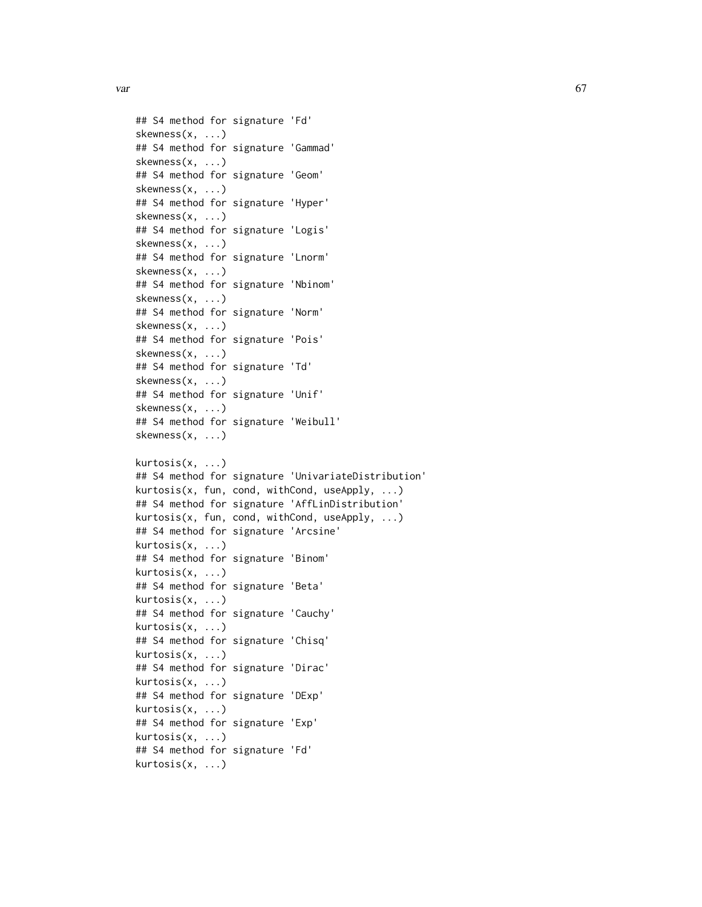$var$  67

```
## S4 method for signature 'Fd'
skewness(x, ...)
## S4 method for signature 'Gammad'
skewness(x, ...)
## S4 method for signature 'Geom'
skewness(x, ...)
## S4 method for signature 'Hyper'
skewness(x, ...)
## S4 method for signature 'Logis'
skewness(x, ...)
## S4 method for signature 'Lnorm'
skewness(x, ...)
## S4 method for signature 'Nbinom'
skewness(x, ...)
## S4 method for signature 'Norm'
skewness(x, ...)
## S4 method for signature 'Pois'
skewness(x, ...)
## S4 method for signature 'Td'
skewness(x, ...)
## S4 method for signature 'Unif'
skewness(x, ...)
## S4 method for signature 'Weibull'
skewness(x, ...)
kurtosis(x, ...)
## S4 method for signature 'UnivariateDistribution'
kurtosis(x, fun, cond, withCond, useApply, ...)
## S4 method for signature 'AffLinDistribution'
kurtosis(x, fun, cond, withCond, useApply, ...)
## S4 method for signature 'Arcsine'
kurtosis(x, ...)
## S4 method for signature 'Binom'
kurtosis(x, ...)
## S4 method for signature 'Beta'
kurtosis(x, ...)
## S4 method for signature 'Cauchy'
kurtosis(x, ...)
## S4 method for signature 'Chisq'
kurtosis(x, ...)
## S4 method for signature 'Dirac'
kurtosis(x, ...)
## S4 method for signature 'DExp'
kurtosis(x, ...)
## S4 method for signature 'Exp'
kurtosis(x, ...)
## S4 method for signature 'Fd'
kurtosis(x, ...)
```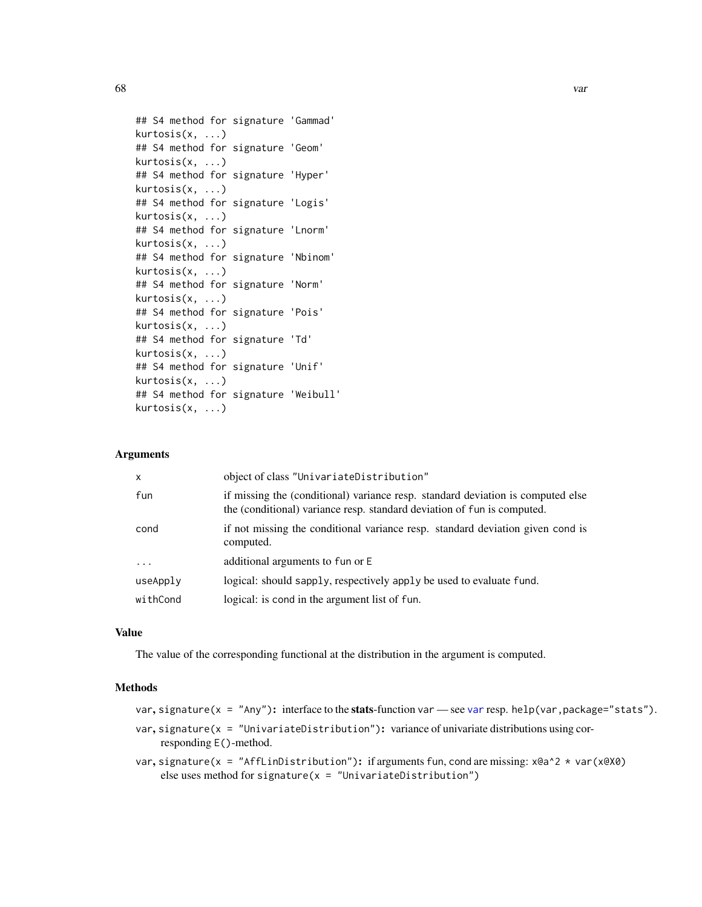```
## S4 method for signature 'Gammad'
kurtosis(x, ...)
## S4 method for signature 'Geom'
kurtosis(x, ...)
## S4 method for signature 'Hyper'
kurtosis(x, ...)
## S4 method for signature 'Logis'
kurtosis(x, ...)
## S4 method for signature 'Lnorm'
kurtosis(x, ...)
## S4 method for signature 'Nbinom'
kurtosis(x, ...)
## S4 method for signature 'Norm'
kurtosis(x, ...)
## S4 method for signature 'Pois'
kurtosis(x, ...)
## S4 method for signature 'Td'
kurtosis(x, ...)
## S4 method for signature 'Unif'
kurtosis(x, ...)
## S4 method for signature 'Weibull'
kurtosis(x, ...)
```
### Arguments

| $\mathsf{x}$ | object of class "UnivariateDistribution"                                                                                                                   |  |
|--------------|------------------------------------------------------------------------------------------------------------------------------------------------------------|--|
| fun          | if missing the (conditional) variance resp. standard deviation is computed else<br>the (conditional) variance resp. standard deviation of fun is computed. |  |
| cond         | if not missing the conditional variance resp. standard deviation given cond is<br>computed.                                                                |  |
| .            | additional arguments to fun or E                                                                                                                           |  |
| useApply     | logical: should sapply, respectively apply be used to evaluate fund.                                                                                       |  |
| withCond     | logical: is cond in the argument list of fun.                                                                                                              |  |

# Value

The value of the corresponding functional at the distribution in the argument is computed.

# Methods

|  |  | var, signature( $x =$ "Any"): interface to the stats-function var — see var resp. help(var, package="stats"). |  |  |
|--|--|---------------------------------------------------------------------------------------------------------------|--|--|
|--|--|---------------------------------------------------------------------------------------------------------------|--|--|

- var, signature(x = "UnivariateDistribution"): variance of univariate distributions using corresponding E()-method.
- var, signature(x = "AffLinDistribution"): if arguments fun, cond are missing: x@a^2 \* var(x@X0) else uses method for signature( $x =$  "UnivariateDistribution")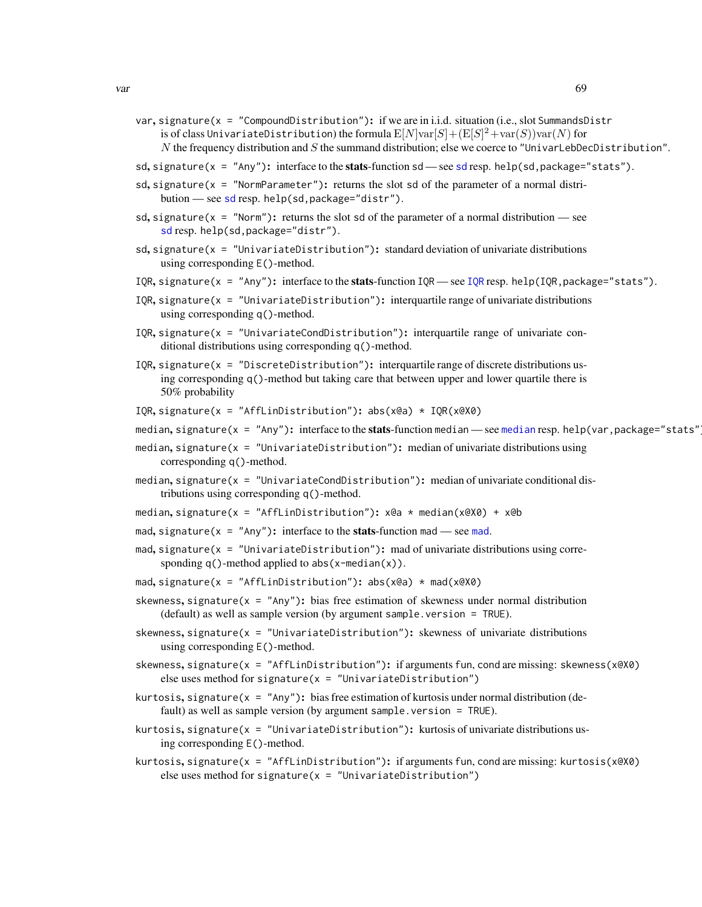- var, signature( $x =$  "CompoundDistribution"): if we are in i.i.d. situation (i.e., slot SummandsDistr is of class UnivariateDistribution) the formula  $\mathop {\rm E} [N] \text{var} [S] + (\mathop {\rm E} [S]^2 + \text{var} (S)) \text{var} (N)$  for N the frequency distribution and S the summand distribution; else we coerce to "UnivarLebDecDistribution".
- [sd](#page-62-1), signature( $x = "Any"$ ): interface to the **stats**-function sd see sd resp. help(sd,package="stats").
- sd, signature( $x =$  "NormParameter"): returns the slot sd of the parameter of a normal distribution — see [sd](#page-62-1) resp. help(sd,package="distr").
- sd, signature( $x =$  "Norm"): returns the slot sd of the parameter of a normal distribution see [sd](#page-62-1) resp. help(sd,package="distr").
- sd, signature( $x =$  "UnivariateDistribution"): standard deviation of univariate distributions using corresponding E()-method.
- [IQR](#page-62-1), signature( $x =$  "Any"): interface to the stats-function IQR see IQR resp. help(IQR, package="stats").
- IQR, signature( $x =$  "UnivariateDistribution"): interquartile range of univariate distributions using corresponding q()-method.
- $IOR$ , signature(x = "UnivariateCondDistribution"): interquartile range of univariate conditional distributions using corresponding q()-method.
- $IQR$ , signature(x = "DiscreteDistribution"): interquartile range of discrete distributions using corresponding q()-method but taking care that between upper and lower quartile there is 50% probability

IQR, signature(x = "AffLinDistribution"):  $abs(x@a) * IQR(x@X@)$ 

- [median](#page-62-1), signature(x = "Any"): interface to the **stats**-function median see median resp. help(var, package="stats"
- median, signature( $x =$  "UnivariateDistribution"): median of univariate distributions using corresponding q()-method.
- median, signature(x = "UnivariateCondDistribution"): median of univariate conditional distributions using corresponding q()-method.
- median, signature(x = "AffLinDistribution"): x@a \* median(x@X0) + x@b
- [mad](#page-62-1), signature( $x = "Any"$ ): interface to the stats-function mad see mad.
- mad, signature(x = "UnivariateDistribution"): mad of univariate distributions using corresponding  $q()$ -method applied to abs $(x$ -median $(x))$ .

mad, signature(x = "AffLinDistribution"): abs(x@a) \* mad(x@X0)

- skewness, signature( $x = "Any"$ ): bias free estimation of skewness under normal distribution (default) as well as sample version (by argument sample.version = TRUE).
- skewness, signature( $x =$  "UnivariateDistribution"): skewness of univariate distributions using corresponding E()-method.
- skewness, signature( $x = "AffLinDistribution"$ ): if arguments fun, cond are missing: skewness( $x@X@$ ) else uses method for signature( $x =$  "UnivariateDistribution")
- kurtosis, signature( $x = "Any"$ ): bias free estimation of kurtosis under normal distribution (default) as well as sample version (by argument sample.version = TRUE).
- kurtosis, signature( $x =$  "UnivariateDistribution"): kurtosis of univariate distributions using corresponding E()-method.
- kurtosis, signature(x = "AffLinDistribution"): if arguments fun, cond are missing: kurtosis(x@X0) else uses method for signature( $x =$  "UnivariateDistribution")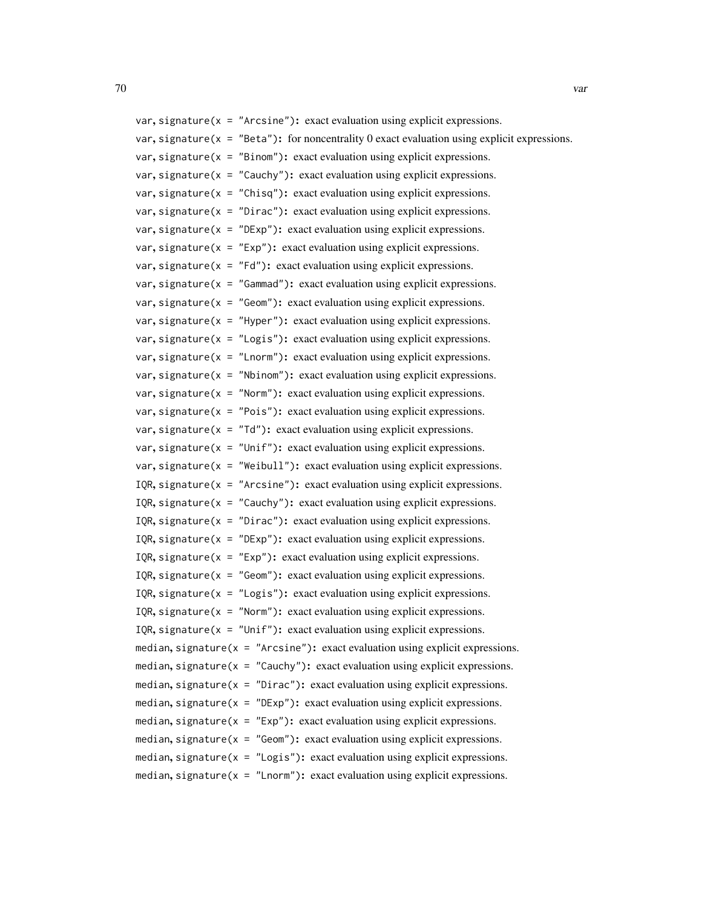| var, signature( $x =$ "Arcsine"): exact evaluation using explicit expressions.                   |
|--------------------------------------------------------------------------------------------------|
| var, signature ( $x =$ "Beta"): for noncentrality 0 exact evaluation using explicit expressions. |
| var, signature( $x =$ "Binom"): exact evaluation using explicit expressions.                     |
| var, signature( $x =$ "Cauchy"): exact evaluation using explicit expressions.                    |
| var, signature( $x =$ "Chisq"): exact evaluation using explicit expressions.                     |
| var, signature( $x =$ "Dirac"): exact evaluation using explicit expressions.                     |
| var, signature( $x =$ "DExp"): exact evaluation using explicit expressions.                      |
| var, signature( $x =$ "Exp"): exact evaluation using explicit expressions.                       |
| var, signature( $x = "Fd"$ ): exact evaluation using explicit expressions.                       |
| var, signature( $x =$ "Gammad"): exact evaluation using explicit expressions.                    |
| var, signature( $x =$ "Geom"): exact evaluation using explicit expressions.                      |
| var, signature( $x =$ "Hyper"): exact evaluation using explicit expressions.                     |
| var, signature( $x =$ "Logis"): exact evaluation using explicit expressions.                     |
| var, signature( $x =$ "Lnorm"): exact evaluation using explicit expressions.                     |
| var, signature( $x =$ "Nbinom"): exact evaluation using explicit expressions.                    |
| var, signature( $x =$ "Norm"): exact evaluation using explicit expressions.                      |
| var, signature( $x =$ "Pois"): exact evaluation using explicit expressions.                      |
| var, signature( $x = "Td"$ ): exact evaluation using explicit expressions.                       |
| var, signature( $x =$ "Unif"): exact evaluation using explicit expressions.                      |
| var, signature( $x =$ "Weibull"): exact evaluation using explicit expressions.                   |
| IQR, signature( $x =$ "Arcsine"): exact evaluation using explicit expressions.                   |
| IQR, signature( $x =$ "Cauchy"): exact evaluation using explicit expressions.                    |
| IQR, signature( $x =$ "Dirac"): exact evaluation using explicit expressions.                     |
| IQR, signature( $x =$ "DExp"): exact evaluation using explicit expressions.                      |
| IQR, signature( $x =$ "Exp"): exact evaluation using explicit expressions.                       |
| IQR, signature( $x =$ "Geom"): exact evaluation using explicit expressions.                      |
| IQR, signature( $x =$ "Logis"): exact evaluation using explicit expressions.                     |
| IQR, signature( $x =$ "Norm"): exact evaluation using explicit expressions.                      |
| IQR, signature( $x =$ "Unif"): exact evaluation using explicit expressions.                      |
| median, signature( $x =$ "Arcsine"): exact evaluation using explicit expressions.                |
| median, signature( $x =$ "Cauchy"): exact evaluation using explicit expressions.                 |
| median, signature( $x =$ "Dirac"): exact evaluation using explicit expressions.                  |
| median, signature( $x =$ "DExp"): exact evaluation using explicit expressions.                   |
| median, signature( $x = "Exp"$ ): exact evaluation using explicit expressions.                   |
| median, signature( $x =$ "Geom"): exact evaluation using explicit expressions.                   |
| median, signature( $x =$ "Logis"): exact evaluation using explicit expressions.                  |
| median, signature( $x =$ "Lnorm"): exact evaluation using explicit expressions.                  |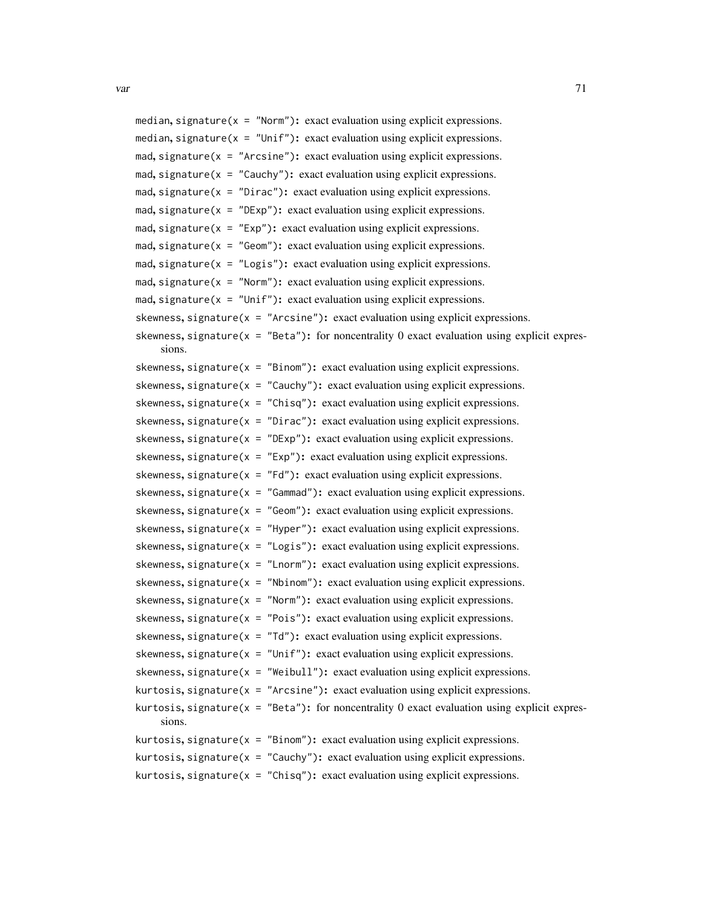```
median, signature(x = "Norm"): exact evaluation using explicit expressions.
median, signature(x = "Unif"): exact evaluation using explicit expressions.
mad, signature(x = "Arcsine"): exact evaluation using explicit expressions.
mad, signature(x = "Cauchy"): exact evaluation using explicit expressions.
mad, signature(x = "Dirac"): exact evaluation using explicit expressions.
mad, signature(x = "DExp"): exact evaluation using explicit expressions.
mad, signature(x = "Exp"): exact evaluation using explicit expressions.
mad, signature(x = "Geom"): exact evaluation using explicit expressions.
mad, signature(x = "Logis"): exact evaluation using explicit expressions.
mad, signature(x = "Norm"): exact evaluation using explicit expressions.
mad, signature(x = "Unif"): exact evaluation using explicit expressions.
skewness, signature(x = "Arcsine"): exact evaluation using explicit expressions.
skewness, signature(x = "Beta"): for noncentrality 0 exact evaluation using explicit expres-
    sions.
skewness, signature(x = "Binom"): exact evaluation using explicit expressions.
skewness, signature(x = "Cauchy"): exact evaluation using explicit expressions.
skewness, signature(x = "Chisq"): exact evaluation using explicit expressions.
skewness, signature(x = "Dirac"): exact evaluation using explicit expressions.
skewness, signature(x = "DExp"): exact evaluation using explicit expressions.
skewness, signature(x = "Exp"): exact evaluation using explicit expressions.
skewness, signature(x = "Fd"): exact evaluation using explicit expressions.
skewness, signature(x = "Gammad"): exact evaluation using explicit expressions.
skewness, signature(x = "Geom"): exact evaluation using explicit expressions.
skewness, signature(x = "Hyper"): exact evaluation using explicit expressions.
skewness, signature(x = "Logis"): exact evaluation using explicit expressions.
skewness, signature(x = "Lnorm"): exact evaluation using explicit expressions.
skewness, signature(x = "Nbinom"): exact evaluation using explicit expressions.
skewness, signature(x = "Norm"): exact evaluation using explicit expressions.
skewness, signature(x = "Pois"): exact evaluation using explicit expressions.
skewness, signature(x = "Td"): exact evaluation using explicit expressions.
skewness, signature(x = "Unit"): exact evaluation using explicit expressions.
skewness, signature(x = "Weibull"): exact evaluation using explicit expressions.
kurtosis, signature(x = "Arcsine"): exact evaluation using explicit expressions.
kurtosis, signature(x = "Beta"): for noncentrality 0 exact evaluation using explicit expres-
    sions.
kurtosis, signature(x = "Binom"): exact evaluation using explicit expressions.
kurtosis, signature(x = "Cauchy"): exact evaluation using explicit expressions.
kurtosis, signature(x = "Chisq"): exact evaluation using explicit expressions.
```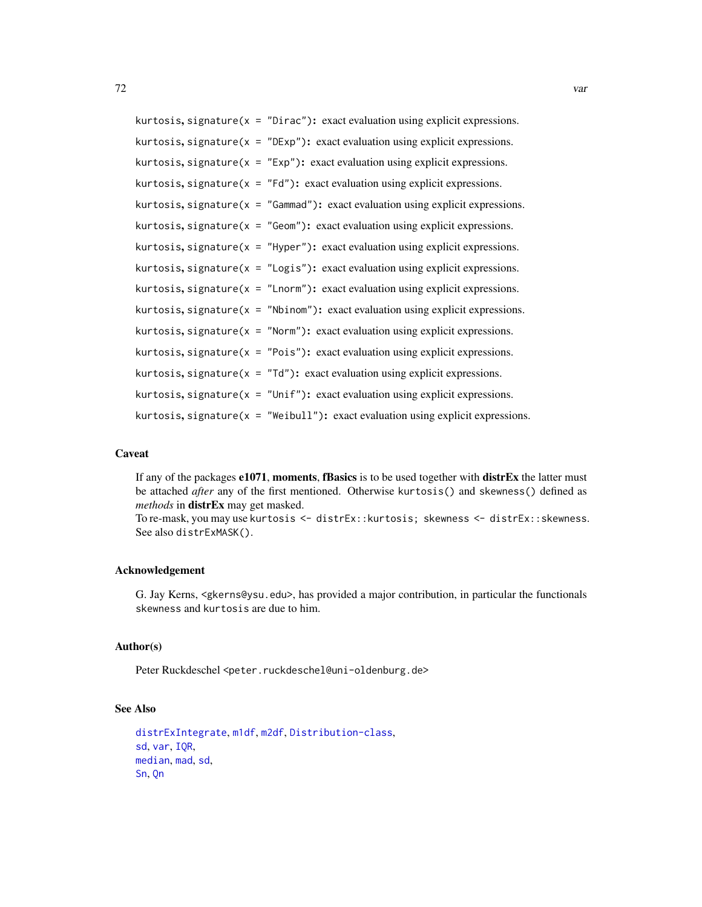kurtosis, signature( $x =$  "Dirac"): exact evaluation using explicit expressions. kurtosis, signature( $x =$  "DExp"): exact evaluation using explicit expressions. kurtosis, signature( $x = "Exp"$ ): exact evaluation using explicit expressions. kurtosis, signature( $x = "Fd"$ ): exact evaluation using explicit expressions. kurtosis, signature( $x = "Gamma"$ ): exact evaluation using explicit expressions. kurtosis, signature( $x = "Geom"$ ): exact evaluation using explicit expressions. kurtosis, signature( $x =$  "Hyper"): exact evaluation using explicit expressions. kurtosis, signature( $x =$  "Logis"): exact evaluation using explicit expressions. kurtosis, signature( $x =$  "Lnorm"): exact evaluation using explicit expressions. kurtosis, signature( $x =$  "Nbinom"): exact evaluation using explicit expressions. kurtosis, signature( $x =$  "Norm"): exact evaluation using explicit expressions. kurtosis, signature( $x = "Pois"$ ): exact evaluation using explicit expressions. kurtosis, signature( $x = "Td"$ ): exact evaluation using explicit expressions. kurtosis, signature( $x =$  "Unif"): exact evaluation using explicit expressions. kurtosis, signature( $x =$  "Weibull"): exact evaluation using explicit expressions.

### Caveat

If any of the packages  $e1071$ , moments, fBasics is to be used together with distrEx the latter must be attached *after* any of the first mentioned. Otherwise kurtosis() and skewness() defined as *methods* in distrEx may get masked.

To re-mask, you may use kurtosis <- distrEx::kurtosis; skewness <- distrEx::skewness. See also distrExMASK().

#### Acknowledgement

G. Jay Kerns, <gkerns@ysu.edu>, has provided a major contribution, in particular the functionals skewness and kurtosis are due to him.

#### Author(s)

Peter Ruckdeschel <peter.ruckdeschel@uni-oldenburg.de>

# See Also

```
distrExIntegrate, m1df, m2df, Distribution-class,
sd, var, IQR,
median, mad, sd,
Sn, Qn
```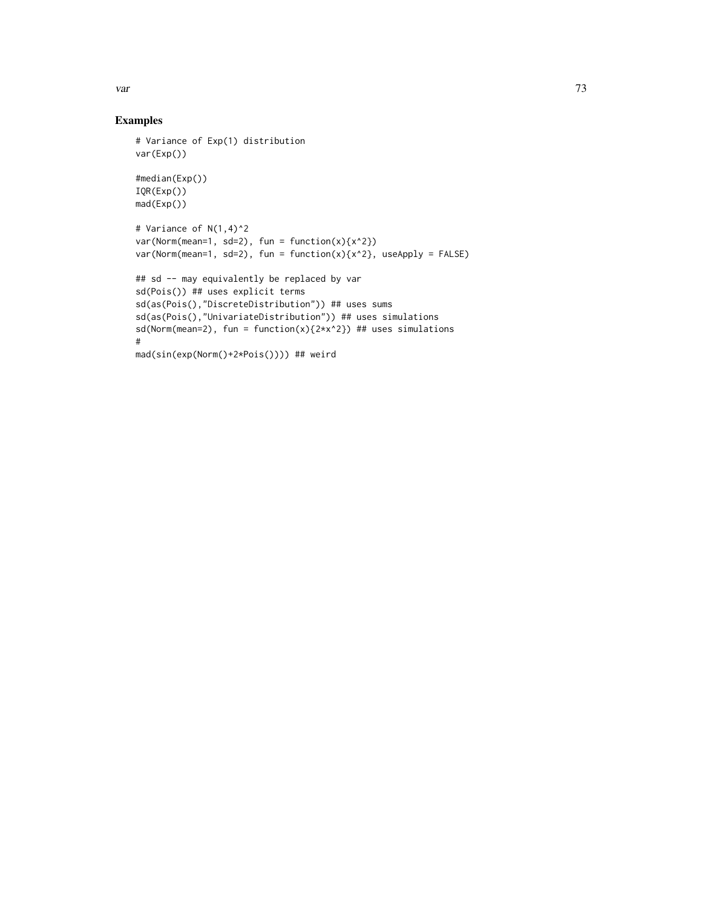var and the contract of the contract of the contract of the contract of the contract of the contract of the contract of the contract of the contract of the contract of the contract of the contract of the contract of the co

## Examples

```
# Variance of Exp(1) distribution
var(Exp())
#median(Exp())
IQR(Exp())
mad(Exp())
# Variance of N(1,4)^2
var(Norm(mean=1, sd=2), fun = function(x){x^2}}var(Norm(mean=1, sd=2), fun = function(x){x^2}, useApply = FALSE)## sd -- may equivalently be replaced by var
sd(Pois()) ## uses explicit terms
sd(as(Pois(),"DiscreteDistribution")) ## uses sums
sd(as(Pois(),"UnivariateDistribution")) ## uses simulations
sd(Norm(mean=2), fun = function(x){2*x^2}) ## uses simulations
#
mad(sin(exp(Norm()+2*Pois()))) ## weird
```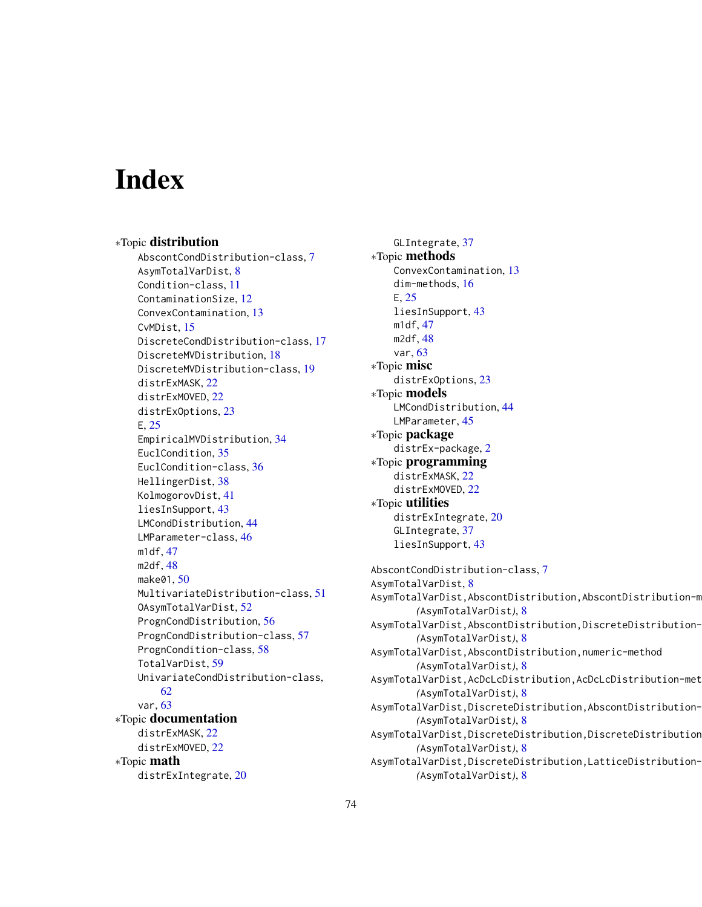# **Index**

∗Topic distribution AbscontCondDistribution-class, [7](#page-6-0) AsymTotalVarDist, [8](#page-7-0) Condition-class, [11](#page-10-0) ContaminationSize, [12](#page-11-0) ConvexContamination, [13](#page-12-0) CvMDist, [15](#page-14-0) DiscreteCondDistribution-class, [17](#page-16-0) DiscreteMVDistribution, [18](#page-17-0) DiscreteMVDistribution-class, [19](#page-18-0) distrExMASK, [22](#page-21-0) distrExMOVED, [22](#page-21-0) distrExOptions, [23](#page-22-0) E, [25](#page-24-0) EmpiricalMVDistribution, [34](#page-33-0) EuclCondition, [35](#page-34-0) EuclCondition-class, [36](#page-35-0) HellingerDist, [38](#page-37-0) KolmogorovDist, [41](#page-40-0) liesInSupport, [43](#page-42-0) LMCondDistribution, [44](#page-43-0) LMParameter-class, [46](#page-45-0) m1df, [47](#page-46-0) m2df, [48](#page-47-0) make01, [50](#page-49-0) MultivariateDistribution-class, [51](#page-50-0) OAsymTotalVarDist, [52](#page-51-0) PrognCondDistribution, [56](#page-55-0) PrognCondDistribution-class, [57](#page-56-0) PrognCondition-class, [58](#page-57-0) TotalVarDist, [59](#page-58-0) UnivariateCondDistribution-class, [62](#page-61-0) var, [63](#page-62-0) ∗Topic documentation distrExMASK, [22](#page-21-0) distrExMOVED, [22](#page-21-0) ∗Topic math distrExIntegrate, [20](#page-19-0)

GLIntegrate, [37](#page-36-0) ∗Topic methods ConvexContamination, [13](#page-12-0) dim-methods, [16](#page-15-0) E, [25](#page-24-0) liesInSupport, [43](#page-42-0) m1df, [47](#page-46-0) m2df, [48](#page-47-0) var, [63](#page-62-0) ∗Topic misc distrExOptions, [23](#page-22-0) ∗Topic models LMCondDistribution, [44](#page-43-0) LMParameter, [45](#page-44-0) ∗Topic package distrEx-package, [2](#page-1-0) ∗Topic programming distrExMASK, [22](#page-21-0) distrExMOVED, [22](#page-21-0) ∗Topic utilities distrExIntegrate, [20](#page-19-0) GLIntegrate, [37](#page-36-0) liesInSupport, [43](#page-42-0) AbscontCondDistribution-class, [7](#page-6-0) AsymTotalVarDist, [8](#page-7-0) AsymTotalVarDist,AbscontDistribution,AbscontDistribution-m *(*AsymTotalVarDist*)*, [8](#page-7-0) AsymTotalVarDist,AbscontDistribution,DiscreteDistribution-*(*AsymTotalVarDist*)*, [8](#page-7-0) AsymTotalVarDist,AbscontDistribution,numeric-method *(*AsymTotalVarDist*)*, [8](#page-7-0) AsymTotalVarDist,AcDcLcDistribution,AcDcLcDistribution-method *(*AsymTotalVarDist*)*, [8](#page-7-0) AsymTotalVarDist,DiscreteDistribution,AbscontDistribution-*(*AsymTotalVarDist*)*, [8](#page-7-0) AsymTotalVarDist,DiscreteDistribution,DiscreteDistribution *(*AsymTotalVarDist*)*, [8](#page-7-0) AsymTotalVarDist,DiscreteDistribution,LatticeDistribution-

```
(AsymTotalVarDist), 8
```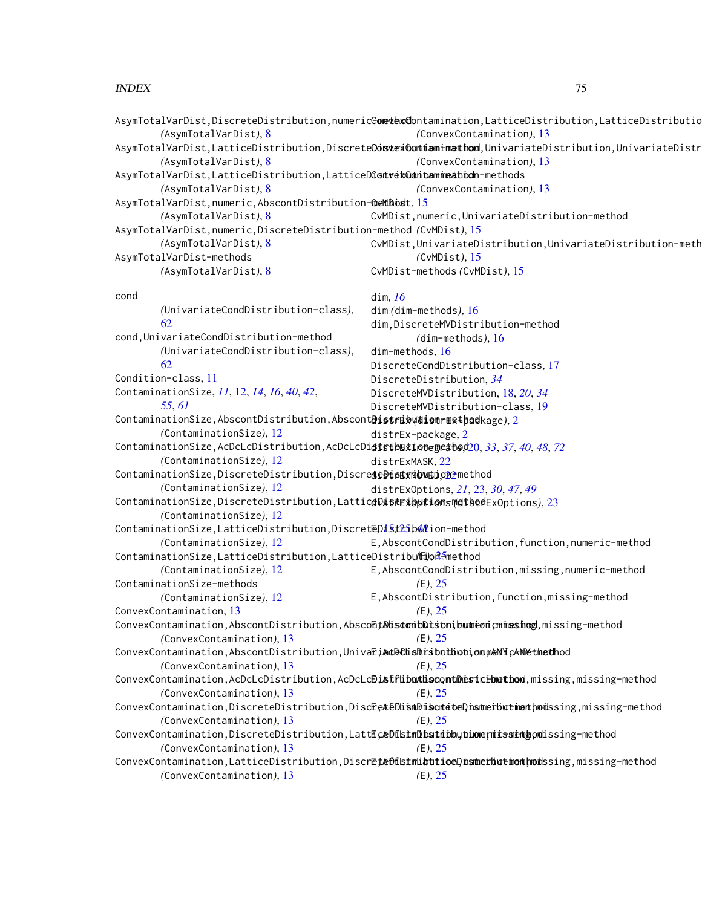|                                                                                              | AsymTotalVarDist,DiscreteDistribution,numeric <del>Comevex</del> o@ontamination,LatticeDistribution,LatticeDistributio  |
|----------------------------------------------------------------------------------------------|-------------------------------------------------------------------------------------------------------------------------|
| (AsymTotalVarDist), 8                                                                        | (ConvexContamination), 13                                                                                               |
|                                                                                              | AsymTotalVarDist,LatticeDistribution,Discrete <b>OastexContianimethod</b> ,UnivariateDistribution,UnivariateDistr       |
| (AsymTotalVarDist), 8                                                                        | (ConvexContamination), 13                                                                                               |
| AsymTotalVarDist,LatticeDistribution,LatticeD <b>ûsnverbOdan bam inea bod</b> n-methods      |                                                                                                                         |
| (AsymTotalVarDist), 8                                                                        | (ConvexContamination), 13                                                                                               |
| AsymTotalVarDist,numeric,AbscontDistribution-@eMtDibist, 15                                  |                                                                                                                         |
| (AsymTotalVarDist), 8                                                                        | CvMDist, numeric, UnivariateDistribution-method                                                                         |
| AsymTotalVarDist,numeric,DiscreteDistribution-method (CvMDist), 15                           |                                                                                                                         |
| (AsymTotalVarDist), 8                                                                        | CvMDist, UnivariateDistribution, UnivariateDistribution-meth                                                            |
| AsymTotalVarDist-methods                                                                     | $(CvMDist)$ , 15                                                                                                        |
| (AsymTotalVarDist), 8                                                                        | CvMDist-methods (CvMDist), 15                                                                                           |
| cond                                                                                         | dim, $16$                                                                                                               |
| (UnivariateCondDistribution-class),                                                          | $dim (dim-methods), 16$                                                                                                 |
| 62                                                                                           | dim, DiscreteMVDistribution-method                                                                                      |
| cond, UnivariateCondDistribution-method                                                      | $(dim$ -methods), $16$                                                                                                  |
| (UnivariateCondDistribution-class),                                                          | $dim$ -methods, $16$                                                                                                    |
| 62                                                                                           | DiscreteCondDistribution-class, 17                                                                                      |
| Condition-class, 11                                                                          | DiscreteDistribution, 34                                                                                                |
| ContaminationSize, 11, 12, 14, 16, 40, 42,                                                   | DiscreteMVDistribution, 18, 20, 34                                                                                      |
| 55,61                                                                                        | DiscreteMVDistribution-class, 19                                                                                        |
| ContaminationSize,AbscontDistribution,Abscont <b>Distribydisormethad</b> kage),2             |                                                                                                                         |
| (ContaminationSize), 12                                                                      | distrEx-package, 2                                                                                                      |
| ContaminationSize,AcDcLcDistribution,AcDcLcDi <b>gistbexiotegeatoe</b> d20,33,37,40,48,72    |                                                                                                                         |
| (ContaminationSize), 12                                                                      | distrExMASK, 22                                                                                                         |
| ContaminationSize,DiscreteDistribution,Discred <b>tDistxMovED.</b> O2method                  |                                                                                                                         |
| (ContaminationSize), 12                                                                      | distrExOptions, 21, 23, 30, 47, 49                                                                                      |
| ContaminationSize,DiscreteDistribution,Lattic <b>eDistexibptionsmethed</b> ExOptions),23     |                                                                                                                         |
| (ContaminationSize), 12                                                                      |                                                                                                                         |
| ContaminationSize,LatticeDistribution,Discret@Di\$tt2\$b4&ion-method                         |                                                                                                                         |
| (ContaminationSize), 12                                                                      | E, AbscontCondDistribution, function, numeric-method                                                                    |
|                                                                                              |                                                                                                                         |
| ContaminationSize,LatticeDistribution,LatticeDistribu(日)od <del>5</del> method               | E, AbscontCondDistribution, missing, numeric-method                                                                     |
| (ContaminationSize), 12                                                                      |                                                                                                                         |
| ContaminationSize-methods                                                                    | $(E)$ , 25                                                                                                              |
| (ContaminationSize), 12                                                                      | E, AbscontDistribution, function, missing-method                                                                        |
| ConvexContamination, 13                                                                      | (E), 25                                                                                                                 |
|                                                                                              | ConvexContamination,AbscontDistribution,Absco <b>EtAbscontDutson;buumeon;cmmesthog</b> ,missing-method                  |
| (ConvexContamination), 13                                                                    | (E), 25                                                                                                                 |
| ConvexContamination,AbscontDistribution,Univa <b>Fiad@OlisDiributliotiqoneMYcAMetheth</b> od |                                                                                                                         |
| (ConvexContamination), 13                                                                    | (E), 25                                                                                                                 |
|                                                                                              | ConvexContamination,AcDcLcDistribution,AcDcLc <b>DistflibuAhsoontDestcibethod</b> ,missing,missing-method               |
| (ConvexContamination), 13                                                                    | (E), 25                                                                                                                 |
|                                                                                              | ConvexContamination,DiscreteDistribution,DiscEeAteDLismUDiscutetoeD <mark>.nsmerbuttmemthod</mark> ssing,missing-method |
| (ConvexContamination), 13                                                                    | (E), 25                                                                                                                 |
|                                                                                              | ConvexContamination,DiscreteDistribution,Latt <b>EceDfLstmDbsttibbytionermissmetgod</b> issing-method                   |
| (ConvexContamination), 13                                                                    | (E), 25                                                                                                                 |
|                                                                                              | ConvexContamination,LatticeDistribution,Discr <b>Et&amp;DfisimLatticeD,hsmerlicticet/wod</b> ssing,missing-method       |
| (ConvexContamination), 13                                                                    | (E), 25                                                                                                                 |
|                                                                                              |                                                                                                                         |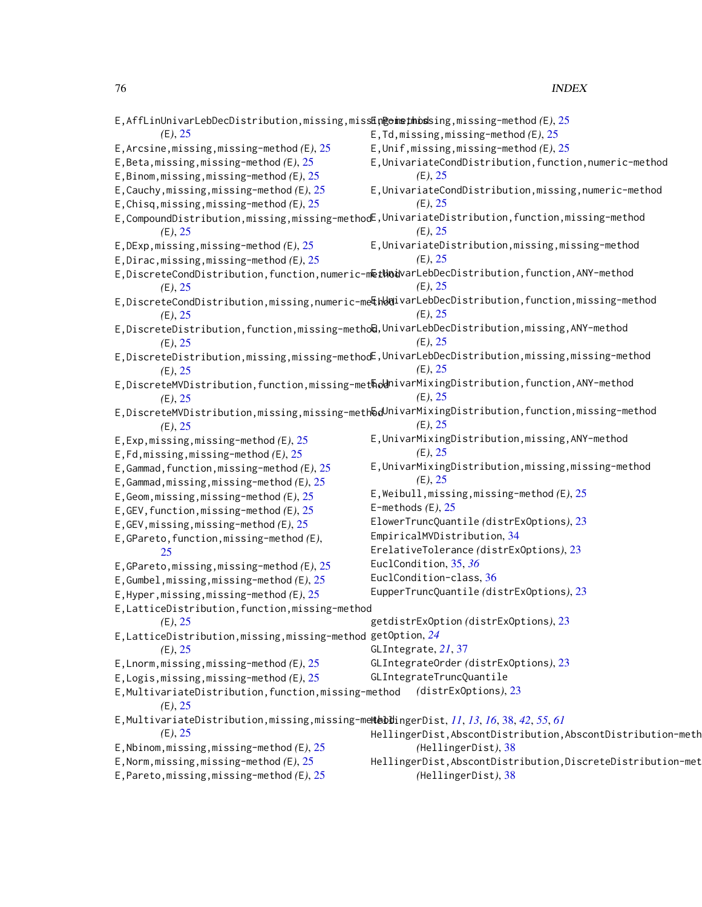| E, AffLinUnivarLebDecDistribution, missing, miss <b>En@omethoss</b> ing, missing-method (E), 25      |
|------------------------------------------------------------------------------------------------------|
| E, Td, missing, missing-method $(E)$ , 25                                                            |
| $E$ , Unif, missing, missing-method (E), 25                                                          |
| E, UnivariateCondDistribution, function, numeric-method                                              |
| (E), 25                                                                                              |
| E, UnivariateCondDistribution, missing, numeric-method                                               |
| (E), 25                                                                                              |
| E,CompoundDistribution,missing,missing-methodE,UnivariateDistribution,function,missing-method        |
| (E), 25                                                                                              |
| E, UnivariateDistribution, missing, missing-method                                                   |
| (E), 25                                                                                              |
| E,DiscreteCondDistribution,function,numeric-m <b>@tWod</b> varLebDecDistribution,function,ANY-method |
| (E), 25                                                                                              |
| E,DiscreteCondDistribution,missing,numeric-methodivarLebDecDistribution,function,missing-method      |
| (E), 25                                                                                              |
| E,DiscreteDistribution,function,missing-metho@,UnivarLebDecDistribution,missing,ANY-method           |
| (E), 25                                                                                              |
| E,DiscreteDistribution,missing,missing-methodE,UnivarLebDecDistribution,missing,missing-method       |
| (E), 25                                                                                              |
| E,DiscreteMVDistribution,function,missing-methodnivarMixingDistribution,function,ANY-method          |
| (E), 25                                                                                              |
| E,DiscreteMVDistribution,missing,missing-methნdUnivarMixingDistribution,function,missing-method      |
| (E), 25                                                                                              |
| E, UnivarMixingDistribution, missing, ANY-method                                                     |
| (E), 25                                                                                              |
| E, UnivarMixingDistribution, missing, missing-method                                                 |
| (E), 25                                                                                              |
| E, Weibull, missing, missing-method $(E)$ , 25                                                       |
| E-methods $(E)$ , 25                                                                                 |
| ElowerTruncQuantile (distrExOptions), 23                                                             |
| EmpiricalMVDistribution, 34                                                                          |
| ErelativeTolerance (distrExOptions), 23                                                              |
| EuclCondition, 35, 36                                                                                |
| EuclCondition-class, 36                                                                              |
| EupperTruncQuantile (distrExOptions), 23                                                             |
|                                                                                                      |
| E, LatticeDistribution, function, missing-method                                                     |
| getdistrExOption (distrExOptions), 23                                                                |
| E,LatticeDistribution,missing,missing-method getOption, $24\,$<br>GLIntegrate, 21, 37                |
| GLIntegrateOrder (distrExOptions), 23                                                                |
|                                                                                                      |
| GLIntegrateTruncQuantile                                                                             |
| (distrExOptions), 23<br>E, MultivariateDistribution, function, missing-method                        |
|                                                                                                      |
| E,MultivariateDistribution,missing,missing-mettebdingerDist, 11, 13, 16, 38, 42, 55, 61              |
| HellingerDist, AbscontDistribution, AbscontDistribution-meth                                         |
| (HellingerDist), 38                                                                                  |
| HellingerDist, AbscontDistribution, DiscreteDistribution-met                                         |
| (HellingerDist), 38                                                                                  |
|                                                                                                      |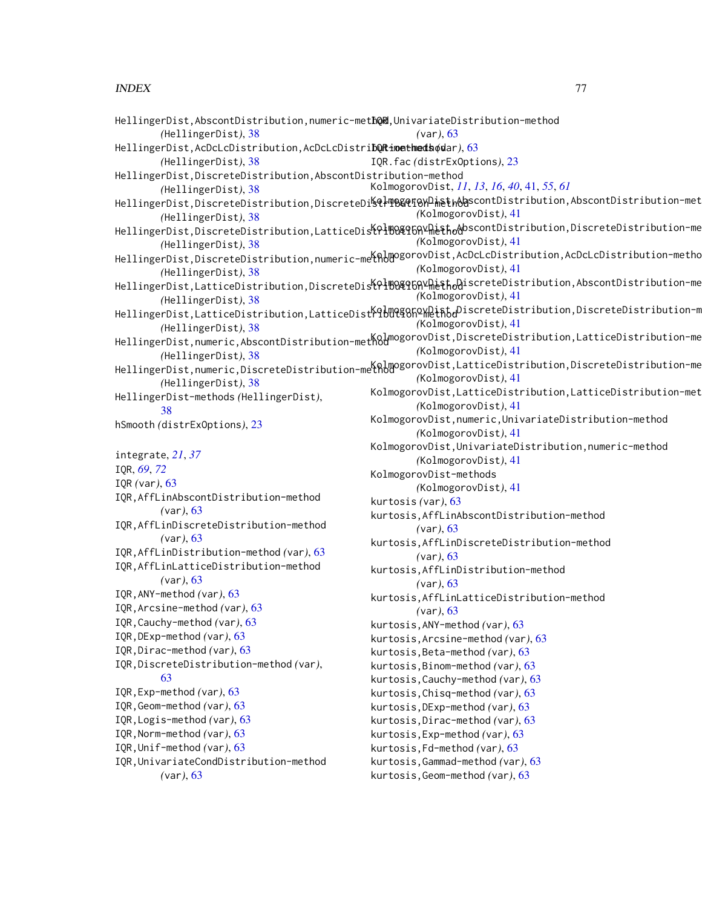| HellingerDist,AbscontDistribution,numeric-methQR,UnivariateDistribution-method |                                                                                                                                                           |  |
|--------------------------------------------------------------------------------|-----------------------------------------------------------------------------------------------------------------------------------------------------------|--|
| (HellingerDist), 38                                                            | $(var)$ , 63                                                                                                                                              |  |
| HellingerDist,AcDcLcDistribution,AcDcLcDistri <b>bQRimetheds</b> odar),63      |                                                                                                                                                           |  |
| (HellingerDist), 38                                                            | IQR. fac (distrExOptions), 23                                                                                                                             |  |
| HellingerDist,DiscreteDistribution,AbscontDistribution-method                  |                                                                                                                                                           |  |
| (HellingerDist), 38                                                            | KolmogorovDist, 11, 13, 16, 40, 41, 55, 61                                                                                                                |  |
|                                                                                | HellingerDist,DiscreteDistribution,DiscreteDi <b>%QlTB&amp;QfGXDieth&amp;Q</b> scontDistribution,AbscontDistribution-met                                  |  |
| (HellingerDist), 38                                                            | (KolmogorovDist), 41                                                                                                                                      |  |
|                                                                                | HellingerDist,DiscreteDistribution,LatticeDis <del>\PlBQ{CGA</del> Y <del>Me\$ho</del> &bscontDistribution,DiscreteDistribution-me                        |  |
| (HellingerDist), 38                                                            | (KolmogorovDist), 41                                                                                                                                      |  |
|                                                                                | HellingerDist,DiscreteDistribution,numeric-me <b>tAbm</b> ogorovDist,AcDcLcDistribution,AcDcLcDistribution-metho                                          |  |
| (HellingerDist), 38                                                            | (KolmogorovDist), 41                                                                                                                                      |  |
|                                                                                | HellingerDist,LatticeDistribution,DiscreteDis <sup>{{Q1</sup> ]0Q{{QqY}} <sub>me</sub> \$t <sub>o</sub> QiscreteDistribution,AbscontDistribution-me       |  |
| (HellingerDist), 38                                                            | (KolmogorovDist), 41                                                                                                                                      |  |
|                                                                                | HellingerDist,LatticeDistribution,LatticeDist <sup>Ko</sup> bQQqShQXQiht <sub>o</sub> DiscreteDistribution,DiscreteDistribution-m<br>(KolmogorovDist), 41 |  |
| (HellingerDist), 38                                                            |                                                                                                                                                           |  |
|                                                                                | HellingerDist,numeric,AbscontDistribution–met <mark>K0J</mark> mogorovDist,DiscreteDistribution,LatticeDistribution–me<br>(KolmogorovDist), 41            |  |
| (HellingerDist), 38                                                            |                                                                                                                                                           |  |
|                                                                                | HellingerDist,numeric,DiscreteDistribution-methomogorovDist,LatticeDistribution,DiscreteDistribution-me<br>(KolmogorovDist), 41                           |  |
| (HellingerDist), 38                                                            | KolmogorovDist, LatticeDistribution, LatticeDistribution-met                                                                                              |  |
| HellingerDist-methods (HellingerDist),                                         | (KolmogorovDist), 41                                                                                                                                      |  |
| 38                                                                             | KolmogorovDist, numeric, UnivariateDistribution-method                                                                                                    |  |
| hSmooth (distrExOptions), 23                                                   | (KolmogorovDist), 41                                                                                                                                      |  |
|                                                                                | KolmogorovDist, UnivariateDistribution, numeric-method                                                                                                    |  |
| integrate, 21, 37                                                              | (KolmogorovDist), 41                                                                                                                                      |  |
| IQR, 69, 72                                                                    | KolmogorovDist-methods                                                                                                                                    |  |
| IQR (var), 63                                                                  | (KolmogorovDist), 41                                                                                                                                      |  |
| IQR, AffLinAbscontDistribution-method                                          | kurtosis (var), 63                                                                                                                                        |  |
| (var), 63                                                                      | kurtosis, AffLinAbscontDistribution-method                                                                                                                |  |
| IQR, AffLinDiscreteDistribution-method                                         | (var), 63                                                                                                                                                 |  |
| (var), 63                                                                      | kurtosis, AffLinDiscreteDistribution-method                                                                                                               |  |
| IQR, AffLinDistribution-method (var), 63                                       | (var), 63                                                                                                                                                 |  |
| IQR, AffLinLatticeDistribution-method                                          | kurtosis, AffLinDistribution-method                                                                                                                       |  |
| (var), 63                                                                      | (var), 63                                                                                                                                                 |  |
| IQR, ANY-method (var), 63                                                      | kurtosis, AffLinLatticeDistribution-method                                                                                                                |  |
| IQR, Arcsine-method (var), 63                                                  | (var), 63                                                                                                                                                 |  |
| IQR, Cauchy-method (var), 63                                                   | kurtosis, ANY-method (var), 63                                                                                                                            |  |
| IQR, DExp-method (var), 63                                                     | kurtosis, Arcsine-method (var), 63                                                                                                                        |  |
| IQR, Dirac-method (var), 63                                                    | kurtosis, Beta-method (var), 63                                                                                                                           |  |
| IQR, DiscreteDistribution-method (var),                                        | kurtosis, Binom-method (var), 63                                                                                                                          |  |
| 63                                                                             | kurtosis, Cauchy-method (var), 63                                                                                                                         |  |
| IQR, Exp-method (var), 63                                                      | kurtosis, Chisq-method (var), 63                                                                                                                          |  |
| IQR, Geom-method (var), 63                                                     | kurtosis, DExp-method (var), 63                                                                                                                           |  |
| IQR, Logis-method (var), 63                                                    | kurtosis, Dirac-method (var), 63                                                                                                                          |  |
| IQR, Norm-method (var), 63                                                     | kurtosis, Exp-method (var), 63                                                                                                                            |  |
| IQR, Unif-method (var), 63                                                     | kurtosis, Fd-method (var), 63                                                                                                                             |  |
| IQR, UnivariateCondDistribution-method                                         | kurtosis, Gammad-method (var), 63                                                                                                                         |  |
| (var), 63                                                                      | kurtosis, Geom-method (var), 63                                                                                                                           |  |
|                                                                                |                                                                                                                                                           |  |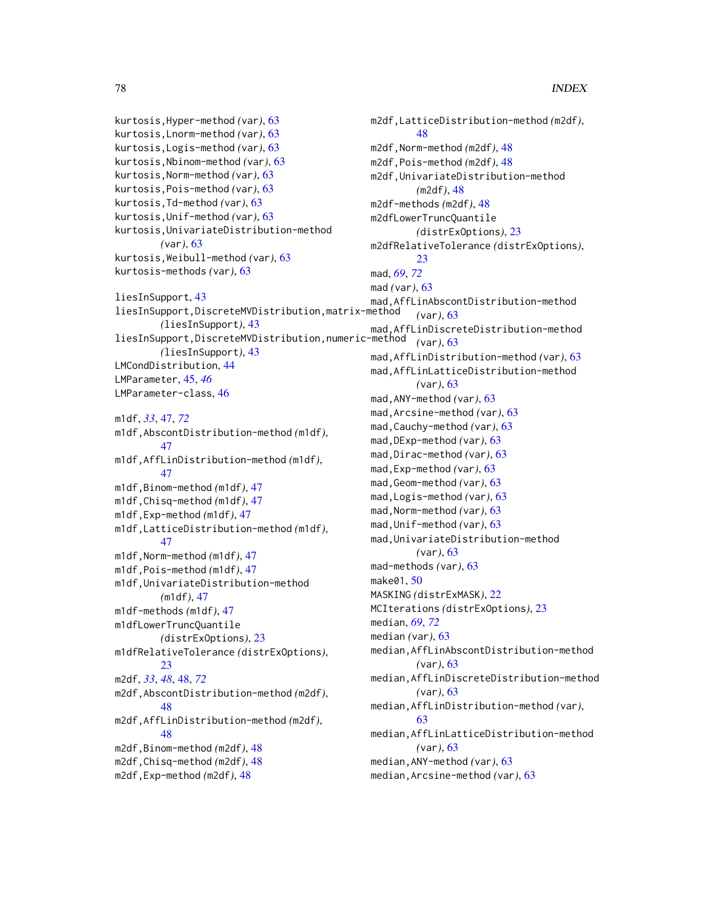```
kurtosis,Hyper-method (var), 63
kurtosis,Lnorm-method (var), 63
kurtosis,Logis-method (var), 63
kurtosis,Nbinom-method (var), 63
kurtosis,Norm-method (var), 63
kurtosis,Pois-method (var), 63
kurtosis,Td-method (var), 63
kurtosis,Unif-method (var), 63
kurtosis,UnivariateDistribution-method
        (var), 63
kurtosis,Weibull-method (var), 63
kurtosis-methods (var), 63
liesInSupport, 43
liesInSupport,DiscreteMVDistribution,matrix-method
        (liesInSupport), 43
liesInSupport,DiscreteMVDistribution,numeric-method
        (liesInSupport), 43
LMCondDistribution, 44
LMParameter, 45, 46
LMParameter-class, 46
m1df, 33, 47, 72
m1df,AbscontDistribution-method (m1df),
        47
m1df,AffLinDistribution-method (m1df),
        47
m1df,Binom-method (m1df), 47
m1df,Chisq-method (m1df), 47
m1df,Exp-method (m1df), 47
m1df,LatticeDistribution-method (m1df),
        47
m1df,Norm-method (m1df), 47
m1df,Pois-method (m1df), 47
m1df,UnivariateDistribution-method
        (m1df), 47
m1df-methods (m1df), 47
m1dfLowerTruncQuantile
        (distrExOptions), 23
m1dfRelativeTolerance (distrExOptions),
        23
m2df, 33, 48, 48, 72
m2df,AbscontDistribution-method (m2df),
        48
m2df,AffLinDistribution-method (m2df),
        48
m2df,Binom-method (m2df), 48
m2df,Chisq-method (m2df), 48
m2df,Exp-method (m2df), 48
```

```
m2df,LatticeDistribution-method (m2df),
        48
m2df,Norm-method (m2df), 48
m2df,Pois-method (m2df), 48
m2df,UnivariateDistribution-method
        (m2df), 48
m2df-methods (m2df), 48
m2dfLowerTruncQuantile
        (distrExOptions), 23
m2dfRelativeTolerance (distrExOptions),
        23
mad, 69, 72
mad (var), 63
mad,AffLinAbscontDistribution-method
        (var), 63
mad,AffLinDiscreteDistribution-method
        (var), 63
mad,AffLinDistribution-method (var), 63
mad,AffLinLatticeDistribution-method
        (var), 63
mad,ANY-method (var), 63
mad,Arcsine-method (var), 63
mad,Cauchy-method (var), 63
mad,DExp-method (var), 63
mad,Dirac-method (var), 63
mad,Exp-method (var), 63
mad,Geom-method (var), 63
mad,Logis-method (var), 63
mad,Norm-method (var), 63
mad,Unif-method (var), 63
mad,UnivariateDistribution-method
        (var), 63
mad-methods (var), 63
make01, 50
MASKING (distrExMASK), 22
MCIterations (distrExOptions), 23
median, 69, 72
median (var), 63
median,AffLinAbscontDistribution-method
        (var), 63
median,AffLinDiscreteDistribution-method
        (var), 63
median,AffLinDistribution-method (var),
         63
median,AffLinLatticeDistribution-method
        (var), 63
median,ANY-method (var), 63
median,Arcsine-method (var), 63
```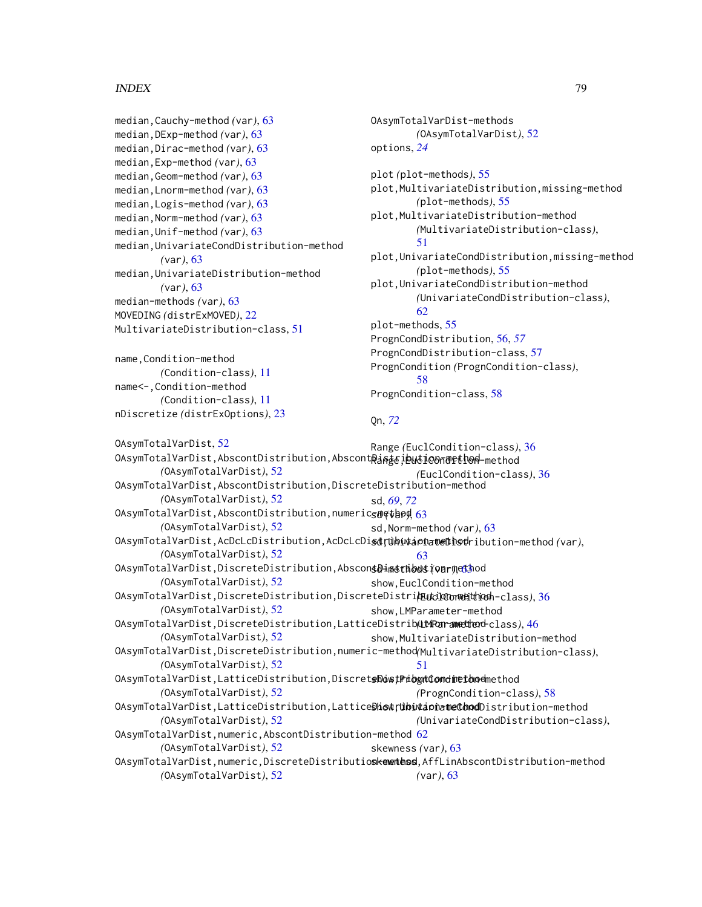```
median,Cauchy-method (var), 63
median,DExp-method (var), 63
median,Dirac-method (var), 63
median,Exp-method (var), 63
median,Geom-method (var), 63
median,Lnorm-method (var), 63
median,Logis-method (var), 63
median,Norm-method (var), 63
median,Unif-method (var), 63
median,UnivariateCondDistribution-method
        (var), 63
median,UnivariateDistribution-method
        (var), 63
median-methods (var), 63
MOVEDING (distrExMOVED), 22
MultivariateDistribution-class, 51
name,Condition-method
        (Condition-class), 11
name<-,Condition-method
        (Condition-class), 11
nDiscretize (distrExOptions), 23
OAsymTotalVarDist, 52
0AsymTotalVarDist,AbscontDistribution,Abscont<mark>Rinte;ibuti@0ndlftl0A</mark>-method
        (OAsymTotalVarDist), 52
OAsymTotalVarDist,AbscontDistribution,DiscreteDistribution-method
        (OAsymTotalVarDist), 52
OAsymTotalVarDist,AbscontDistribution,numeric-method
sd (var), 63
        (OAsymTotalVarDist), 52
OAsymTotalVarDist,AcDcLcDistribution,AcDcLcDistribution-method
sd,UnivariateDistribution-method (var),
        (OAsymTotalVarDist), 52
OAsymTotalVarDist,DiscreteDistribution,AbscontDistribution-method
sd-methods (var), 63
        (OAsymTotalVarDist), 52
OAsymTotalVarDist,DiscreteDistribution,DiscreteDistribution-method
(EuclCondition-class), 36
        (OAsymTotalVarDist), 52
OAsymTotalVarDist,DiscreteDistribution,LatticeDistribution-method
(LMParameter-class), 46
        (OAsymTotalVarDist), 52
OAsymTotalVarDist,DiscreteDistribution,numeric-method
(MultivariateDistribution-class),
        (OAsymTotalVarDist), 52
OAsymTotalVarDist,LatticeDistribution,DiscretsDoos;Pribyntiondinetbodmethod
        (OAsymTotalVarDist), 52
0AsymTotalVarDist,LatticeDistribution,Lattice<mark>BhowtributaonatneChnod</mark>Distribution-method
        (OAsymTotalVarDist), 52
<code>OAsymTotalVarDist,</code>numeric,Abscont<code>Distribution-method</code> 62(OAsymTotalVarDist), 52
0AsymTotalVarDist,numeric,DiscreteDistributioskementess,AffLinAbscontDistribution-method
        (OAsymTotalVarDist), 52
                                                 OAsymTotalVarDist-methods
                                                          (OAsymTotalVarDist), 52
                                                 options, 24
                                                 plot (plot-methods), 55
                                                 plot,MultivariateDistribution,missing-method
                                                          (plot-methods), 55
                                                 plot,MultivariateDistribution-method
                                                          (MultivariateDistribution-class),
                                                          51
                                                 plot,UnivariateCondDistribution,missing-method
                                                          (plot-methods), 55
                                                 plot,UnivariateCondDistribution-method
                                                          (UnivariateCondDistribution-class),
                                                          62
                                                 plot-methods, 55
                                                 PrognCondDistribution, 56, 57
                                                 PrognCondDistribution-class, 57
                                                 PrognCondition (PrognCondition-class),
                                                          58
                                                 PrognCondition-class, 58
                                                 Qn, 72
                                                 Range (EuclCondition-class), 36
                                                          (EuclCondition-class), 36
                                                 sd, 69, 72
                                                 sd,Norm-method (var), 63
                                                          63
                                                 show,EuclCondition-method
                                                 show,LMParameter-method
                                                 show,MultivariateDistribution-method
                                                          51
                                                          (PrognCondition-class), 58
                                                          (UnivariateCondDistribution-class),
                                                 skewness (var), 63
                                                          (var), 63
```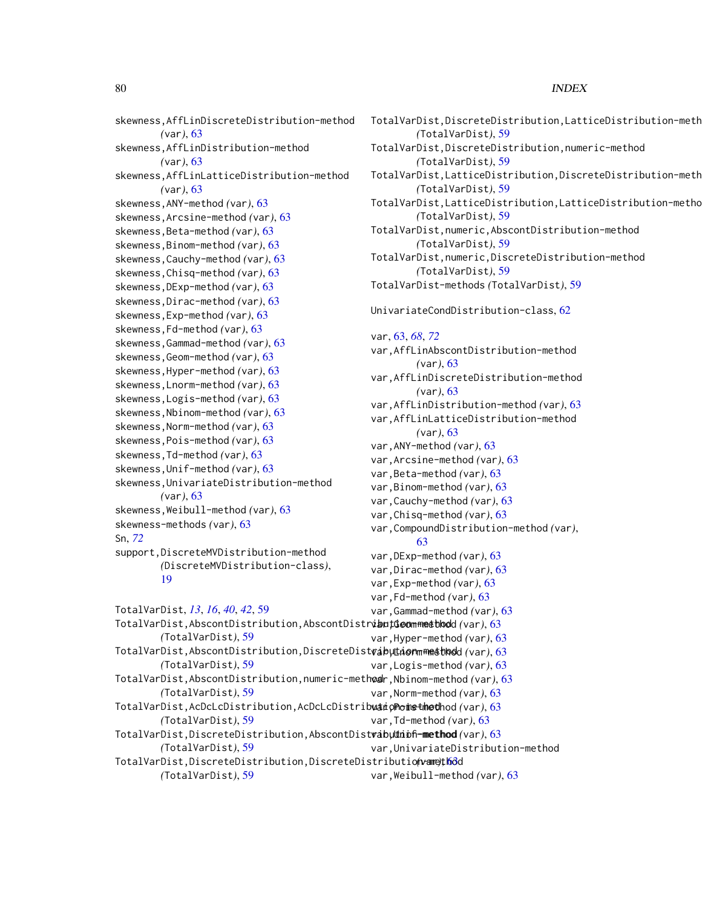skewness,AffLinDiscreteDistribution-method *(*var*)*, [63](#page-62-0) skewness,AffLinDistribution-method *(*var*)*, [63](#page-62-0) skewness,AffLinLatticeDistribution-method *(*var*)*, [63](#page-62-0) skewness,ANY-method *(*var*)*, [63](#page-62-0) skewness,Arcsine-method *(*var*)*, [63](#page-62-0) skewness,Beta-method *(*var*)*, [63](#page-62-0) skewness,Binom-method *(*var*)*, [63](#page-62-0) skewness,Cauchy-method *(*var*)*, [63](#page-62-0) skewness,Chisq-method *(*var*)*, [63](#page-62-0) skewness,DExp-method *(*var*)*, [63](#page-62-0) skewness,Dirac-method *(*var*)*, [63](#page-62-0) skewness,Exp-method *(*var*)*, [63](#page-62-0) skewness,Fd-method *(*var*)*, [63](#page-62-0) skewness,Gammad-method *(*var*)*, [63](#page-62-0) skewness,Geom-method *(*var*)*, [63](#page-62-0) skewness,Hyper-method *(*var*)*, [63](#page-62-0) skewness,Lnorm-method *(*var*)*, [63](#page-62-0) skewness,Logis-method *(*var*)*, [63](#page-62-0) skewness,Nbinom-method *(*var*)*, [63](#page-62-0) skewness,Norm-method *(*var*)*, [63](#page-62-0) skewness,Pois-method *(*var*)*, [63](#page-62-0) skewness,Td-method *(*var*)*, [63](#page-62-0) skewness,Unif-method *(*var*)*, [63](#page-62-0) skewness,UnivariateDistribution-method *(*var*)*, [63](#page-62-0) skewness,Weibull-method *(*var*)*, [63](#page-62-0) skewness-methods *(*var*)*, [63](#page-62-0) Sn, *[72](#page-71-0)* support,DiscreteMVDistribution-method *(*DiscreteMVDistribution-class*)*, [19](#page-18-0) TotalVarDist, *[13](#page-12-0)*, *[16](#page-15-0)*, *[40](#page-39-0)*, *[42](#page-41-0)*, [59](#page-58-0) TotalVarDist,AbscontDistribution,AbscontDistribution-method var,Geom-method *(*var*)*, [63](#page-62-0) *(*TotalVarDist*)*, [59](#page-58-0) TotalVarDist,AbscontDistribution,DiscreteDist**vabµLionmmetblod**d(var),[63](#page-62-0) *(*TotalVarDist*)*, [59](#page-58-0) TotalVarDist,AbscontDistribution,numeric-meth**od**r,Nbinom-method*(*var),[63](#page-62-0) *(*TotalVarDist*)*, [59](#page-58-0) TotalVarDist,AcDcLcDistribution,AcDcLcDistribuatioPoinsthethod (var), [63](#page-62-0) *(*TotalVarDist*)*, [59](#page-58-0) TotalVarDist,DiscreteDistribution,LatticeDistribution-meth

*(*TotalVarDist*)*, [59](#page-58-0)

*(*TotalVarDist*)*, [59](#page-58-0)

TotalVarDist,DiscreteDistribution,AbscontDist**vabuthiof-method** (var), [63](#page-62-0) TotalVarDist,DiscreteDistribution,DiscreteDistribution-me[thod](#page-62-0) *(*var*)*, 63 *(*TotalVarDist*)*, [59](#page-58-0) TotalVarDist,DiscreteDistribution,numeric-method *(*TotalVarDist*)*, [59](#page-58-0) TotalVarDist,LatticeDistribution,DiscreteDistribution-meth *(*TotalVarDist*)*, [59](#page-58-0) TotalVarDist,LatticeDistribution,LatticeDistribution-method *(*TotalVarDist*)*, [59](#page-58-0) TotalVarDist,numeric,AbscontDistribution-method *(*TotalVarDist*)*, [59](#page-58-0) TotalVarDist,numeric,DiscreteDistribution-method *(*TotalVarDist*)*, [59](#page-58-0) TotalVarDist-methods *(*TotalVarDist*)*, [59](#page-58-0) UnivariateCondDistribution-class, [62](#page-61-0) var, [63,](#page-62-0) *[68](#page-67-0)*, *[72](#page-71-0)* var,AffLinAbscontDistribution-method *(*var*)*, [63](#page-62-0) var,AffLinDiscreteDistribution-method *(*var*)*, [63](#page-62-0) var,AffLinDistribution-method *(*var*)*, [63](#page-62-0) var,AffLinLatticeDistribution-method *(*var*)*, [63](#page-62-0) var,ANY-method *(*var*)*, [63](#page-62-0) var,Arcsine-method *(*var*)*, [63](#page-62-0) var,Beta-method *(*var*)*, [63](#page-62-0) var,Binom-method *(*var*)*, [63](#page-62-0) var,Cauchy-method *(*var*)*, [63](#page-62-0) var,Chisq-method *(*var*)*, [63](#page-62-0) var,CompoundDistribution-method *(*var*)*, [63](#page-62-0) var,DExp-method *(*var*)*, [63](#page-62-0) var,Dirac-method *(*var*)*, [63](#page-62-0) var,Exp-method *(*var*)*, [63](#page-62-0) var,Fd-method *(*var*)*, [63](#page-62-0) var,Gammad-method *(*var*)*, [63](#page-62-0) var,Hyper-method *(*var*)*, [63](#page-62-0) var,Logis-method *(*var*)*, [63](#page-62-0) var,Norm-method *(*var*)*, [63](#page-62-0) var,Td-method *(*var*)*, [63](#page-62-0) var,UnivariateDistribution-method var,Weibull-method *(*var*)*, [63](#page-62-0)